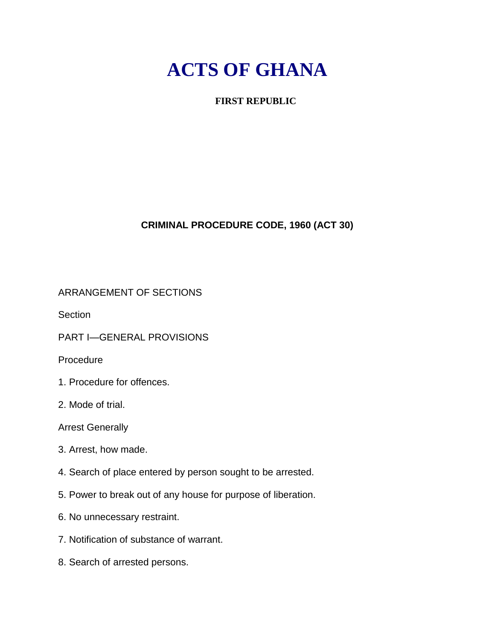# **ACTS OF GHANA**

# **FIRST REPUBLIC**

# **CRIMINAL PROCEDURE CODE, 1960 (ACT 30)**

# ARRANGEMENT OF SECTIONS

Section

PART I—GENERAL PROVISIONS

Procedure

- 1. Procedure for offences.
- 2. Mode of trial.

Arrest Generally

- 3. Arrest, how made.
- 4. Search of place entered by person sought to be arrested.
- 5. Power to break out of any house for purpose of liberation.
- 6. No unnecessary restraint.
- 7. Notification of substance of warrant.
- 8. Search of arrested persons.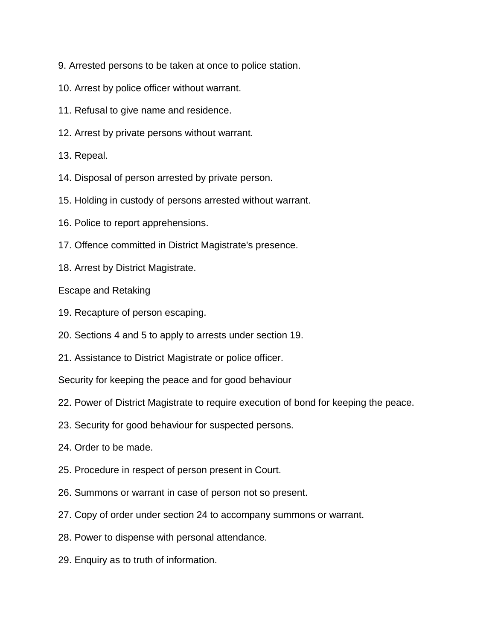- 9. Arrested persons to be taken at once to police station.
- 10. Arrest by police officer without warrant.
- 11. Refusal to give name and residence.
- 12. Arrest by private persons without warrant.
- 13. Repeal.
- 14. Disposal of person arrested by private person.
- 15. Holding in custody of persons arrested without warrant.
- 16. Police to report apprehensions.
- 17. Offence committed in District Magistrate's presence.
- 18. Arrest by District Magistrate.

Escape and Retaking

- 19. Recapture of person escaping.
- 20. Sections 4 and 5 to apply to arrests under section 19.
- 21. Assistance to District Magistrate or police officer.

Security for keeping the peace and for good behaviour

- 22. Power of District Magistrate to require execution of bond for keeping the peace.
- 23. Security for good behaviour for suspected persons.
- 24. Order to be made.
- 25. Procedure in respect of person present in Court.
- 26. Summons or warrant in case of person not so present.
- 27. Copy of order under section 24 to accompany summons or warrant.
- 28. Power to dispense with personal attendance.
- 29. Enquiry as to truth of information.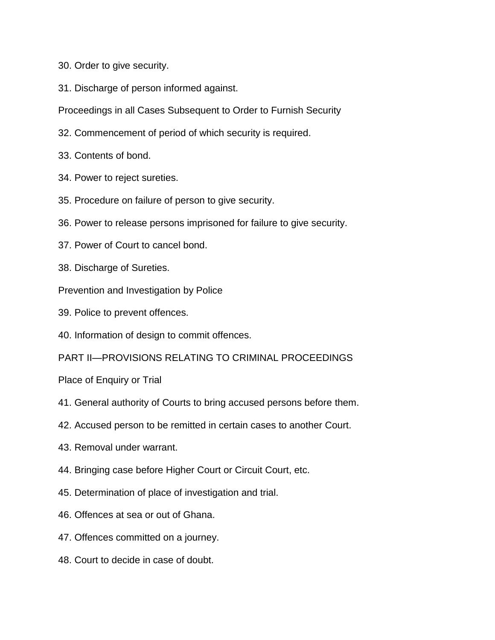- 30. Order to give security.
- 31. Discharge of person informed against.
- Proceedings in all Cases Subsequent to Order to Furnish Security
- 32. Commencement of period of which security is required.
- 33. Contents of bond.
- 34. Power to reject sureties.
- 35. Procedure on failure of person to give security.
- 36. Power to release persons imprisoned for failure to give security.
- 37. Power of Court to cancel bond.
- 38. Discharge of Sureties.
- Prevention and Investigation by Police
- 39. Police to prevent offences.
- 40. Information of design to commit offences.

PART II—PROVISIONS RELATING TO CRIMINAL PROCEEDINGS

Place of Enquiry or Trial

- 41. General authority of Courts to bring accused persons before them.
- 42. Accused person to be remitted in certain cases to another Court.
- 43. Removal under warrant.
- 44. Bringing case before Higher Court or Circuit Court, etc.
- 45. Determination of place of investigation and trial.
- 46. Offences at sea or out of Ghana.
- 47. Offences committed on a journey.
- 48. Court to decide in case of doubt.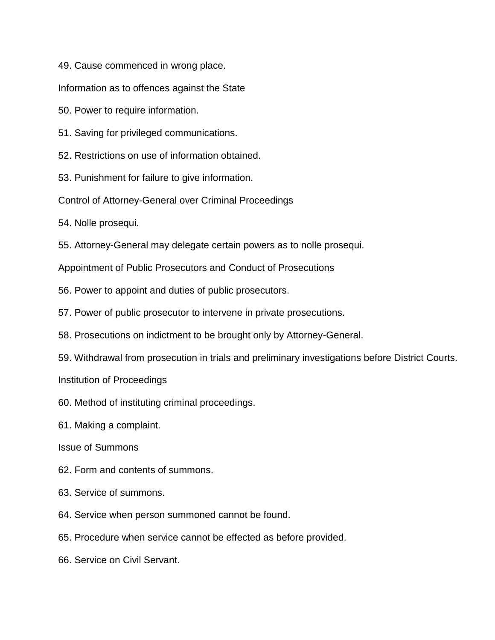49. Cause commenced in wrong place.

Information as to offences against the State

50. Power to require information.

51. Saving for privileged communications.

52. Restrictions on use of information obtained.

53. Punishment for failure to give information.

Control of Attorney-General over Criminal Proceedings

54. Nolle prosequi.

55. Attorney-General may delegate certain powers as to nolle prosequi.

Appointment of Public Prosecutors and Conduct of Prosecutions

56. Power to appoint and duties of public prosecutors.

57. Power of public prosecutor to intervene in private prosecutions.

- 58. Prosecutions on indictment to be brought only by Attorney-General.
- 59. Withdrawal from prosecution in trials and preliminary investigations before District Courts.

Institution of Proceedings

60. Method of instituting criminal proceedings.

61. Making a complaint.

Issue of Summons

62. Form and contents of summons.

- 63. Service of summons.
- 64. Service when person summoned cannot be found.
- 65. Procedure when service cannot be effected as before provided.
- 66. Service on Civil Servant.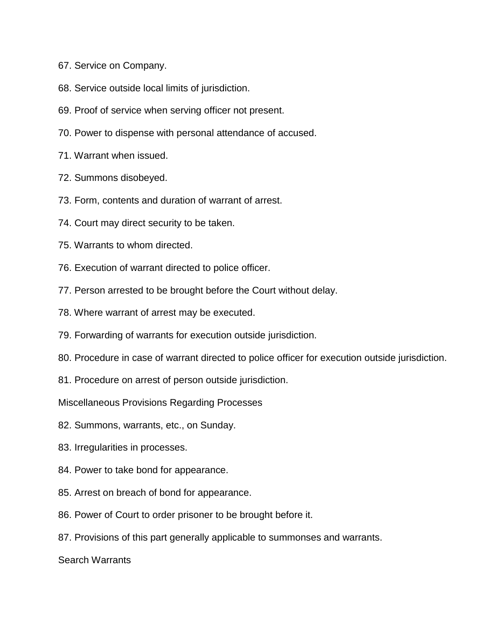- 67. Service on Company.
- 68. Service outside local limits of jurisdiction.
- 69. Proof of service when serving officer not present.
- 70. Power to dispense with personal attendance of accused.
- 71. Warrant when issued.
- 72. Summons disobeyed.
- 73. Form, contents and duration of warrant of arrest.
- 74. Court may direct security to be taken.
- 75. Warrants to whom directed.
- 76. Execution of warrant directed to police officer.
- 77. Person arrested to be brought before the Court without delay.
- 78. Where warrant of arrest may be executed.
- 79. Forwarding of warrants for execution outside jurisdiction.
- 80. Procedure in case of warrant directed to police officer for execution outside jurisdiction.
- 81. Procedure on arrest of person outside jurisdiction.

Miscellaneous Provisions Regarding Processes

- 82. Summons, warrants, etc., on Sunday.
- 83. Irregularities in processes.
- 84. Power to take bond for appearance.
- 85. Arrest on breach of bond for appearance.
- 86. Power of Court to order prisoner to be brought before it.
- 87. Provisions of this part generally applicable to summonses and warrants.

Search Warrants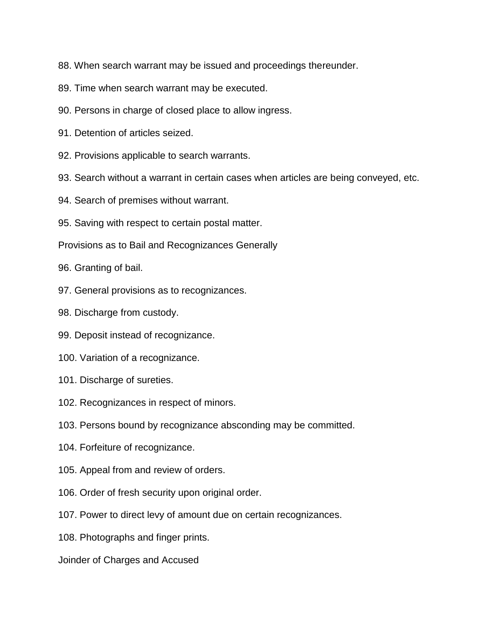- 88. When search warrant may be issued and proceedings thereunder.
- 89. Time when search warrant may be executed.
- 90. Persons in charge of closed place to allow ingress.
- 91. Detention of articles seized.
- 92. Provisions applicable to search warrants.
- 93. Search without a warrant in certain cases when articles are being conveyed, etc.
- 94. Search of premises without warrant.
- 95. Saving with respect to certain postal matter.
- Provisions as to Bail and Recognizances Generally
- 96. Granting of bail.
- 97. General provisions as to recognizances.
- 98. Discharge from custody.
- 99. Deposit instead of recognizance.
- 100. Variation of a recognizance.
- 101. Discharge of sureties.
- 102. Recognizances in respect of minors.
- 103. Persons bound by recognizance absconding may be committed.
- 104. Forfeiture of recognizance.
- 105. Appeal from and review of orders.
- 106. Order of fresh security upon original order.
- 107. Power to direct levy of amount due on certain recognizances.
- 108. Photographs and finger prints.
- Joinder of Charges and Accused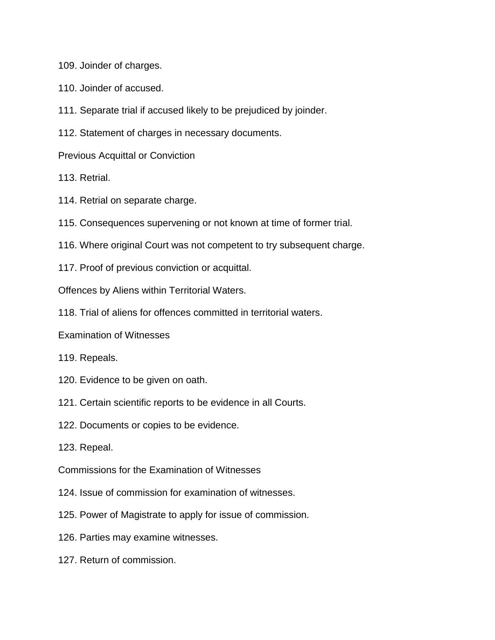109. Joinder of charges.

- 110. Joinder of accused.
- 111. Separate trial if accused likely to be prejudiced by joinder.
- 112. Statement of charges in necessary documents.
- Previous Acquittal or Conviction
- 113. Retrial.
- 114. Retrial on separate charge.
- 115. Consequences supervening or not known at time of former trial.
- 116. Where original Court was not competent to try subsequent charge.
- 117. Proof of previous conviction or acquittal.

Offences by Aliens within Territorial Waters.

- 118. Trial of aliens for offences committed in territorial waters.
- Examination of Witnesses
- 119. Repeals.
- 120. Evidence to be given on oath.
- 121. Certain scientific reports to be evidence in all Courts.
- 122. Documents or copies to be evidence.
- 123. Repeal.
- Commissions for the Examination of Witnesses
- 124. Issue of commission for examination of witnesses.
- 125. Power of Magistrate to apply for issue of commission.
- 126. Parties may examine witnesses.
- 127. Return of commission.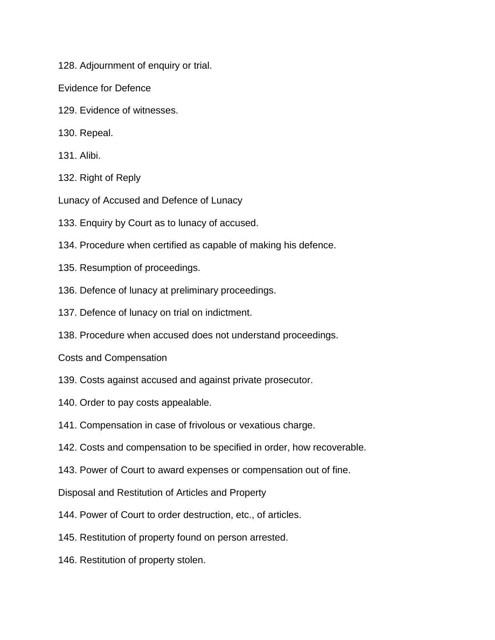128. Adjournment of enquiry or trial.

Evidence for Defence

- 129. Evidence of witnesses.
- 130. Repeal.
- 131. Alibi.
- 132. Right of Reply
- Lunacy of Accused and Defence of Lunacy
- 133. Enquiry by Court as to lunacy of accused.
- 134. Procedure when certified as capable of making his defence.
- 135. Resumption of proceedings.
- 136. Defence of lunacy at preliminary proceedings.
- 137. Defence of lunacy on trial on indictment.
- 138. Procedure when accused does not understand proceedings.
- Costs and Compensation
- 139. Costs against accused and against private prosecutor.
- 140. Order to pay costs appealable.
- 141. Compensation in case of frivolous or vexatious charge.
- 142. Costs and compensation to be specified in order, how recoverable.
- 143. Power of Court to award expenses or compensation out of fine.

Disposal and Restitution of Articles and Property

- 144. Power of Court to order destruction, etc., of articles.
- 145. Restitution of property found on person arrested.
- 146. Restitution of property stolen.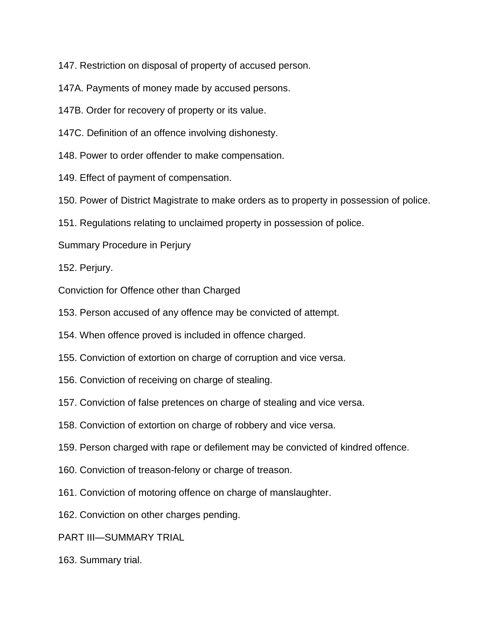147. Restriction on disposal of property of accused person.

147A. Payments of money made by accused persons.

147B. Order for recovery of property or its value.

147C. Definition of an offence involving dishonesty.

148. Power to order offender to make compensation.

149. Effect of payment of compensation.

150. Power of District Magistrate to make orders as to property in possession of police.

151. Regulations relating to unclaimed property in possession of police.

Summary Procedure in Perjury

152. Perjury.

Conviction for Offence other than Charged

153. Person accused of any offence may be convicted of attempt.

154. When offence proved is included in offence charged.

155. Conviction of extortion on charge of corruption and vice versa.

156. Conviction of receiving on charge of stealing.

157. Conviction of false pretences on charge of stealing and vice versa.

158. Conviction of extortion on charge of robbery and vice versa.

159. Person charged with rape or defilement may be convicted of kindred offence.

160. Conviction of treason-felony or charge of treason.

161. Conviction of motoring offence on charge of manslaughter.

162. Conviction on other charges pending.

PART III—SUMMARY TRIAL

163. Summary trial.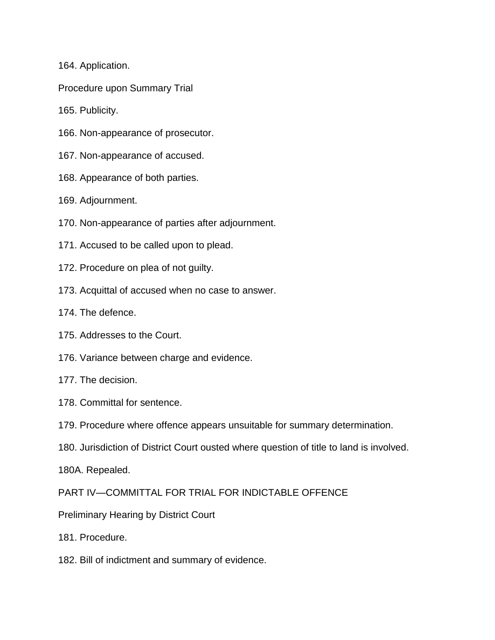164. Application.

Procedure upon Summary Trial

165. Publicity.

- 166. Non-appearance of prosecutor.
- 167. Non-appearance of accused.
- 168. Appearance of both parties.

169. Adjournment.

- 170. Non-appearance of parties after adjournment.
- 171. Accused to be called upon to plead.
- 172. Procedure on plea of not guilty.
- 173. Acquittal of accused when no case to answer.
- 174. The defence.
- 175. Addresses to the Court.
- 176. Variance between charge and evidence.
- 177. The decision.
- 178. Committal for sentence.
- 179. Procedure where offence appears unsuitable for summary determination.
- 180. Jurisdiction of District Court ousted where question of title to land is involved.

180A. Repealed.

PART IV—COMMITTAL FOR TRIAL FOR INDICTABLE OFFENCE

- Preliminary Hearing by District Court
- 181. Procedure.
- 182. Bill of indictment and summary of evidence.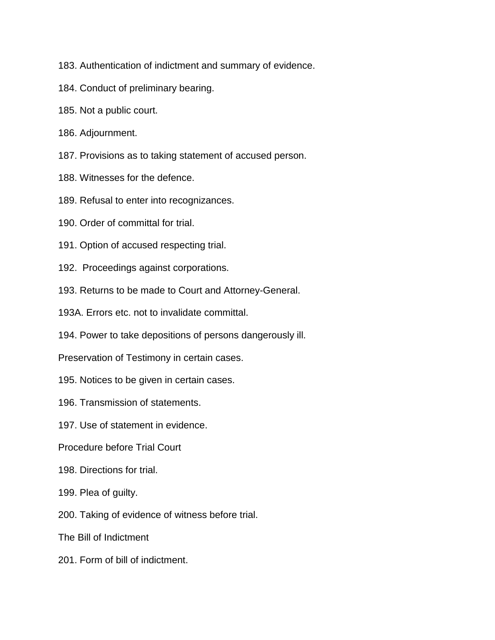- 183. Authentication of indictment and summary of evidence.
- 184. Conduct of preliminary bearing.
- 185. Not a public court.
- 186. Adjournment.
- 187. Provisions as to taking statement of accused person.
- 188. Witnesses for the defence.
- 189. Refusal to enter into recognizances.
- 190. Order of committal for trial.
- 191. Option of accused respecting trial.
- 192. Proceedings against corporations.
- 193. Returns to be made to Court and Attorney-General.
- 193A. Errors etc. not to invalidate committal.
- 194. Power to take depositions of persons dangerously ill.
- Preservation of Testimony in certain cases.
- 195. Notices to be given in certain cases.
- 196. Transmission of statements.
- 197. Use of statement in evidence.
- Procedure before Trial Court
- 198. Directions for trial.
- 199. Plea of guilty.
- 200. Taking of evidence of witness before trial.
- The Bill of Indictment
- 201. Form of bill of indictment.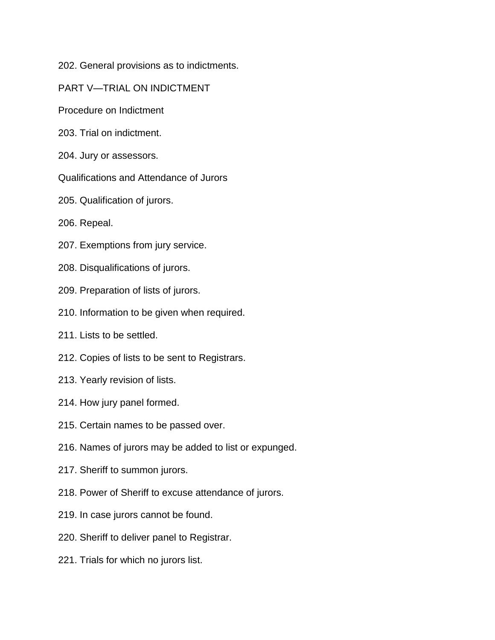202. General provisions as to indictments.

PART V—TRIAL ON INDICTMENT

Procedure on Indictment

203. Trial on indictment.

204. Jury or assessors.

Qualifications and Attendance of Jurors

205. Qualification of jurors.

206. Repeal.

207. Exemptions from jury service.

208. Disqualifications of jurors.

209. Preparation of lists of jurors.

210. Information to be given when required.

211. Lists to be settled.

212. Copies of lists to be sent to Registrars.

213. Yearly revision of lists.

214. How jury panel formed.

215. Certain names to be passed over.

216. Names of jurors may be added to list or expunged.

217. Sheriff to summon jurors.

218. Power of Sheriff to excuse attendance of jurors.

219. In case jurors cannot be found.

220. Sheriff to deliver panel to Registrar.

221. Trials for which no jurors list.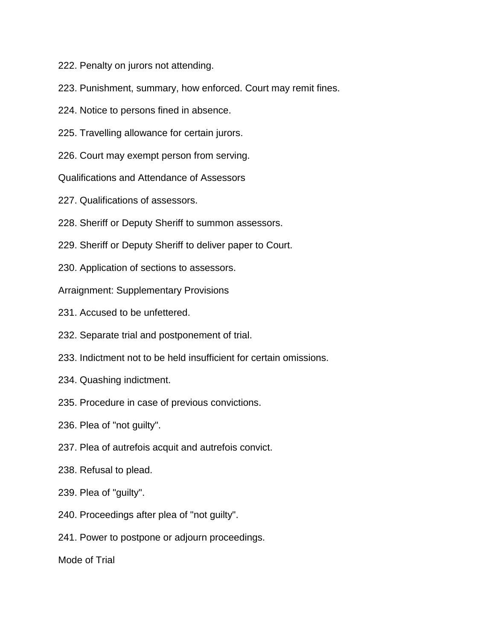222. Penalty on jurors not attending.

- 223. Punishment, summary, how enforced. Court may remit fines.
- 224. Notice to persons fined in absence.
- 225. Travelling allowance for certain jurors.
- 226. Court may exempt person from serving.
- Qualifications and Attendance of Assessors
- 227. Qualifications of assessors.
- 228. Sheriff or Deputy Sheriff to summon assessors.
- 229. Sheriff or Deputy Sheriff to deliver paper to Court.
- 230. Application of sections to assessors.

Arraignment: Supplementary Provisions

- 231. Accused to be unfettered.
- 232. Separate trial and postponement of trial.
- 233. Indictment not to be held insufficient for certain omissions.
- 234. Quashing indictment.
- 235. Procedure in case of previous convictions.
- 236. Plea of "not guilty".
- 237. Plea of autrefois acquit and autrefois convict.
- 238. Refusal to plead.
- 239. Plea of "guilty".
- 240. Proceedings after plea of "not guilty".

241. Power to postpone or adjourn proceedings.

Mode of Trial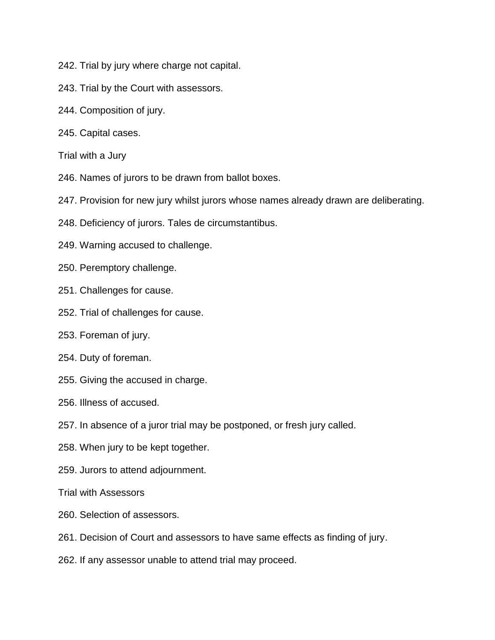- 242. Trial by jury where charge not capital.
- 243. Trial by the Court with assessors.
- 244. Composition of jury.
- 245. Capital cases.
- Trial with a Jury
- 246. Names of jurors to be drawn from ballot boxes.
- 247. Provision for new jury whilst jurors whose names already drawn are deliberating.
- 248. Deficiency of jurors. Tales de circumstantibus.
- 249. Warning accused to challenge.
- 250. Peremptory challenge.
- 251. Challenges for cause.
- 252. Trial of challenges for cause.
- 253. Foreman of jury.
- 254. Duty of foreman.
- 255. Giving the accused in charge.
- 256. Illness of accused.
- 257. In absence of a juror trial may be postponed, or fresh jury called.
- 258. When jury to be kept together.
- 259. Jurors to attend adjournment.
- Trial with Assessors
- 260. Selection of assessors.
- 261. Decision of Court and assessors to have same effects as finding of jury.
- 262. If any assessor unable to attend trial may proceed.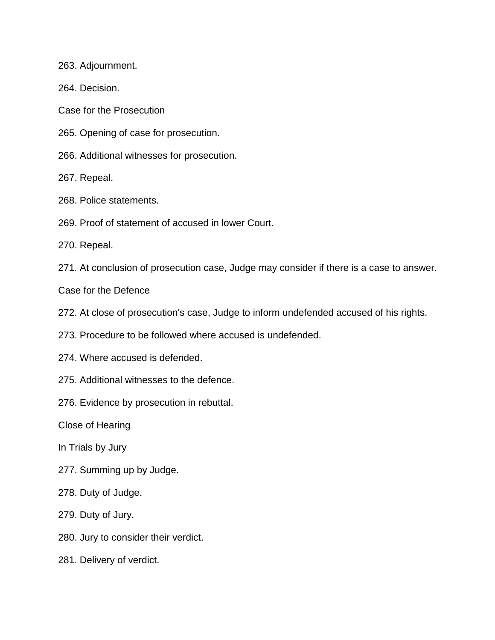263. Adjournment.

264. Decision.

Case for the Prosecution

265. Opening of case for prosecution.

266. Additional witnesses for prosecution.

267. Repeal.

268. Police statements.

269. Proof of statement of accused in lower Court.

270. Repeal.

271. At conclusion of prosecution case, Judge may consider if there is a case to answer.

Case for the Defence

272. At close of prosecution's case, Judge to inform undefended accused of his rights.

273. Procedure to be followed where accused is undefended.

274. Where accused is defended.

275. Additional witnesses to the defence.

276. Evidence by prosecution in rebuttal.

Close of Hearing

In Trials by Jury

277. Summing up by Judge.

278. Duty of Judge.

279. Duty of Jury.

280. Jury to consider their verdict.

281. Delivery of verdict.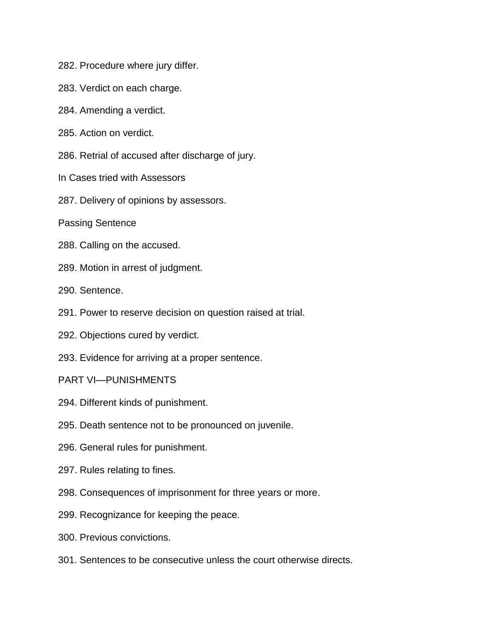- 282. Procedure where jury differ.
- 283. Verdict on each charge.
- 284. Amending a verdict.
- 285. Action on verdict.
- 286. Retrial of accused after discharge of jury.
- In Cases tried with Assessors
- 287. Delivery of opinions by assessors.
- Passing Sentence
- 288. Calling on the accused.
- 289. Motion in arrest of judgment.
- 290. Sentence.
- 291. Power to reserve decision on question raised at trial.
- 292. Objections cured by verdict.
- 293. Evidence for arriving at a proper sentence.
- PART VI—PUNISHMENTS
- 294. Different kinds of punishment.
- 295. Death sentence not to be pronounced on juvenile.
- 296. General rules for punishment.
- 297. Rules relating to fines.
- 298. Consequences of imprisonment for three years or more.
- 299. Recognizance for keeping the peace.
- 300. Previous convictions.
- 301. Sentences to be consecutive unless the court otherwise directs.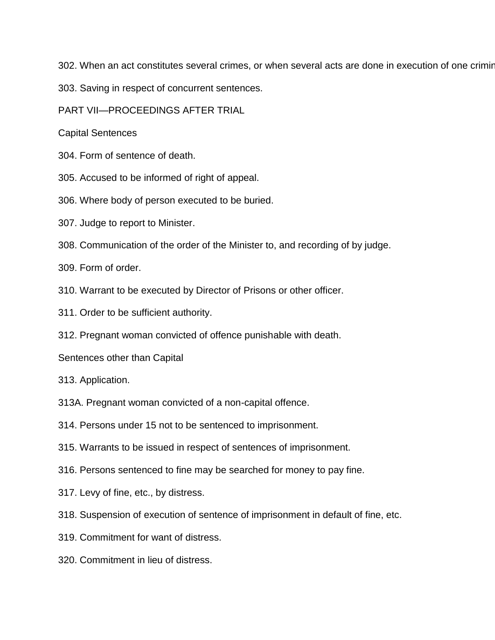302. When an act constitutes several crimes, or when several acts are done in execution of one criminal purpose.

303. Saving in respect of concurrent sentences.

PART VII—PROCEEDINGS AFTER TRIAL

Capital Sentences

- 304. Form of sentence of death.
- 305. Accused to be informed of right of appeal.

306. Where body of person executed to be buried.

307. Judge to report to Minister.

308. Communication of the order of the Minister to, and recording of by judge.

309. Form of order.

310. Warrant to be executed by Director of Prisons or other officer.

- 311. Order to be sufficient authority.
- 312. Pregnant woman convicted of offence punishable with death.

Sentences other than Capital

313. Application.

313A. Pregnant woman convicted of a non-capital offence.

314. Persons under 15 not to be sentenced to imprisonment.

- 315. Warrants to be issued in respect of sentences of imprisonment.
- 316. Persons sentenced to fine may be searched for money to pay fine.
- 317. Levy of fine, etc., by distress.
- 318. Suspension of execution of sentence of imprisonment in default of fine, etc.
- 319. Commitment for want of distress.
- 320. Commitment in lieu of distress.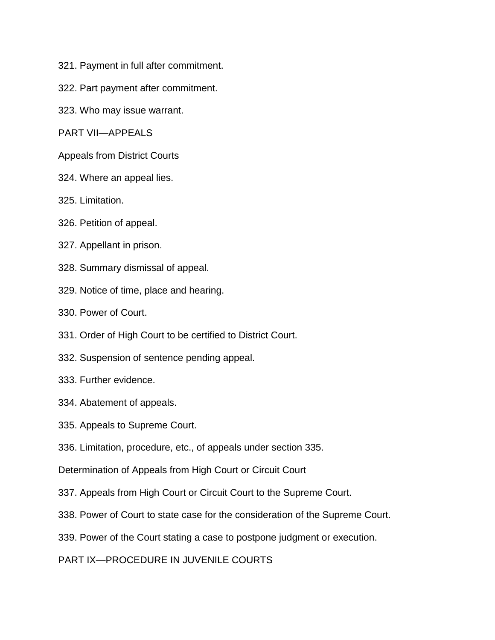- 321. Payment in full after commitment.
- 322. Part payment after commitment.
- 323. Who may issue warrant.

PART VII—APPEALS

Appeals from District Courts

- 324. Where an appeal lies.
- 325. Limitation.
- 326. Petition of appeal.
- 327. Appellant in prison.
- 328. Summary dismissal of appeal.
- 329. Notice of time, place and hearing.
- 330. Power of Court.
- 331. Order of High Court to be certified to District Court.
- 332. Suspension of sentence pending appeal.
- 333. Further evidence.
- 334. Abatement of appeals.
- 335. Appeals to Supreme Court.
- 336. Limitation, procedure, etc., of appeals under section 335.
- Determination of Appeals from High Court or Circuit Court
- 337. Appeals from High Court or Circuit Court to the Supreme Court.
- 338. Power of Court to state case for the consideration of the Supreme Court.
- 339. Power of the Court stating a case to postpone judgment or execution.
- PART IX—PROCEDURE IN JUVENILE COURTS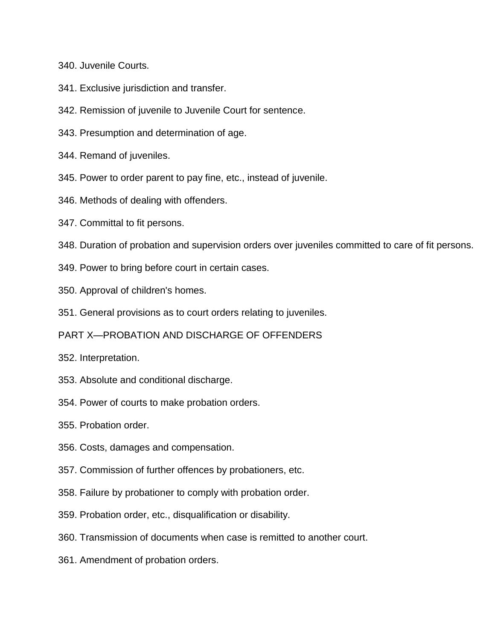340. Juvenile Courts.

- 341. Exclusive jurisdiction and transfer.
- 342. Remission of juvenile to Juvenile Court for sentence.
- 343. Presumption and determination of age.
- 344. Remand of juveniles.
- 345. Power to order parent to pay fine, etc., instead of juvenile.
- 346. Methods of dealing with offenders.
- 347. Committal to fit persons.
- 348. Duration of probation and supervision orders over juveniles committed to care of fit persons.
- 349. Power to bring before court in certain cases.
- 350. Approval of children's homes.
- 351. General provisions as to court orders relating to juveniles.
- PART X—PROBATION AND DISCHARGE OF OFFENDERS
- 352. Interpretation.
- 353. Absolute and conditional discharge.
- 354. Power of courts to make probation orders.
- 355. Probation order.
- 356. Costs, damages and compensation.
- 357. Commission of further offences by probationers, etc.
- 358. Failure by probationer to comply with probation order.
- 359. Probation order, etc., disqualification or disability.
- 360. Transmission of documents when case is remitted to another court.
- 361. Amendment of probation orders.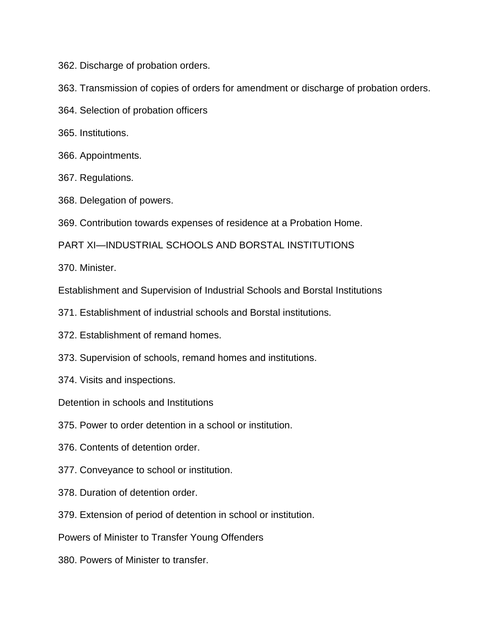362. Discharge of probation orders.

- 363. Transmission of copies of orders for amendment or discharge of probation orders.
- 364. Selection of probation officers
- 365. Institutions.
- 366. Appointments.
- 367. Regulations.
- 368. Delegation of powers.
- 369. Contribution towards expenses of residence at a Probation Home.

PART XI—INDUSTRIAL SCHOOLS AND BORSTAL INSTITUTIONS

370. Minister.

Establishment and Supervision of Industrial Schools and Borstal Institutions

- 371. Establishment of industrial schools and Borstal institutions.
- 372. Establishment of remand homes.
- 373. Supervision of schools, remand homes and institutions.
- 374. Visits and inspections.

Detention in schools and Institutions

- 375. Power to order detention in a school or institution.
- 376. Contents of detention order.
- 377. Conveyance to school or institution.
- 378. Duration of detention order.
- 379. Extension of period of detention in school or institution.

Powers of Minister to Transfer Young Offenders

380. Powers of Minister to transfer.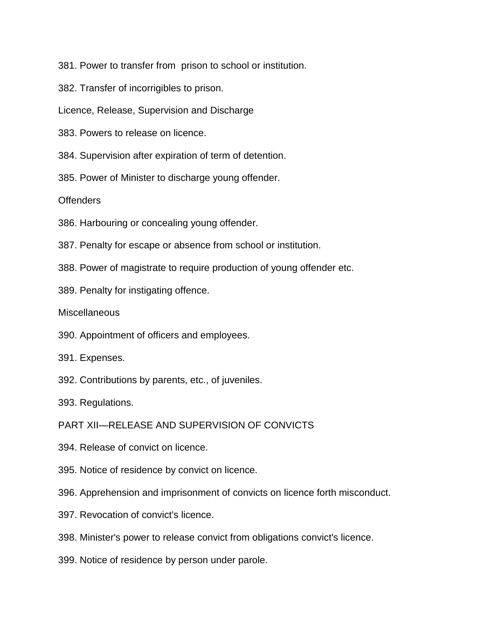381. Power to transfer from prison to school or institution.

382. Transfer of incorrigibles to prison.

Licence, Release, Supervision and Discharge

383. Powers to release on licence.

384. Supervision after expiration of term of detention.

385. Power of Minister to discharge young offender.

**Offenders** 

386. Harbouring or concealing young offender.

387. Penalty for escape or absence from school or institution.

- 388. Power of magistrate to require production of young offender etc.
- 389. Penalty for instigating offence.

**Miscellaneous** 

390. Appointment of officers and employees.

391. Expenses.

392. Contributions by parents, etc., of juveniles.

393. Regulations.

PART XII—RELEASE AND SUPERVISION OF CONVICTS

- 394. Release of convict on licence.
- 395. Notice of residence by convict on licence.

396. Apprehension and imprisonment of convicts on licence forth misconduct.

- 397. Revocation of convict's licence.
- 398. Minister's power to release convict from obligations convict's licence.
- 399. Notice of residence by person under parole.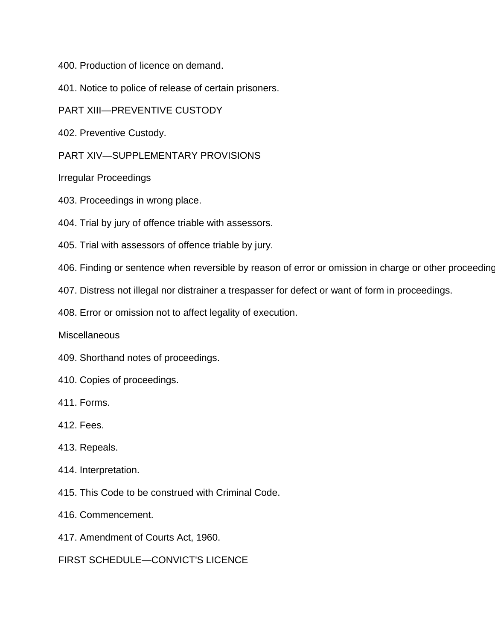400. Production of licence on demand.

401. Notice to police of release of certain prisoners.

PART XIII—PREVENTIVE CUSTODY

402. Preventive Custody.

PART XIV—SUPPLEMENTARY PROVISIONS

Irregular Proceedings

403. Proceedings in wrong place.

404. Trial by jury of offence triable with assessors.

405. Trial with assessors of offence triable by jury.

406. Finding or sentence when reversible by reason of error or omission in charge or other proceeding

407. Distress not illegal nor distrainer a trespasser for defect or want of form in proceedings.

408. Error or omission not to affect legality of execution.

**Miscellaneous** 

409. Shorthand notes of proceedings.

410. Copies of proceedings.

411. Forms.

412. Fees.

413. Repeals.

414. Interpretation.

415. This Code to be construed with Criminal Code.

416. Commencement.

417. Amendment of Courts Act, 1960.

FIRST SCHEDULE—CONVICT'S LICENCE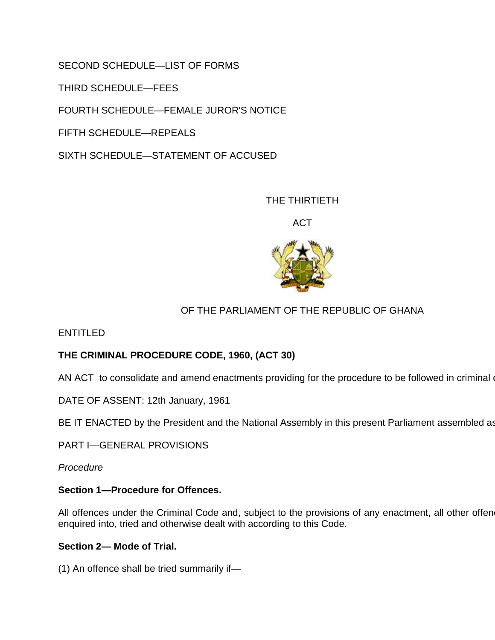SECOND SCHEDULE—LIST OF FORMS

THIRD SCHEDULE—FEES

FOURTH SCHEDULE—FEMALE JUROR'S NOTICE

FIFTH SCHEDULE—REPEALS

SIXTH SCHEDULE—STATEMENT OF ACCUSED

THE THIRTIETH

ACT



# OF THE PARLIAMENT OF THE REPUBLIC OF GHANA

ENTITLED

# **THE CRIMINAL PROCEDURE CODE, 1960, (ACT 30)**

AN ACT to consolidate and amend enactments providing for the procedure to be followed in criminal

DATE OF ASSENT: 12th January, 1961

BE IT ENACTED by the President and the National Assembly in this present Parliament assembled as

PART I—GENERAL PROVISIONS

*Procedure*

# **Section 1—Procedure for Offences.**

All offences under the Criminal Code and, subject to the provisions of any enactment, all other offen enquired into, tried and otherwise dealt with according to this Code.

# **Section 2— Mode of Trial.**

(1) An offence shall be tried summarily if—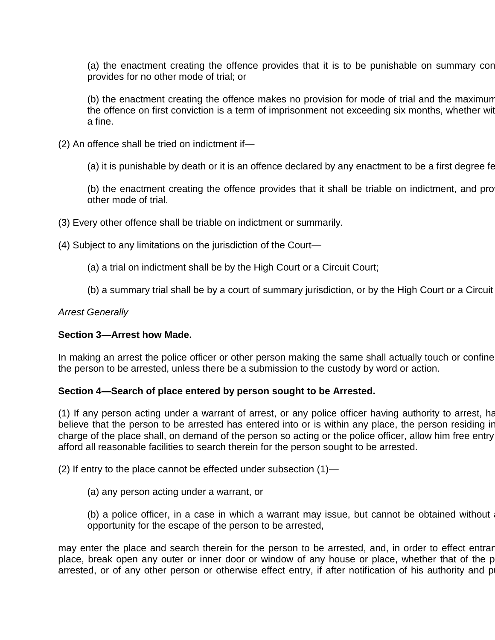(a) the enactment creating the offence provides that it is to be punishable on summary con provides for no other mode of trial; or

(b) the enactment creating the offence makes no provision for mode of trial and the maximum the offence on first conviction is a term of imprisonment not exceeding six months, whether with a fine.

(2) An offence shall be tried on indictment if—

(a) it is punishable by death or it is an offence declared by any enactment to be a first degree fe

(b) the enactment creating the offence provides that it shall be triable on indictment, and pro other mode of trial.

(3) Every other offence shall be triable on indictment or summarily.

(4) Subject to any limitations on the jurisdiction of the Court—

- (a) a trial on indictment shall be by the High Court or a Circuit Court;
- (b) a summary trial shall be by a court of summary jurisdiction, or by the High Court or a Circuit

# *Arrest Generally*

# **Section 3—Arrest how Made.**

In making an arrest the police officer or other person making the same shall actually touch or confine the person to be arrested, unless there be a submission to the custody by word or action.

# **Section 4—Search of place entered by person sought to be Arrested.**

(1) If any person acting under a warrant of arrest, or any police officer having authority to arrest, ha believe that the person to be arrested has entered into or is within any place, the person residing in charge of the place shall, on demand of the person so acting or the police officer, allow him free entry afford all reasonable facilities to search therein for the person sought to be arrested.

(2) If entry to the place cannot be effected under subsection (1)—

(a) any person acting under a warrant, or

(b) a police officer, in a case in which a warrant may issue, but cannot be obtained without opportunity for the escape of the person to be arrested,

may enter the place and search therein for the person to be arrested, and, in order to effect entrar place, break open any outer or inner door or window of any house or place, whether that of the p arrested, or of any other person or otherwise effect entry, if after notification of his authority and purpose,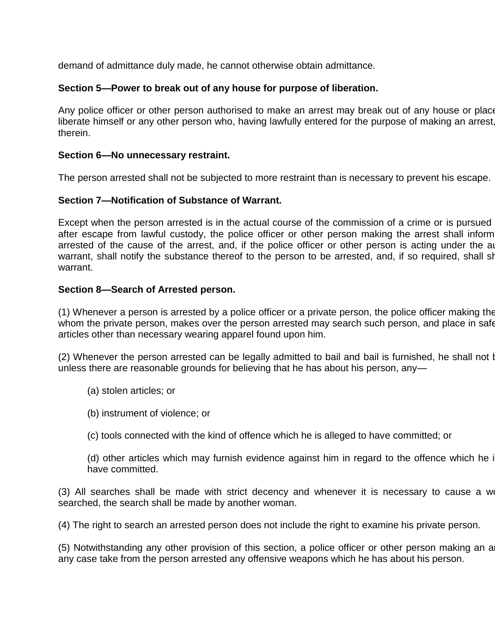demand of admittance duly made, he cannot otherwise obtain admittance.

# **Section 5—Power to break out of any house for purpose of liberation.**

Any police officer or other person authorised to make an arrest may break out of any house or place liberate himself or any other person who, having lawfully entered for the purpose of making an arrest therein.

# **Section 6—No unnecessary restraint.**

The person arrested shall not be subjected to more restraint than is necessary to prevent his escape.

# **Section 7—Notification of Substance of Warrant.**

Except when the person arrested is in the actual course of the commission of a crime or is pursued after escape from lawful custody, the police officer or other person making the arrest shall inform arrested of the cause of the arrest, and, if the police officer or other person is acting under the authority of warrant, shall notify the substance thereof to the person to be arrested, and, if so required, shall show warrant.

# **Section 8—Search of Arrested person.**

(1) Whenever a person is arrested by a police officer or a private person, the police officer making the whom the private person, makes over the person arrested may search such person, and place in safe articles other than necessary wearing apparel found upon him.

(2) Whenever the person arrested can be legally admitted to bail and bail is furnished, he shall not be searched unless there are reasonable grounds for believing that he has about his person, any—

- (a) stolen articles; or
- (b) instrument of violence; or
- (c) tools connected with the kind of offence which he is alleged to have committed; or

(d) other articles which may furnish evidence against him in regard to the offence which he is have committed.

(3) All searches shall be made with strict decency and whenever it is necessary to cause a woman to be made with strict decency and whenever it is necessary to cause a woman to be made with strict and whenever it is necess searched, the search shall be made by another woman.

(4) The right to search an arrested person does not include the right to examine his private person.

(5) Notwithstanding any other provision of this section, a police officer or other person making an a any case take from the person arrested any offensive weapons which he has about his person.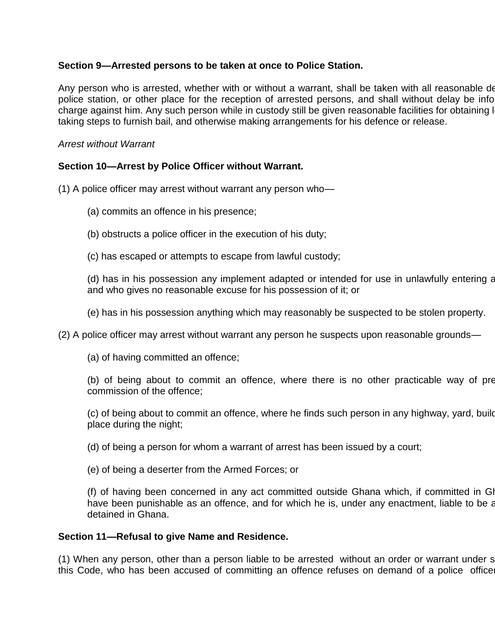# **Section 9—Arrested persons to be taken at once to Police Station.**

Any person who is arrested, whether with or without a warrant, shall be taken with all reasonable de police station, or other place for the reception of arrested persons, and shall without delay be info charge against him. Any such person while in custody still be given reasonable facilities for obtaining I taking steps to furnish bail, and otherwise making arrangements for his defence or release.

# *Arrest without Warrant*

# **Section 10—Arrest by Police Officer without Warrant.**

(1) A police officer may arrest without warrant any person who—

- (a) commits an offence in his presence;
- (b) obstructs a police officer in the execution of his duty;
- (c) has escaped or attempts to escape from lawful custody;

(d) has in his possession any implement adapted or intended for use in unlawfully entering any building and who gives no reasonable excuse for his possession of it; or

(e) has in his possession anything which may reasonably be suspected to be stolen property.

(2) A police officer may arrest without warrant any person he suspects upon reasonable grounds—

(a) of having committed an offence;

(b) of being about to commit an offence, where there is no other practicable way of pre commission of the offence;

(c) of being about to commit an offence, where he finds such person in any highway, yard, build place during the night;

(d) of being a person for whom a warrant of arrest has been issued by a court;

(e) of being a deserter from the Armed Forces; or

(f) of having been concerned in any act committed outside Ghana which, if committed in Gl have been punishable as an offence, and for which he is, under any enactment, liable to be a detained in Ghana.

# **Section 11—Refusal to give Name and Residence.**

(1) When any person, other than a person liable to be arrested without an order or warrant under section 10 this Code, who has been accused of committing an offence refuses on demand of a police office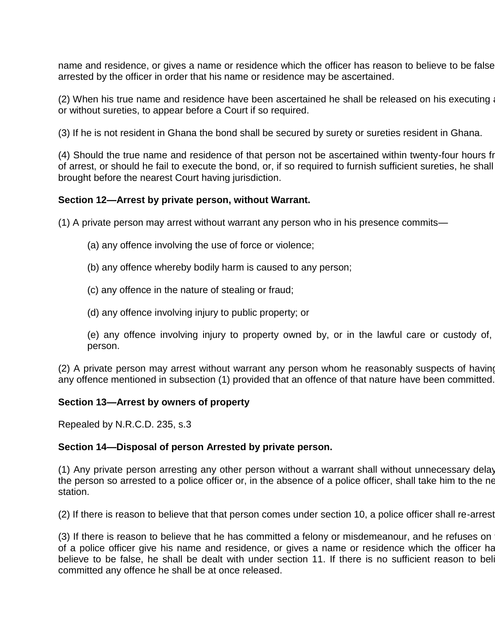name and residence, or gives a name or residence which the officer has reason to believe to be false arrested by the officer in order that his name or residence may be ascertained.

(2) When his true name and residence have been ascertained he shall be released on his executing a or without sureties, to appear before a Court if so required.

(3) If he is not resident in Ghana the bond shall be secured by surety or sureties resident in Ghana.

(4) Should the true name and residence of that person not be ascertained within twenty-four hours from of arrest, or should he fail to execute the bond, or, if so required to furnish sufficient sureties, he shall brought before the nearest Court having jurisdiction.

#### **Section 12—Arrest by private person, without Warrant.**

(1) A private person may arrest without warrant any person who in his presence commits—

- (a) any offence involving the use of force or violence;
- (b) any offence whereby bodily harm is caused to any person;
- (c) any offence in the nature of stealing or fraud;
- (d) any offence involving injury to public property; or
- (e) any offence involving injury to property owned by, or in the lawful care or custody of, person.

(2) A private person may arrest without warrant any person whom he reasonably suspects of having any offence mentioned in subsection (1) provided that an offence of that nature have been committed.

#### **Section 13—Arrest by owners of property**

Repealed by N.R.C.D. 235, s.3

#### **Section 14—Disposal of person Arrested by private person.**

(1) Any private person arresting any other person without a warrant shall without unnecessary delay the person so arrested to a police officer or, in the absence of a police officer, shall take him to the ne station.

(2) If there is reason to believe that that person comes under section 10, a police officer shall re-arrest

(3) If there is reason to believe that he has committed a felony or misdemeanour, and he refuses on of a police officer give his name and residence, or gives a name or residence which the officer has believe to be false, he shall be dealt with under section 11. If there is no sufficient reason to beli committed any offence he shall be at once released.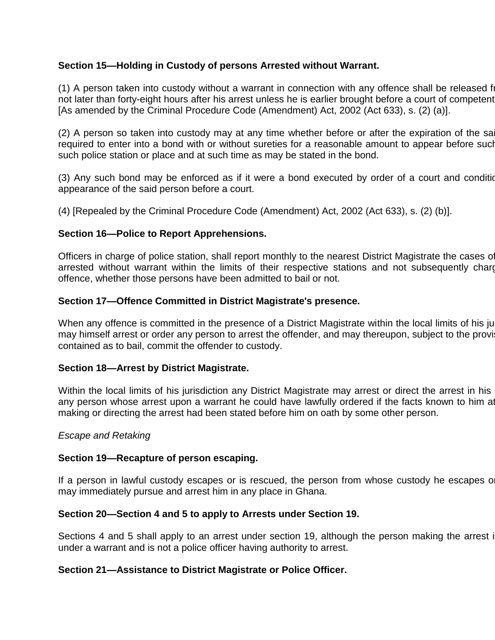# **Section 15—Holding in Custody of persons Arrested without Warrant.**

(1) A person taken into custody without a warrant in connection with any offence shall be released from custody not later than forty-eight hours after his arrest unless he is earlier brought before a court of competent [As amended by the Criminal Procedure Code (Amendment) Act, 2002 (Act 633), s. (2) (a)].

(2) A person so taken into custody may at any time whether before or after the expiration of the said period b required to enter into a bond with or without sureties for a reasonable amount to appear before such such police station or place and at such time as may be stated in the bond.

(3) Any such bond may be enforced as if it were a bond executed by order of a court and condition appearance of the said person before a court.

(4) [Repealed by the Criminal Procedure Code (Amendment) Act, 2002 (Act 633), s. (2) (b)].

# **Section 16—Police to Report Apprehensions.**

Officers in charge of police station, shall report monthly to the nearest District Magistrate the cases of arrested without warrant within the limits of their respective stations and not subsequently charged arrest with an offence, whether those persons have been admitted to bail or not.

# **Section 17—Offence Committed in District Magistrate's presence.**

When any offence is committed in the presence of a District Magistrate within the local limits of his juristion here is committed in the presence of a District Magistrate within the local limits of his ju may himself arrest or order any person to arrest the offender, and may thereupon, subject to the provi contained as to bail, commit the offender to custody.

# **Section 18—Arrest by District Magistrate.**

Within the local limits of his jurisdiction any District Magistrate may arrest or direct the arrest in his any person whose arrest upon a warrant he could have lawfully ordered if the facts known to him at making or directing the arrest had been stated before him on oath by some other person.

#### *Escape and Retaking*

#### **Section 19—Recapture of person escaping.**

If a person in lawful custody escapes or is rescued, the person from whose custody he escapes or may immediately pursue and arrest him in any place in Ghana.

# **Section 20—Section 4 and 5 to apply to Arrests under Section 19.**

Sections 4 and 5 shall apply to an arrest under section 19, although the person making the arrest is under a warrant and is not a police officer having authority to arrest.

# **Section 21—Assistance to District Magistrate or Police Officer.**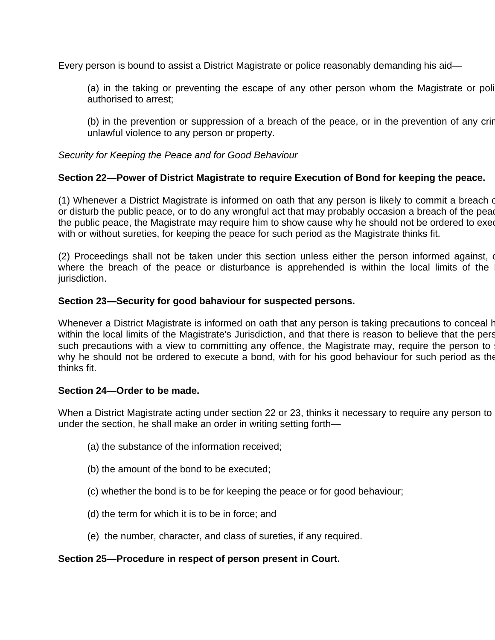Every person is bound to assist a District Magistrate or police reasonably demanding his aid—

(a) in the taking or preventing the escape of any other person whom the Magistrate or poli authorised to arrest;

(b) in the prevention or suppression of a breach of the peace, or in the prevention of any crime unlawful violence to any person or property.

# *Security for Keeping the Peace and for Good Behaviour*

# **Section 22—Power of District Magistrate to require Execution of Bond for keeping the peace.**

(1) Whenever a District Magistrate is informed on oath that any person is likely to commit a breach of or disturb the public peace, or to do any wrongful act that may probably occasion a breach of the pear the public peace, the Magistrate may require him to show cause why he should not be ordered to exer with or without sureties, for keeping the peace for such period as the Magistrate thinks fit.

(2) Proceedings shall not be taken under this section unless either the person informed against, or where the breach of the peace or disturbance is apprehended is within the local limits of the jurisdiction.

# **Section 23—Security for good bahaviour for suspected persons.**

Whenever a District Magistrate is informed on oath that any person is taking precautions to conceal his presence within the local limits of the Magistrate's Jurisdiction, and that there is reason to believe that the pers such precautions with a view to committing any offence, the Magistrate may, require the person to why he should not be ordered to execute a bond, with for his good behaviour for such period as the thinks fit.

# **Section 24—Order to be made.**

When a District Magistrate acting under section 22 or 23, thinks it necessary to require any person to under the section, he shall make an order in writing setting forth—

- (a) the substance of the information received;
- (b) the amount of the bond to be executed;
- (c) whether the bond is to be for keeping the peace or for good behaviour;
- (d) the term for which it is to be in force; and
- (e) the number, character, and class of sureties, if any required.

# **Section 25—Procedure in respect of person present in Court.**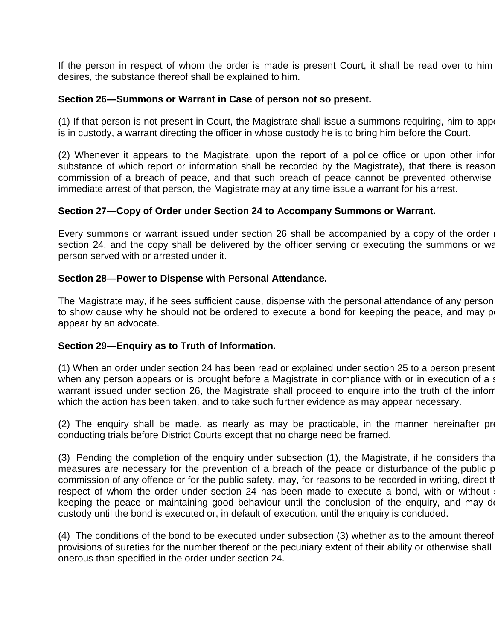If the person in respect of whom the order is made is present Court, it shall be read over to him desires, the substance thereof shall be explained to him.

#### **Section 26—Summons or Warrant in Case of person not so present.**

(1) If that person is not present in Court, the Magistrate shall issue a summons requiring, him to appenry or, if the Magistrate shall issue a summons requiring, him to appenry is in custody, a warrant directing the officer in whose custody he is to bring him before the Court.

(2) Whenever it appears to the Magistrate, upon the report of a police office or upon other infor substance of which report or information shall be recorded by the Magistrate), that there is reasor commission of a breach of peace, and that such breach of peace cannot be prevented otherwise immediate arrest of that person, the Magistrate may at any time issue a warrant for his arrest.

#### **Section 27—Copy of Order under Section 24 to Accompany Summons or Warrant.**

Every summons or warrant issued under section 26 shall be accompanied by a copy of the order  $\mathbb{I}$ section 24, and the copy shall be delivered by the officer serving or executing the summons or war person served with or arrested under it.

#### **Section 28—Power to Dispense with Personal Attendance.**

The Magistrate may, if he sees sufficient cause, dispense with the personal attendance of any person to show cause why he should not be ordered to execute a bond for keeping the peace, and may permit of appear by an advocate.

#### **Section 29—Enquiry as to Truth of Information.**

(1) When an order under section 24 has been read or explained under section 25 to a person present when any person appears or is brought before a Magistrate in compliance with or in execution of a st warrant issued under section 26, the Magistrate shall proceed to enquire into the truth of the inforr which the action has been taken, and to take such further evidence as may appear necessary.

 $(2)$  The enquiry shall be made, as nearly as may be practicable, in the manner hereinafter prescribed for conducting trials before District Courts except that no charge need be framed.

 $(3)$  Pending the completion of the enquiry under subsection  $(1)$ , the Magistrate, if he considers that measures are necessary for the prevention of a breach of the peace or disturbance of the public p commission of any offence or for the public safety, may, for reasons to be recorded in writing, direct the respect of whom the order under section 24 has been made to execute a bond, with or without keeping the peace or maintaining good behaviour until the conclusion of the enquiry, and may detained custody until the bond is executed or, in default of execution, until the enquiry is concluded.

 $(4)$  The conditions of the bond to be executed under subsection  $(3)$  whether as to the amount thereof provisions of sureties for the number thereof or the pecuniary extent of their ability or otherwise shall onerous than specified in the order under section 24.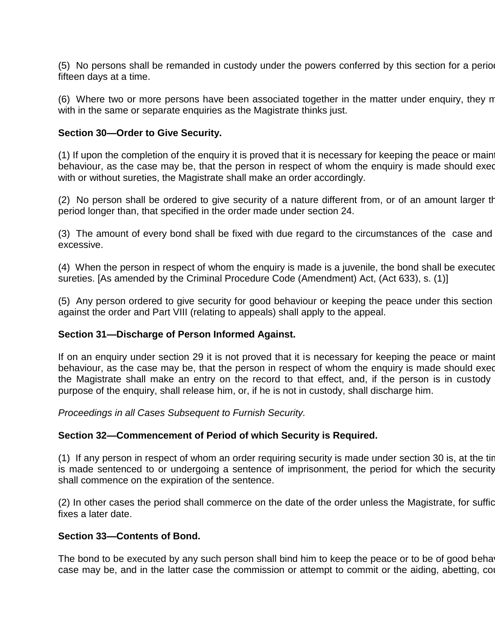(5) No persons shall be remanded in custody under the powers conferred by this section for a period fifteen days at a time.

(6) Where two or more persons have been associated together in the matter under enquiry, they m with in the same or separate enquiries as the Magistrate thinks just.

### **Section 30—Order to Give Security.**

(1) If upon the completion of the enquiry it is proved that it is necessary for keeping the peace or main behaviour, as the case may be, that the person in respect of whom the enquiry is made should exed with or without sureties, the Magistrate shall make an order accordingly.

(2) No person shall be ordered to give security of a nature different from, or of an amount larger th period longer than, that specified in the order made under section 24.

(3) The amount of every bond shall be fixed with due regard to the circumstances of the case and excessive.

(4) When the person in respect of whom the enquiry is made is a juvenile, the bond shall be executed sureties. [As amended by the Criminal Procedure Code (Amendment) Act, (Act 633), s. (1)]

(5) Any person ordered to give security for good behaviour or keeping the peace under this section against the order and Part VIII (relating to appeals) shall apply to the appeal.

#### **Section 31—Discharge of Person Informed Against.**

If on an enquiry under section 29 it is not proved that it is necessary for keeping the peace or maint behaviour, as the case may be, that the person in respect of whom the enquiry is made should exed the Magistrate shall make an entry on the record to that effect, and, if the person is in custody purpose of the enquiry, shall release him, or, if he is not in custody, shall discharge him.

*Proceedings in all Cases Subsequent to Furnish Security.*

#### **Section 32—Commencement of Period of which Security is Required.**

(1) If any person in respect of whom an order requiring security is made under section 30 is, at the tir is made sentenced to or undergoing a sentence of imprisonment, the period for which the security shall commence on the expiration of the sentence.

(2) In other cases the period shall commerce on the date of the order unless the Magistrate, for sufficient fixes a later date.

#### **Section 33—Contents of Bond.**

The bond to be executed by any such person shall bind him to keep the peace or to be of good beha case may be, and in the latter case the commission or attempt to commit or the aiding, abetting, counsel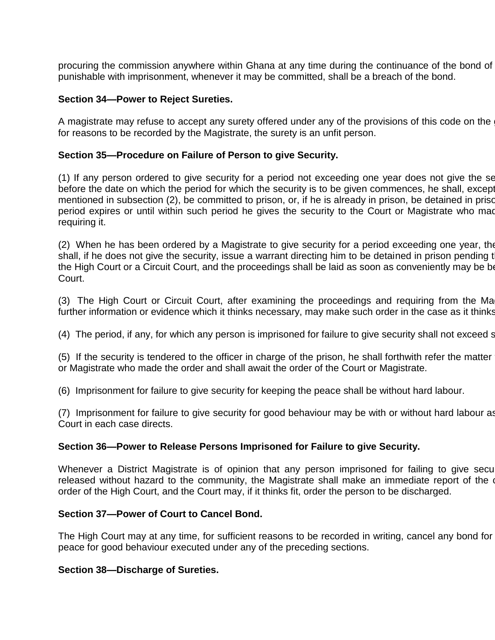procuring the commission anywhere within Ghana at any time during the continuance of the bond of punishable with imprisonment, whenever it may be committed, shall be a breach of the bond.

#### **Section 34—Power to Reject Sureties.**

A magistrate may refuse to accept any surety offered under any of the provisions of this code on the for reasons to be recorded by the Magistrate, the surety is an unfit person.

#### **Section 35—Procedure on Failure of Person to give Security.**

(1) If any person ordered to give security for a period not exceeding one year does not give the se before the date on which the period for which the security is to be given commences, he shall, except mentioned in subsection (2), be committed to prison, or, if he is already in prison, be detained in prison period expires or until within such period he gives the security to the Court or Magistrate who made requiring it.

(2) When he has been ordered by a Magistrate to give security for a period exceeding one year, the shall, if he does not give the security, issue a warrant directing him to be detained in prison pending t the High Court or a Circuit Court, and the proceedings shall be laid as soon as conveniently may be be Court.

(3) The High Court or Circuit Court, after examining the proceedings and requiring from the Ma further information or evidence which it thinks necessary, may make such order in the case as it thinks

(4) The period, if any, for which any person is imprisoned for failure to give security shall not exceed s

 $(5)$  If the security is tendered to the officer in charge of the prison, he shall forthwith refer the matter or Magistrate who made the order and shall await the order of the Court or Magistrate.

(6) Imprisonment for failure to give security for keeping the peace shall be without hard labour.

(7) Imprisonment for failure to give security for good behaviour may be with or without hard labour as Court in each case directs.

#### **Section 36—Power to Release Persons Imprisoned for Failure to give Security.**

Whenever a District Magistrate is of opinion that any person imprisoned for failing to give security released without hazard to the community, the Magistrate shall make an immediate report of the order of the High Court, and the Court may, if it thinks fit, order the person to be discharged.

#### **Section 37—Power of Court to Cancel Bond.**

The High Court may at any time, for sufficient reasons to be recorded in writing, cancel any bond for peace for good behaviour executed under any of the preceding sections.

#### **Section 38—Discharge of Sureties.**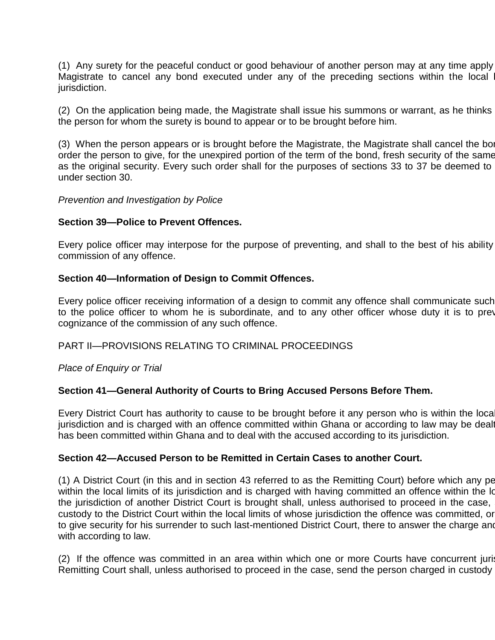(1) Any surety for the peaceful conduct or good behaviour of another person may at any time apply Magistrate to cancel any bond executed under any of the preceding sections within the local jurisdiction.

(2) On the application being made, the Magistrate shall issue his summons or warrant, as he thinks the person for whom the surety is bound to appear or to be brought before him.

(3) When the person appears or is brought before the Magistrate, the Magistrate shall cancel the bond and shall and shall and shall cancel the bond and shall and shall cancel the bond shall cancel the bond shall cancel the order the person to give, for the unexpired portion of the term of the bond, fresh security of the same as the original security. Every such order shall for the purposes of sections 33 to 37 be deemed to under section 30.

#### *Prevention and Investigation by Police*

#### **Section 39—Police to Prevent Offences.**

Every police officer may interpose for the purpose of preventing, and shall to the best of his ability commission of any offence.

#### **Section 40—Information of Design to Commit Offences.**

Every police officer receiving information of a design to commit any offence shall communicate such to the police officer to whom he is subordinate, and to any other officer whose duty it is to prev cognizance of the commission of any such offence.

#### PART II—PROVISIONS RELATING TO CRIMINAL PROCEEDINGS

*Place of Enquiry or Trial*

#### **Section 41—General Authority of Courts to Bring Accused Persons Before Them.**

Every District Court has authority to cause to be brought before it any person who is within the local jurisdiction and is charged with an offence committed within Ghana or according to law may be dealt has been committed within Ghana and to deal with the accused according to its jurisdiction.

#### **Section 42—Accused Person to be Remitted in Certain Cases to another Court.**

(1) A District Court (in this and in section 43 referred to as the Remitting Court) before which any person who is within the local limits of its jurisdiction and is charged with having committed an offence within the Id the jurisdiction of another District Court is brought shall, unless authorised to proceed in the case, custody to the District Court within the local limits of whose jurisdiction the offence was committed, or to give security for his surrender to such last-mentioned District Court, there to answer the charge and with according to law.

(2) If the offence was committed in an area within which one or more Courts have concurrent juris Remitting Court shall, unless authorised to proceed in the case, send the person charged in custody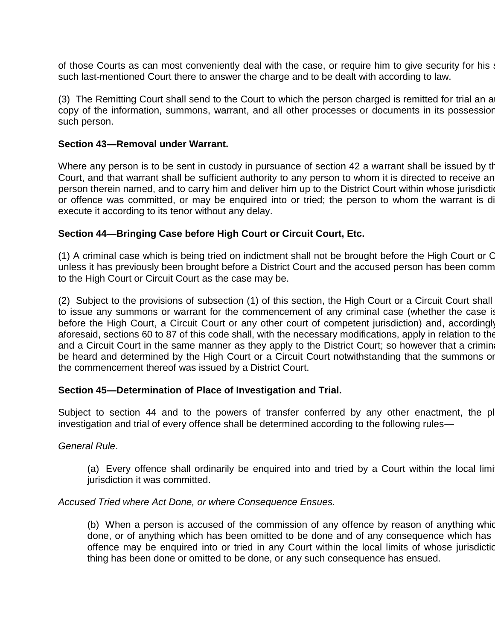of those Courts as can most conveniently deal with the case, or require him to give security for his such last-mentioned Court there to answer the charge and to be dealt with according to law.

(3) The Remitting Court shall send to the Court to which the person charged is remitted for trial an a copy of the information, summons, warrant, and all other processes or documents in its possession such person.

#### **Section 43—Removal under Warrant.**

Where any person is to be sent in custody in pursuance of section 42 a warrant shall be issued by the Remitting Court, and that warrant shall be sufficient authority to any person to whom it is directed to receive an person therein named, and to carry him and deliver him up to the District Court within whose jurisdiction or offence was committed, or may be enquired into or tried; the person to whom the warrant is directed shall execute it according to its tenor without any delay.

# **Section 44—Bringing Case before High Court or Circuit Court, Etc.**

(1) A criminal case which is being tried on indictment shall not be brought before the High Court or C unless it has previously been brought before a District Court and the accused person has been comm to the High Court or Circuit Court as the case may be.

(2) Subject to the provisions of subsection (1) of this section, the High Court or a Circuit Court shall to issue any summons or warrant for the commencement of any criminal case (whether the case is before the High Court, a Circuit Court or any other court of competent jurisdiction) and, accordingly aforesaid, sections 60 to 87 of this code shall, with the necessary modifications, apply in relation to the and a Circuit Court in the same manner as they apply to the District Court; so however that a crimin be heard and determined by the High Court or a Circuit Court notwithstanding that the summons or the commencement thereof was issued by a District Court.

# **Section 45—Determination of Place of Investigation and Trial.**

Subject to section 44 and to the powers of transfer conferred by any other enactment, the place for the place for the the formula superior. investigation and trial of every offence shall be determined according to the following rules—

# *General Rule*.

(a) Every offence shall ordinarily be enquired into and tried by a Court within the local limit jurisdiction it was committed.

# *Accused Tried where Act Done, or where Consequence Ensues.*

(b) When a person is accused of the commission of any offence by reason of anything which done, or of anything which has been omitted to be done and of any consequence which has offence may be enquired into or tried in any Court within the local limits of whose jurisdiction thing has been done or omitted to be done, or any such consequence has ensued.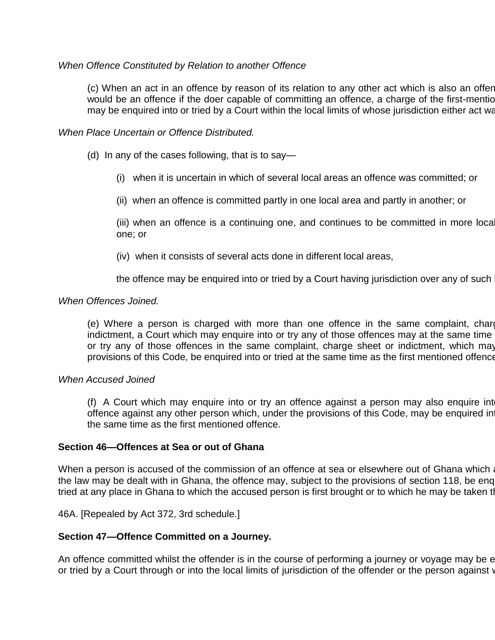# *When Offence Constituted by Relation to another Offence*

(c) When an act in an offence by reason of its relation to any other act which is also an offen would be an offence if the doer capable of committing an offence, a charge of the first-mention may be enquired into or tried by a Court within the local limits of whose jurisdiction either act was

# *When Place Uncertain or Offence Distributed.*

- (d) In any of the cases following, that is to say—
	- (i) when it is uncertain in which of several local areas an offence was committed; or
	- (ii) when an offence is committed partly in one local area and partly in another; or

(iii) when an offence is a continuing one, and continues to be committed in more loca one; or

(iv) when it consists of several acts done in different local areas,

the offence may be enquired into or tried by a Court having jurisdiction over any of such

# *When Offences Joined.*

(e) Where a person is charged with more than one offence in the same complaint, charge indictment, a Court which may enquire into or try any of those offences may at the same time or try any of those offences in the same complaint, charge sheet or indictment, which may provisions of this Code, be enquired into or tried at the same time as the first mentioned offence

# *When Accused Joined*

(f) A Court which may enquire into or try an offence against a person may also enquire int offence against any other person which, under the provisions of this Code, may be enquired in the same time as the first mentioned offence.

# **Section 46—Offences at Sea or out of Ghana**

When a person is accused of the commission of an offence at sea or elsewhere out of Ghana which a the law may be dealt with in Ghana, the offence may, subject to the provisions of section 118, be enquired of tried at any place in Ghana to which the accused person is first brought or to which he may be taken thereafter.

46A. [Repealed by Act 372, 3rd schedule.]

# **Section 47—Offence Committed on a Journey.**

An offence committed whilst the offender is in the course of performing a journey or voyage may be e or tried by a Court through or into the local limits of jurisdiction of the offender or the person against whom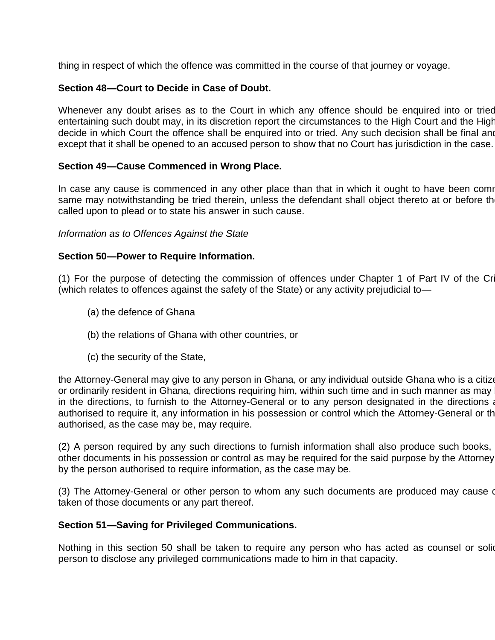thing in respect of which the offence was committed in the course of that journey or voyage.

# **Section 48—Court to Decide in Case of Doubt.**

Whenever any doubt arises as to the Court in which any offence should be enquired into or tried entertaining such doubt may, in its discretion report the circumstances to the High Court and the High decide in which Court the offence shall be enquired into or tried. Any such decision shall be final and except that it shall be opened to an accused person to show that no Court has jurisdiction in the case.

# **Section 49—Cause Commenced in Wrong Place.**

In case any cause is commenced in any other place than that in which it ought to have been comr same may notwithstanding be tried therein, unless the defendant shall object thereto at or before th called upon to plead or to state his answer in such cause.

#### *Information as to Offences Against the State*

# **Section 50—Power to Require Information.**

(1) For the purpose of detecting the commission of offences under Chapter 1 of Part IV of the Criminal Code (which relates to offences against the safety of the State) or any activity prejudicial to—

- (a) the defence of Ghana
- (b) the relations of Ghana with other countries, or
- (c) the security of the State,

the Attorney-General may give to any person in Ghana, or any individual outside Ghana who is a citize or ordinarily resident in Ghana, directions requiring him, within such time and in such manner as may in the directions, to furnish to the Attorney-General or to any person designated in the directions a authorised to require it, any information in his possession or control which the Attorney-General or th authorised, as the case may be, may require.

(2) A person required by any such directions to furnish information shall also produce such books, other documents in his possession or control as may be required for the said purpose by the Attorney by the person authorised to require information, as the case may be.

(3) The Attorney-General or other person to whom any such documents are produced may cause or taken of those documents or any part thereof.

# **Section 51—Saving for Privileged Communications.**

Nothing in this section 50 shall be taken to require any person who has acted as counsel or solic person to disclose any privileged communications made to him in that capacity.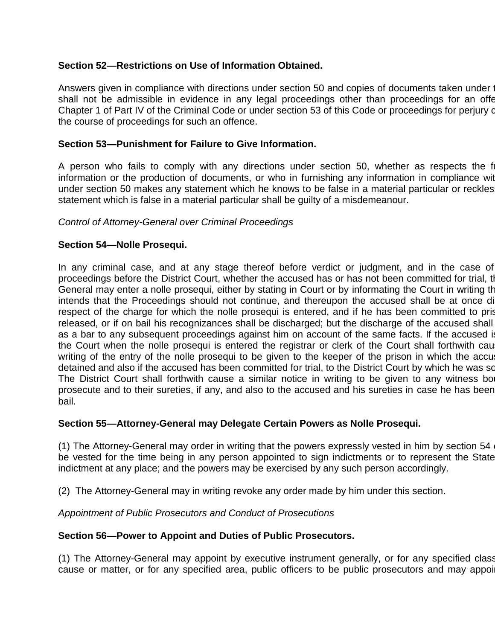# **Section 52—Restrictions on Use of Information Obtained.**

Answers given in compliance with directions under section 50 and copies of documents taken under shall not be admissible in evidence in any legal proceedings other than proceedings for an offer Chapter 1 of Part IV of the Criminal Code or under section 53 of this Code or proceedings for perjury or the course of proceedings for such an offence.

## **Section 53—Punishment for Failure to Give Information.**

A person who fails to comply with any directions under section 50, whether as respects the f information or the production of documents, or who in furnishing any information in compliance with under section 50 makes any statement which he knows to be false in a material particular or reckles statement which is false in a material particular shall be guilty of a misdemeanour.

# *Control of Attorney-General over Criminal Proceedings*

# **Section 54—Nolle Prosequi.**

In any criminal case, and at any stage thereof before verdict or judgment, and in the case of proceedings before the District Court, whether the accused has or has not been committed for trial, the Attarney-General may enter a nolle prosequi, either by stating in Court or by informating the Court in writing the intends that the Proceedings should not continue, and thereupon the accused shall be at once di respect of the charge for which the nolle prosequi is entered, and if he has been committed to pris released, or if on bail his recognizances shall be discharged; but the discharge of the accused shall as a bar to any subsequent proceedings against him on account of the same facts. If the accused is the Court when the nolle prosequi is entered the registrar or clerk of the Court shall forthwith cau writing of the entry of the nolle prosequi to be given to the keeper of the prison in which the accu detained and also if the accused has been committed for trial, to the District Court by which he was so The District Court shall forthwith cause a similar notice in writing to be given to any witness bo prosecute and to their sureties, if any, and also to the accused and his sureties in case he has been bail.

## **Section 55—Attorney-General may Delegate Certain Powers as Nolle Prosequi.**

(1) The Attorney-General may order in writing that the powers expressly vested in him by section  $54<sub>1</sub>$ be vested for the time being in any person appointed to sign indictments or to represent the State indictment at any place; and the powers may be exercised by any such person accordingly.

(2) The Attorney-General may in writing revoke any order made by him under this section.

*Appointment of Public Prosecutors and Conduct of Prosecutions*

## **Section 56—Power to Appoint and Duties of Public Prosecutors.**

(1) The Attorney-General may appoint by executive instrument generally, or for any specified class cause or matter, or for any specified area, public officers to be public prosecutors and may appoi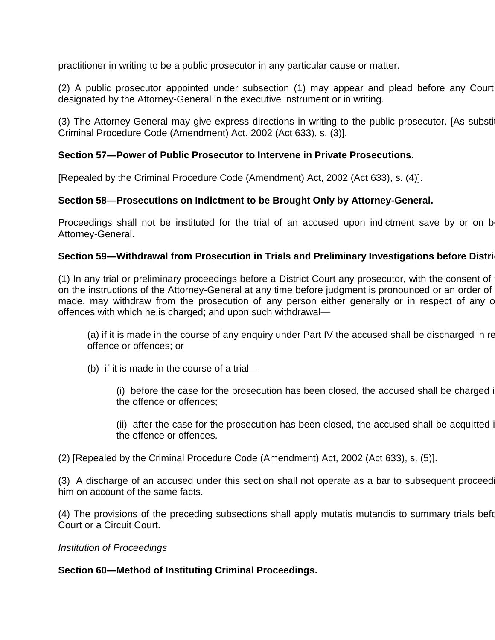practitioner in writing to be a public prosecutor in any particular cause or matter.

(2) A public prosecutor appointed under subsection (1) may appear and plead before any Court designated by the Attorney-General in the executive instrument or in writing.

(3) The Attorney-General may give express directions in writing to the public prosecutor. [As substituted by the by the by the by the Attorney-General may give express directions in writing to the public prosecutor. [As su Criminal Procedure Code (Amendment) Act, 2002 (Act 633), s. (3)].

# **Section 57—Power of Public Prosecutor to Intervene in Private Prosecutions.**

[Repealed by the Criminal Procedure Code (Amendment) Act, 2002 (Act 633), s. (4)].

# **Section 58—Prosecutions on Indictment to be Brought Only by Attorney-General.**

Proceedings shall not be instituted for the trial of an accused upon indictment save by or on b Attorney-General.

## **Section 59—Withdrawal from Prosecution in Trials and Preliminary Investigations before Distri**

(1) In any trial or preliminary proceedings before a District Court any prosecutor, with the consent of on the instructions of the Attorney-General at any time before judgment is pronounced or an order of made, may withdraw from the prosecution of any person either generally or in respect of any o offences with which he is charged; and upon such withdrawal—

(a) if it is made in the course of any enquiry under Part IV the accused shall be discharged in re offence or offences; or

(b) if it is made in the course of a trial—

(i) before the case for the prosecution has been closed, the accused shall be charged in the offence or offences;

(ii) after the case for the prosecution has been closed, the accused shall be acquitted in the offence or offences.

(2) [Repealed by the Criminal Procedure Code (Amendment) Act, 2002 (Act 633), s. (5)].

(3) A discharge of an accused under this section shall not operate as a bar to subsequent proceed him on account of the same facts.

(4) The provisions of the preceding subsections shall apply mutatis mutandis to summary trials before Court or a Circuit Court.

#### *Institution of Proceedings*

## **Section 60—Method of Instituting Criminal Proceedings.**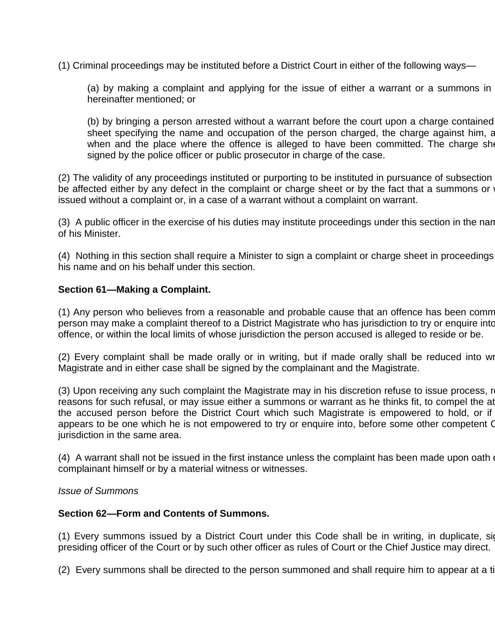(1) Criminal proceedings may be instituted before a District Court in either of the following ways—

(a) by making a complaint and applying for the issue of either a warrant or a summons in hereinafter mentioned; or

(b) by bringing a person arrested without a warrant before the court upon a charge contained sheet specifying the name and occupation of the person charged, the charge against him, and the time the time when and the place where the offence is alleged to have been committed. The charge she signed by the police officer or public prosecutor in charge of the case.

(2) The validity of any proceedings instituted or purporting to be instituted in pursuance of subsection be affected either by any defect in the complaint or charge sheet or by the fact that a summons or issued without a complaint or, in a case of a warrant without a complaint on warrant.

(3) A public officer in the exercise of his duties may institute proceedings under this section in the nan of his Minister.

(4) Nothing in this section shall require a Minister to sign a complaint or charge sheet in proceedings his name and on his behalf under this section.

### **Section 61—Making a Complaint.**

(1) Any person who believes from a reasonable and probable cause that an offence has been comm person may make a complaint thereof to a District Magistrate who has jurisdiction to try or enquire into offence, or within the local limits of whose jurisdiction the person accused is alleged to reside or be.

(2) Every complaint shall be made orally or in writing, but if made orally shall be reduced into wr Magistrate and in either case shall be signed by the complainant and the Magistrate.

(3) Upon receiving any such complaint the Magistrate may in his discretion refuse to issue process, recording reasons for such refusal, or may issue either a summons or warrant as he thinks fit, to compel the at the accused person before the District Court which such Magistrate is empowered to hold, or if appears to be one which he is not empowered to try or enquire into, before some other competent O jurisdiction in the same area.

(4) A warrant shall not be issued in the first instance unless the complaint has been made upon oath  $\epsilon$ complainant himself or by a material witness or witnesses.

#### *Issue of Summons*

#### **Section 62—Form and Contents of Summons.**

(1) Every summons issued by a District Court under this Code shall be in writing, in duplicate, signed by a District Court under this Code shall be in writing, in duplicate, signed presiding officer of the Court or by such other officer as rules of Court or the Chief Justice may direct.

(2) Every summons shall be directed to the person summoned and shall require him to appear at a time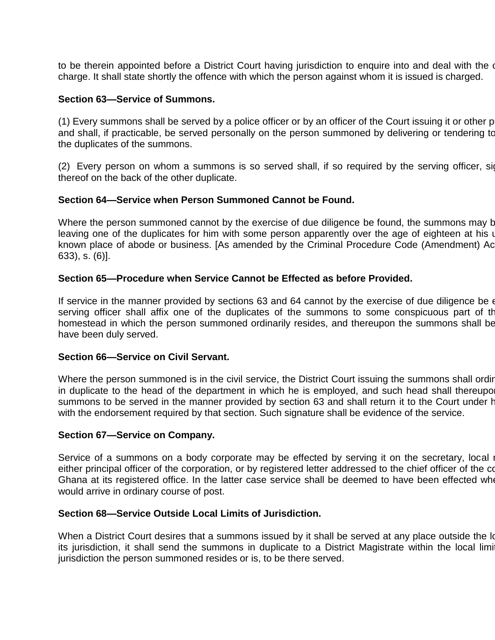to be therein appointed before a District Court having jurisdiction to enquire into and deal with the or charge. It shall state shortly the offence with which the person against whom it is issued is charged.

### **Section 63—Service of Summons.**

 $(1)$  Every summons shall be served by a police officer or by an officer of the Court issuing it or other public of and shall, if practicable, be served personally on the person summoned by delivering or tendering to the duplicates of the summons.

(2) Every person on whom a summons is so served shall, if so required by the serving officer, sign thereof on the back of the other duplicate.

### **Section 64—Service when Person Summoned Cannot be Found.**

Where the person summoned cannot by the exercise of due diligence be found, the summons may b leaving one of the duplicates for him with some person apparently over the age of eighteen at his usual or last known place of abode or business. [As amended by the Criminal Procedure Code (Amendment) Ac 633), s. (6)].

### **Section 65—Procedure when Service Cannot be Effected as before Provided.**

If service in the manner provided by sections 63 and 64 cannot by the exercise of due diligence be  $\epsilon$ serving officer shall affix one of the duplicates of the summons to some conspicuous part of the homestead in which the person summoned ordinarily resides, and thereupon the summons shall be have been duly served.

### **Section 66—Service on Civil Servant.**

Where the person summoned is in the civil service, the District Court issuing the summons shall ordinary in duplicate to the head of the department in which he is employed, and such head shall thereupo summons to be served in the manner provided by section 63 and shall return it to the Court under his with the endorsement required by that section. Such signature shall be evidence of the service.

#### **Section 67—Service on Company.**

Service of a summons on a body corporate may be effected by serving it on the secretary, local i either principal officer of the corporation, or by registered letter addressed to the chief officer of the co Ghana at its registered office. In the latter case service shall be deemed to have been effected whe would arrive in ordinary course of post.

#### **Section 68—Service Outside Local Limits of Jurisdiction.**

When a District Court desires that a summons issued by it shall be served at any place outside the local limits of its jurisdiction, it shall send the summons in duplicate to a District Magistrate within the local limit jurisdiction the person summoned resides or is, to be there served.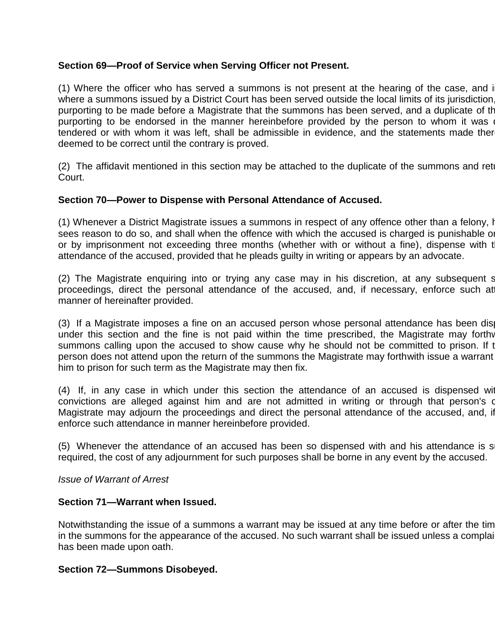## **Section 69—Proof of Service when Serving Officer not Present.**

(1) Where the officer who has served a summons is not present at the hearing of the case, and in where a summons issued by a District Court has been served outside the local limits of its jurisdiction purporting to be made before a Magistrate that the summons has been served, and a duplicate of the purporting to be endorsed in the manner hereinbefore provided by the person to whom it was tendered or with whom it was left, shall be admissible in evidence, and the statements made ther deemed to be correct until the contrary is proved.

(2) The affidavit mentioned in this section may be attached to the duplicate of the summons and ret Court.

## **Section 70—Power to Dispense with Personal Attendance of Accused.**

(1) Whenever a District Magistrate issues a summons in respect of any offence other than a felony, h sees reason to do so, and shall when the offence with which the accused is charged is punishable on or by imprisonment not exceeding three months (whether with or without a fine), dispense with the personal per attendance of the accused, provided that he pleads guilty in writing or appears by an advocate.

(2) The Magistrate enquiring into or trying any case may in his discretion, at any subsequent stage of the the proceedings, direct the personal attendance of the accused, and, if necessary, enforce such at manner of hereinafter provided.

(3) If a Magistrate imposes a fine on an accused person whose personal attendance has been dis under this section and the fine is not paid within the time prescribed, the Magistrate may forthy summons calling upon the accused to show cause why he should not be committed to prison. If the accused to accuse person does not attend upon the return of the summons the Magistrate may forthwith issue a warrant him to prison for such term as the Magistrate may then fix.

 $(4)$  If, in any case in which under this section the attendance of an accused is dispensed with convictions are alleged against him and are not admitted in writing or through that person's o Magistrate may adjourn the proceedings and direct the personal attendance of the accused, and, if enforce such attendance in manner hereinbefore provided.

(5) Whenever the attendance of an accused has been so dispensed with and his attendance is s required, the cost of any adjournment for such purposes shall be borne in any event by the accused.

#### *Issue of Warrant of Arrest*

#### **Section 71—Warrant when Issued.**

Notwithstanding the issue of a summons a warrant may be issued at any time before or after the tim in the summons for the appearance of the accused. No such warrant shall be issued unless a complaint has been made upon oath.

#### **Section 72—Summons Disobeyed.**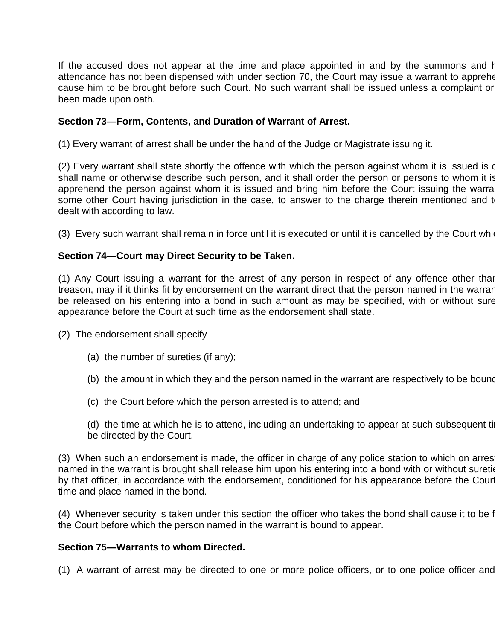If the accused does not appear at the time and place appointed in and by the summons and his attendance has not been dispensed with under section 70, the Court may issue a warrant to apprehend cause him to be brought before such Court. No such warrant shall be issued unless a complaint or been made upon oath.

### **Section 73—Form, Contents, and Duration of Warrant of Arrest.**

(1) Every warrant of arrest shall be under the hand of the Judge or Magistrate issuing it.

(2) Every warrant shall state shortly the offence with which the person against whom it is issued is of shall name or otherwise describe such person, and it shall order the person or persons to whom it is apprehend the person against whom it is issued and bring him before the Court issuing the warra some other Court having jurisdiction in the case, to answer to the charge therein mentioned and t dealt with according to law.

(3) Every such warrant shall remain in force until it is executed or until it is cancelled by the Court which

### **Section 74—Court may Direct Security to be Taken.**

(1) Any Court issuing a warrant for the arrest of any person in respect of any offence other than treason, may if it thinks fit by endorsement on the warrant direct that the person named in the warrant be released on his entering into a bond in such amount as may be specified, with or without sure appearance before the Court at such time as the endorsement shall state.

(2) The endorsement shall specify—

- (a) the number of sureties (if any);
- (b) the amount in which they and the person named in the warrant are respectively to be bound
- (c) the Court before which the person arrested is to attend; and
- (d) the time at which he is to attend, including an undertaking to appear at such subsequent ti be directed by the Court.

(3) When such an endorsement is made, the officer in charge of any police station to which on arres named in the warrant is brought shall release him upon his entering into a bond with or without sureties by that officer, in accordance with the endorsement, conditioned for his appearance before the Court time and place named in the bond.

(4) Whenever security is taken under this section the officer who takes the bond shall cause it to be f the Court before which the person named in the warrant is bound to appear.

#### **Section 75—Warrants to whom Directed.**

(1) A warrant of arrest may be directed to one or more police officers, or to one police officer and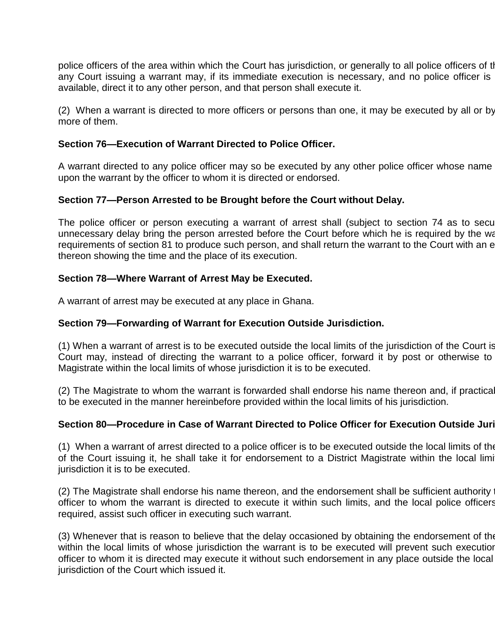police officers of the area within which the Court has jurisdiction, or generally to all police officers of tl any Court issuing a warrant may, if its immediate execution is necessary, and no police officer is available, direct it to any other person, and that person shall execute it.

(2) When a warrant is directed to more officers or persons than one, it may be executed by all or by more of them.

## **Section 76—Execution of Warrant Directed to Police Officer.**

A warrant directed to any police officer may so be executed by any other police officer whose name upon the warrant by the officer to whom it is directed or endorsed.

## **Section 77—Person Arrested to be Brought before the Court without Delay.**

The police officer or person executing a warrant of arrest shall (subject to section 74 as to security) unnecessary delay bring the person arrested before the Court before which he is required by the war requirements of section 81 to produce such person, and shall return the warrant to the Court with an e thereon showing the time and the place of its execution.

### **Section 78—Where Warrant of Arrest May be Executed.**

A warrant of arrest may be executed at any place in Ghana.

### **Section 79—Forwarding of Warrant for Execution Outside Jurisdiction.**

(1) When a warrant of arrest is to be executed outside the local limits of the jurisdiction of the Court is Court may, instead of directing the warrant to a police officer, forward it by post or otherwise to Magistrate within the local limits of whose jurisdiction it is to be executed.

(2) The Magistrate to whom the warrant is forwarded shall endorse his name thereon and, if practical to be executed in the manner hereinbefore provided within the local limits of his jurisdiction.

## **Section 80—Procedure in Case of Warrant Directed to Police Officer for Execution Outside Juri**

(1) When a warrant of arrest directed to a police officer is to be executed outside the local limits of the of the Court issuing it, he shall take it for endorsement to a District Magistrate within the local limit jurisdiction it is to be executed.

(2) The Magistrate shall endorse his name thereon, and the endorsement shall be sufficient authority officer to whom the warrant is directed to execute it within such limits, and the local police officers required, assist such officer in executing such warrant.

(3) Whenever that is reason to believe that the delay occasioned by obtaining the endorsement of the within the local limits of whose jurisdiction the warrant is to be executed will prevent such execution officer to whom it is directed may execute it without such endorsement in any place outside the local jurisdiction of the Court which issued it.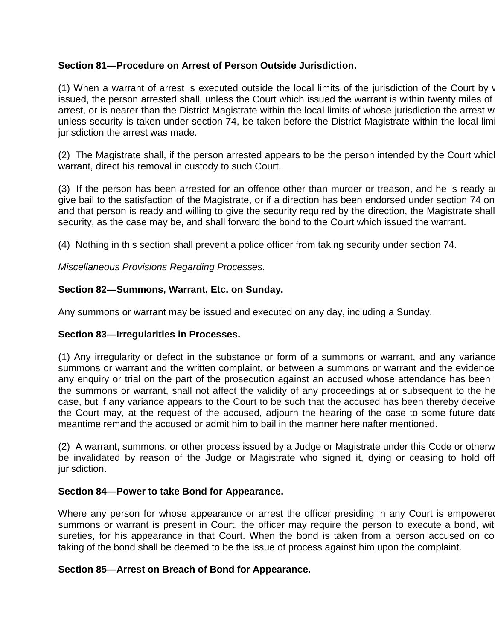# **Section 81—Procedure on Arrest of Person Outside Jurisdiction.**

(1) When a warrant of arrest is executed outside the local limits of the jurisdiction of the Court by  $\mathbf v$ issued, the person arrested shall, unless the Court which issued the warrant is within twenty miles of arrest, or is nearer than the District Magistrate within the local limits of whose jurisdiction the arrest w unless security is taken under section 74, be taken before the District Magistrate within the local lim jurisdiction the arrest was made.

(2) The Magistrate shall, if the person arrested appears to be the person intended by the Court which warrant, direct his removal in custody to such Court.

 $(3)$  If the person has been arrested for an offence other than murder or treason, and he is ready a give bail to the satisfaction of the Magistrate, or if a direction has been endorsed under section 74 on and that person is ready and willing to give the security required by the direction, the Magistrate shall security, as the case may be, and shall forward the bond to the Court which issued the warrant.

(4) Nothing in this section shall prevent a police officer from taking security under section 74.

*Miscellaneous Provisions Regarding Processes.*

## **Section 82—Summons, Warrant, Etc. on Sunday.**

Any summons or warrant may be issued and executed on any day, including a Sunday.

## **Section 83—Irregularities in Processes.**

(1) Any irregularity or defect in the substance or form of a summons or warrant, and any variance summons or warrant and the written complaint, or between a summons or warrant and the evidence any enquiry or trial on the part of the prosecution against an accused whose attendance has been the summons or warrant, shall not affect the validity of any proceedings at or subsequent to the he case, but if any variance appears to the Court to be such that the accused has been thereby deceive the Court may, at the request of the accused, adjourn the hearing of the case to some future date meantime remand the accused or admit him to bail in the manner hereinafter mentioned.

(2) A warrant, summons, or other process issued by a Judge or Magistrate under this Code or otherw be invalidated by reason of the Judge or Magistrate who signed it, dying or ceasing to hold off jurisdiction.

## **Section 84—Power to take Bond for Appearance.**

Where any person for whose appearance or arrest the officer presiding in any Court is empowered summons or warrant is present in Court, the officer may require the person to execute a bond, with sureties, for his appearance in that Court. When the bond is taken from a person accused on co taking of the bond shall be deemed to be the issue of process against him upon the complaint.

#### **Section 85—Arrest on Breach of Bond for Appearance.**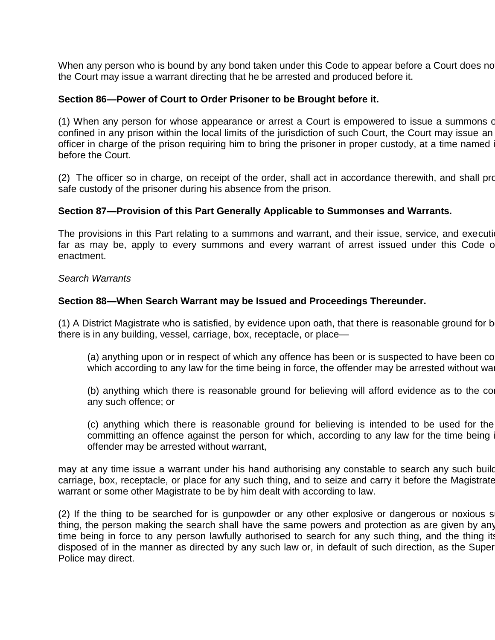When any person who is bound by any bond taken under this Code to appear before a Court does no the Court may issue a warrant directing that he be arrested and produced before it.

#### **Section 86—Power of Court to Order Prisoner to be Brought before it.**

(1) When any person for whose appearance or arrest a Court is empowered to issue a summons or confined in any prison within the local limits of the jurisdiction of such Court, the Court may issue an officer in charge of the prison requiring him to bring the prisoner in proper custody, at a time named in before the Court.

(2) The officer so in charge, on receipt of the order, shall act in accordance therewith, and shall provide for safe custody of the prisoner during his absence from the prison.

#### **Section 87—Provision of this Part Generally Applicable to Summonses and Warrants.**

The provisions in this Part relating to a summons and warrant, and their issue, service, and execution, far as may be, apply to every summons and every warrant of arrest issued under this Code or enactment.

#### *Search Warrants*

#### **Section 88—When Search Warrant may be Issued and Proceedings Thereunder.**

(1) A District Magistrate who is satisfied, by evidence upon oath, that there is reasonable ground for b there is in any building, vessel, carriage, box, receptacle, or place—

(a) anything upon or in respect of which any offence has been or is suspected to have been co which according to any law for the time being in force, the offender may be arrested without wa

(b) anything which there is reasonable ground for believing will afford evidence as to the comany such offence; or

(c) anything which there is reasonable ground for believing is intended to be used for the committing an offence against the person for which, according to any law for the time being offender may be arrested without warrant,

may at any time issue a warrant under his hand authorising any constable to search any such build carriage, box, receptacle, or place for any such thing, and to seize and carry it before the Magistrate warrant or some other Magistrate to be by him dealt with according to law.

(2) If the thing to be searched for is gunpowder or any other explosive or dangerous or noxious s thing, the person making the search shall have the same powers and protection as are given by any time being in force to any person lawfully authorised to search for any such thing, and the thing its disposed of in the manner as directed by any such law or, in default of such direction, as the Super Police may direct.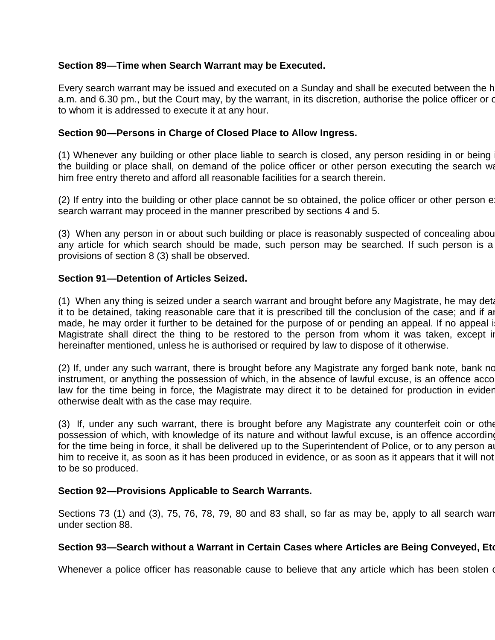# **Section 89—Time when Search Warrant may be Executed.**

Every search warrant may be issued and executed on a Sunday and shall be executed between the h a.m. and 6.30 pm., but the Court may, by the warrant, in its discretion, authorise the police officer or other to whom it is addressed to execute it at any hour.

## **Section 90—Persons in Charge of Closed Place to Allow Ingress.**

(1) Whenever any building or other place liable to search is closed, any person residing in or being the building or place shall, on demand of the police officer or other person executing the search war him free entry thereto and afford all reasonable facilities for a search therein.

 $(2)$  If entry into the building or other place cannot be so obtained, the police officer or other person e search warrant may proceed in the manner prescribed by sections 4 and 5.

(3) When any person in or about such building or place is reasonably suspected of concealing about any article for which search should be made, such person may be searched. If such person is a provisions of section 8 (3) shall be observed.

# **Section 91—Detention of Articles Seized.**

(1) When any thing is seized under a search warrant and brought before any Magistrate, he may detain it to be detained, taking reasonable care that it is prescribed till the conclusion of the case; and if any made, he may order it further to be detained for the purpose of or pending an appeal. If no appeal i Magistrate shall direct the thing to be restored to the person from whom it was taken, except in hereinafter mentioned, unless he is authorised or required by law to dispose of it otherwise.

(2) If, under any such warrant, there is brought before any Magistrate any forged bank note, bank note instrument, or anything the possession of which, in the absence of lawful excuse, is an offence according to anything the possession of which, in the absence of lawful excuse, is an offence according to anything the angle law for the time being in force, the Magistrate may direct it to be detained for production in evider otherwise dealt with as the case may require.

(3) If, under any such warrant, there is brought before any Magistrate any counterfeit coin or other possession of which, with knowledge of its nature and without lawful excuse, is an offence according for the time being in force, it shall be delivered up to the Superintendent of Police, or to any person authorised by him to receive it, as soon as it has been produced in evidence, or as soon as it appears that it will not to be so produced.

## **Section 92—Provisions Applicable to Search Warrants.**

Sections 73 (1) and (3), 75, 76, 78, 79, 80 and 83 shall, so far as may be, apply to all search warr under section 88.

## **Section 93—Search without a Warrant in Certain Cases where Articles are Being Conveyed, Etc.**

Whenever a police officer has reasonable cause to believe that any article which has been stolen or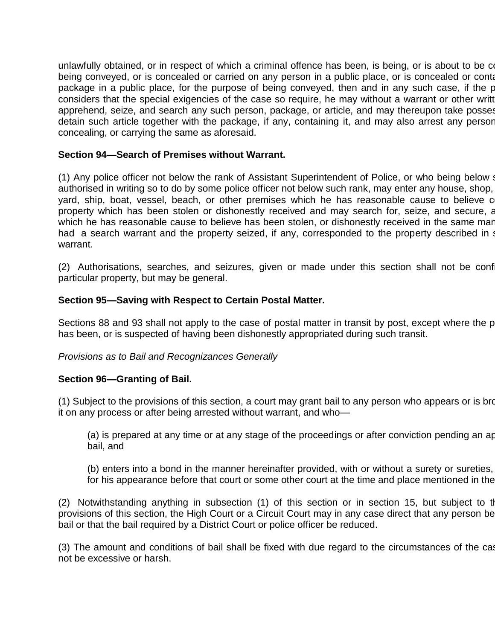unlawfully obtained, or in respect of which a criminal offence has been, is being, or is about to be combeing conveyed, or is concealed or carried on any person in a public place, or is concealed or conta package in a public place, for the purpose of being conveyed, then and in any such case, if the police of considers that the special exigencies of the case so require, he may without a warrant or other writt apprehend, seize, and search any such person, package, or article, and may thereupon take posses detain such article together with the package, if any, containing it, and may also arrest any person concealing, or carrying the same as aforesaid.

### **Section 94—Search of Premises without Warrant.**

(1) Any police officer not below the rank of Assistant Superintendent of Police, or who being below such a authorised in writing so to do by some police officer not below such rank, may enter any house, shop, yard, ship, boat, vessel, beach, or other premises which he has reasonable cause to believe c property which has been stolen or dishonestly received and may search for, seize, and secure, an which he has reasonable cause to believe has been stolen, or dishonestly received in the same mar had a search warrant and the property seized, if any, corresponded to the property described in s warrant.

(2) Authorisations, searches, and seizures, given or made under this section shall not be conf particular property, but may be general.

### **Section 95—Saving with Respect to Certain Postal Matter.**

Sections 88 and 93 shall not apply to the case of postal matter in transit by post, except where the p has been, or is suspected of having been dishonestly appropriated during such transit.

#### *Provisions as to Bail and Recognizances Generally*

#### **Section 96—Granting of Bail.**

(1) Subject to the provisions of this section, a court may grant bail to any person who appears or is brow it on any process or after being arrested without warrant, and who—

(a) is prepared at any time or at any stage of the proceedings or after conviction pending an appeal bail, and

(b) enters into a bond in the manner hereinafter provided, with or without a surety or sureties, for his appearance before that court or some other court at the time and place mentioned in the

(2) Notwithstanding anything in subsection (1) of this section or in section 15, but subject to the  $(2)$ provisions of this section, the High Court or a Circuit Court may in any case direct that any person be bail or that the bail required by a District Court or police officer be reduced.

(3) The amount and conditions of bail shall be fixed with due regard to the circumstances of the cas not be excessive or harsh.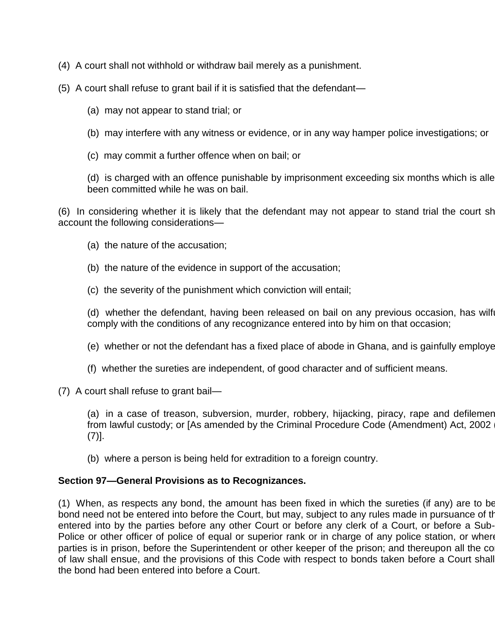- (4) A court shall not withhold or withdraw bail merely as a punishment.
- (5) A court shall refuse to grant bail if it is satisfied that the defendant—
	- (a) may not appear to stand trial; or
	- (b) may interfere with any witness or evidence, or in any way hamper police investigations; or
	- (c) may commit a further offence when on bail; or

(d) is charged with an offence punishable by imprisonment exceeding six months which is alle been committed while he was on bail.

(6) In considering whether it is likely that the defendant may not appear to stand trial the court shall account the following considerations—

- (a) the nature of the accusation;
- (b) the nature of the evidence in support of the accusation;
- (c) the severity of the punishment which conviction will entail;

(d) whether the defendant, having been released on bail on any previous occasion, has wilf comply with the conditions of any recognizance entered into by him on that occasion;

- (e) whether or not the defendant has a fixed place of abode in Ghana, and is gainfully employe
- (f) whether the sureties are independent, of good character and of sufficient means.
- (7) A court shall refuse to grant bail—

(a) in a case of treason, subversion, murder, robbery, hijacking, piracy, rape and defilemen from lawful custody; or [As amended by the Criminal Procedure Code (Amendment) Act, 2002 (7)].

(b) where a person is being held for extradition to a foreign country.

## **Section 97—General Provisions as to Recognizances.**

(1) When, as respects any bond, the amount has been fixed in which the sureties (if any) are to be bond need not be entered into before the Court, but may, subject to any rules made in pursuance of the entered into by the parties before any other Court or before any clerk of a Court, or before a Sub-Police or other officer of police of equal or superior rank or in charge of any police station, or where parties is in prison, before the Superintendent or other keeper of the prison; and thereupon all the co of law shall ensue, and the provisions of this Code with respect to bonds taken before a Court shall the bond had been entered into before a Court.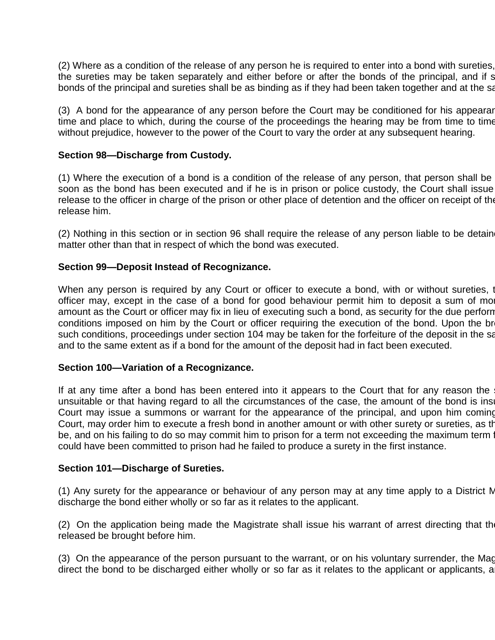(2) Where as a condition of the release of any person he is required to enter into a bond with sureties, the sureties may be taken separately and either before or after the bonds of the principal, and if s bonds of the principal and sureties shall be as binding as if they had been taken together and at the same

(3) A bond for the appearance of any person before the Court may be conditioned for his appearance time and place to which, during the course of the proceedings the hearing may be from time to time without prejudice, however to the power of the Court to vary the order at any subsequent hearing.

### **Section 98—Discharge from Custody.**

(1) Where the execution of a bond is a condition of the release of any person, that person shall be soon as the bond has been executed and if he is in prison or police custody, the Court shall issue release to the officer in charge of the prison or other place of detention and the officer on receipt of the release him.

(2) Nothing in this section or in section 96 shall require the release of any person liable to be detain matter other than that in respect of which the bond was executed.

### **Section 99—Deposit Instead of Recognizance.**

When any person is required by any Court or officer to execute a bond, with or without sureties, the Court or officer may, except in the case of a bond for good behaviour permit him to deposit a sum of mon amount as the Court or officer may fix in lieu of executing such a bond, as security for the due perforn conditions imposed on him by the Court or officer requiring the execution of the bond. Upon the br such conditions, proceedings under section 104 may be taken for the forfeiture of the deposit in the same and to the same extent as if a bond for the amount of the deposit had in fact been executed.

#### **Section 100—Variation of a Recognizance.**

If at any time after a bond has been entered into it appears to the Court that for any reason the unsuitable or that having regard to all the circumstances of the case, the amount of the bond is insu Court may issue a summons or warrant for the appearance of the principal, and upon him coming Court, may order him to execute a fresh bond in another amount or with other surety or sureties, as the be, and on his failing to do so may commit him to prison for a term not exceeding the maximum term for  $\alpha$ could have been committed to prison had he failed to produce a surety in the first instance.

#### **Section 101—Discharge of Sureties.**

(1) Any surety for the appearance or behaviour of any person may at any time apply to a District M discharge the bond either wholly or so far as it relates to the applicant.

(2) On the application being made the Magistrate shall issue his warrant of arrest directing that the released be brought before him.

(3) On the appearance of the person pursuant to the warrant, or on his voluntary surrender, the Magi direct the bond to be discharged either wholly or so far as it relates to the applicant or applicants, a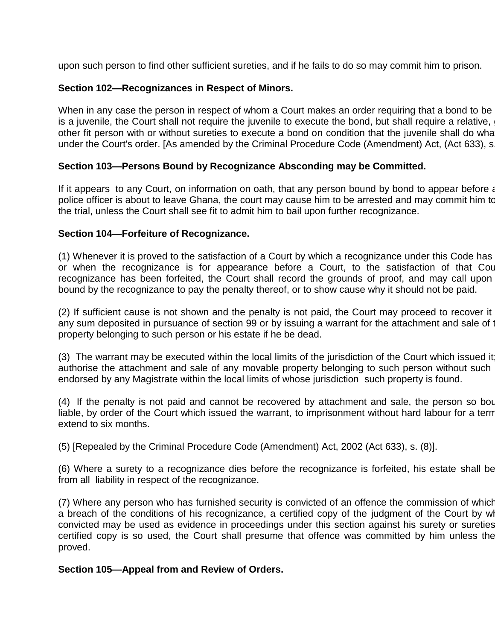upon such person to find other sufficient sureties, and if he fails to do so may commit him to prison.

## **Section 102—Recognizances in Respect of Minors.**

When in any case the person in respect of whom a Court makes an order requiring that a bond to be is a juvenile, the Court shall not require the juvenile to execute the bond, but shall require a relative, other fit person with or without sureties to execute a bond on condition that the juvenile shall do what under the Court's order. [As amended by the Criminal Procedure Code (Amendment) Act, (Act 633), s.

# **Section 103—Persons Bound by Recognizance Absconding may be Committed.**

If it appears to any Court, on information on oath, that any person bound by bond to appear before any Court, on information on oath, that any person bound by bond to appear before police officer is about to leave Ghana, the court may cause him to be arrested and may commit him to the trial, unless the Court shall see fit to admit him to bail upon further recognizance.

## **Section 104—Forfeiture of Recognizance.**

(1) Whenever it is proved to the satisfaction of a Court by which a recognizance under this Code has or when the recognizance is for appearance before a Court, to the satisfaction of that Cou recognizance has been forfeited, the Court shall record the grounds of proof, and may call upon bound by the recognizance to pay the penalty thereof, or to show cause why it should not be paid.

(2) If sufficient cause is not shown and the penalty is not paid, the Court may proceed to recover it any sum deposited in pursuance of section 99 or by issuing a warrant for the attachment and sale of the movable property belonging to such person or his estate if he be dead.

(3) The warrant may be executed within the local limits of the jurisdiction of the Court which issued it authorise the attachment and sale of any movable property belonging to such person without such endorsed by any Magistrate within the local limits of whose jurisdiction such property is found.

(4) If the penalty is not paid and cannot be recovered by attachment and sale, the person so bound the shall be shall be reconded shall and shall be readed. liable, by order of the Court which issued the warrant, to imprisonment without hard labour for a term extend to six months.

(5) [Repealed by the Criminal Procedure Code (Amendment) Act, 2002 (Act 633), s. (8)].

(6) Where a surety to a recognizance dies before the recognizance is forfeited, his estate shall be from all liability in respect of the recognizance.

(7) Where any person who has furnished security is convicted of an offence the commission of which a breach of the conditions of his recognizance, a certified copy of the judgment of the Court by wh convicted may be used as evidence in proceedings under this section against his surety or sureties certified copy is so used, the Court shall presume that offence was committed by him unless the proved.

## **Section 105—Appeal from and Review of Orders.**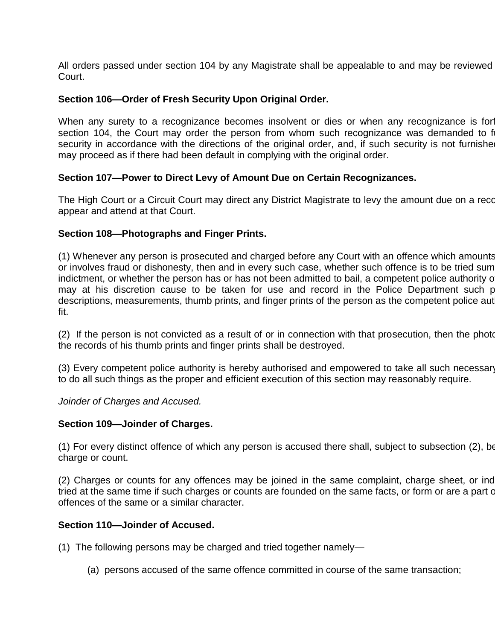All orders passed under section 104 by any Magistrate shall be appealable to and may be reviewed Court.

## **Section 106—Order of Fresh Security Upon Original Order.**

When any surety to a recognizance becomes insolvent or dies or when any recognizance is for section 104, the Court may order the person from whom such recognizance was demanded to f security in accordance with the directions of the original order, and, if such security is not furnishe may proceed as if there had been default in complying with the original order.

### **Section 107—Power to Direct Levy of Amount Due on Certain Recognizances.**

The High Court or a Circuit Court may direct any District Magistrate to levy the amount due on a reco appear and attend at that Court.

### **Section 108—Photographs and Finger Prints.**

(1) Whenever any person is prosecuted and charged before any Court with an offence which amounts or involves fraud or dishonesty, then and in every such case, whether such offence is to be tried sum indictment, or whether the person has or has not been admitted to bail, a competent police authority of may at his discretion cause to be taken for use and record in the Police Department such p descriptions, measurements, thumb prints, and finger prints of the person as the competent police aut fit.

(2) If the person is not convicted as a result of or in connection with that prosecution, then the photographs and and and and and and the photographs and the photographs and the photographs and the photographs and the pho the records of his thumb prints and finger prints shall be destroyed.

(3) Every competent police authority is hereby authorised and empowered to take all such necessary to do all such things as the proper and efficient execution of this section may reasonably require.

*Joinder of Charges and Accused.*

#### **Section 109—Joinder of Charges.**

 $(1)$  For every distinct offence of which any person is accused there shall, subject to subsection  $(2)$ , be charge or count.

(2) Charges or counts for any offences may be joined in the same complaint, charge sheet, or ind tried at the same time if such charges or counts are founded on the same facts, or form or are a part of offences of the same or a similar character.

#### **Section 110—Joinder of Accused.**

(1) The following persons may be charged and tried together namely—

(a) persons accused of the same offence committed in course of the same transaction;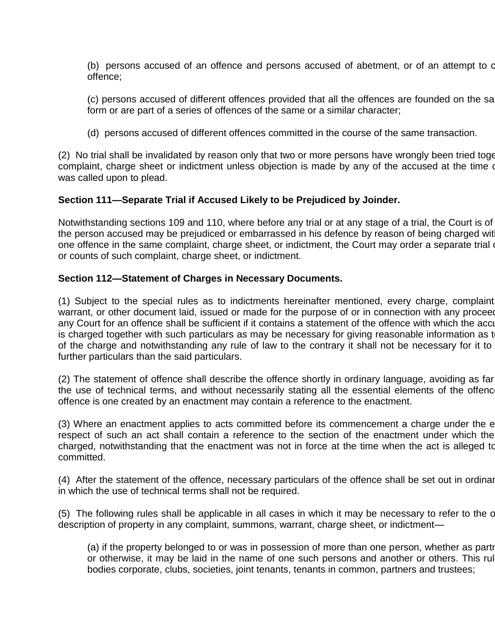(b) persons accused of an offence and persons accused of abetment, or of an attempt to c offence;

(c) persons accused of different offences provided that all the offences are founded on the same form or are part of a series of offences of the same or a similar character;

(d) persons accused of different offences committed in the course of the same transaction.

(2) No trial shall be invalidated by reason only that two or more persons have wrongly been tried together on complaint, charge sheet or indictment unless objection is made by any of the accused at the time or was called upon to plead.

## **Section 111—Separate Trial if Accused Likely to be Prejudiced by Joinder.**

Notwithstanding sections 109 and 110, where before any trial or at any stage of a trial, the Court is of the person accused may be prejudiced or embarrassed in his defence by reason of being charged with one offence in the same complaint, charge sheet, or indictment, the Court may order a separate trial or counts of such complaint, charge sheet, or indictment.

## **Section 112—Statement of Charges in Necessary Documents.**

(1) Subject to the special rules as to indictments hereinafter mentioned, every charge, complaint warrant, or other document laid, issued or made for the purpose of or in connection with any proceeding any Court for an offence shall be sufficient if it contains a statement of the offence with which the accu is charged together with such particulars as may be necessary for giving reasonable information as t of the charge and notwithstanding any rule of law to the contrary it shall not be necessary for it to further particulars than the said particulars.

(2) The statement of offence shall describe the offence shortly in ordinary language, avoiding as far the use of technical terms, and without necessarily stating all the essential elements of the offence offence is one created by an enactment may contain a reference to the enactment.

(3) Where an enactment applies to acts committed before its commencement a charge under the enactment in respect of such an act shall contain a reference to the section of the enactment under which the charged, notwithstanding that the enactment was not in force at the time when the act is alleged to committed.

(4) After the statement of the offence, necessary particulars of the offence shall be set out in ordinary in which the use of technical terms shall not be required.

(5) The following rules shall be applicable in all cases in which it may be necessary to refer to the c description of property in any complaint, summons, warrant, charge sheet, or indictment—

(a) if the property belonged to or was in possession of more than one person, whether as partr or otherwise, it may be laid in the name of one such persons and another or others. This rul bodies corporate, clubs, societies, joint tenants, tenants in common, partners and trustees;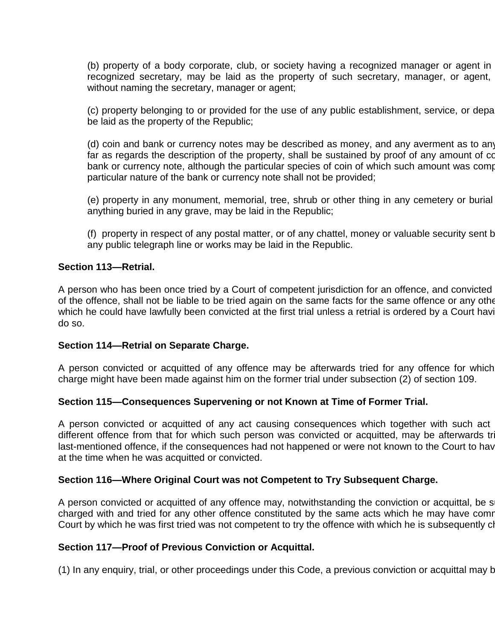(b) property of a body corporate, club, or society having a recognized manager or agent in recognized secretary, may be laid as the property of such secretary, manager, or agent, without naming the secretary, manager or agent;

(c) property belonging to or provided for the use of any public establishment, service, or depart be laid as the property of the Republic;

(d) coin and bank or currency notes may be described as money, and any averment as to any far as regards the description of the property, shall be sustained by proof of any amount of co bank or currency note, although the particular species of coin of which such amount was comp particular nature of the bank or currency note shall not be provided;

(e) property in any monument, memorial, tree, shrub or other thing in any cemetery or burial anything buried in any grave, may be laid in the Republic;

(f) property in respect of any postal matter, or of any chattel, money or valuable security sent b any public telegraph line or works may be laid in the Republic.

## **Section 113—Retrial.**

A person who has been once tried by a Court of competent jurisdiction for an offence, and convicted of the offence, shall not be liable to be tried again on the same facts for the same offence or any other which he could have lawfully been convicted at the first trial unless a retrial is ordered by a Court having do so.

## **Section 114—Retrial on Separate Charge.**

A person convicted or acquitted of any offence may be afterwards tried for any offence for which charge might have been made against him on the former trial under subsection (2) of section 109.

## **Section 115—Consequences Supervening or not Known at Time of Former Trial.**

A person convicted or acquitted of any act causing consequences which together with such act different offence from that for which such person was convicted or acquitted, may be afterwards tr last-mentioned offence, if the consequences had not happened or were not known to the Court to hav at the time when he was acquitted or convicted.

#### **Section 116—Where Original Court was not Competent to Try Subsequent Charge.**

A person convicted or acquitted of any offence may, notwithstanding the conviction or acquittal, be s charged with and tried for any other offence constituted by the same acts which he may have comr Court by which he was first tried was not competent to try the offence with which he is subsequently clarge.

#### **Section 117—Proof of Previous Conviction or Acquittal.**

(1) In any enquiry, trial, or other proceedings under this Code, a previous conviction or acquittal may b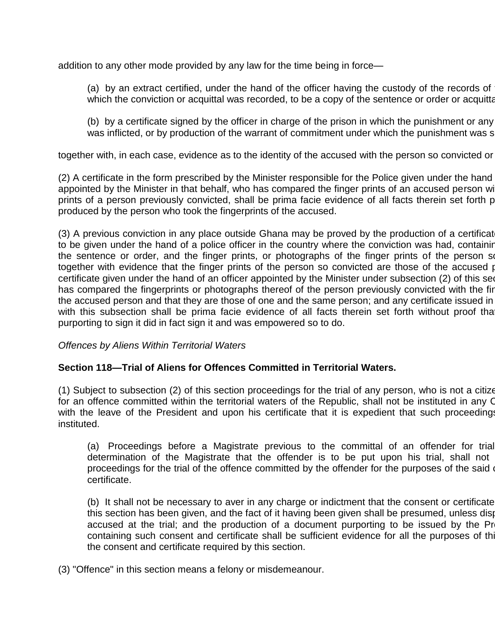addition to any other mode provided by any law for the time being in force—

(a) by an extract certified, under the hand of the officer having the custody of the records of which the conviction or acquittal was recorded, to be a copy of the sentence or order or acquitta

(b) by a certificate signed by the officer in charge of the prison in which the punishment or any was inflicted, or by production of the warrant of commitment under which the punishment was s

together with, in each case, evidence as to the identity of the accused with the person so convicted or

(2) A certificate in the form prescribed by the Minister responsible for the Police given under the hand appointed by the Minister in that behalf, who has compared the finger prints of an accused person with the finger prints of a person previously convicted, shall be prima facie evidence of all facts therein set forth p produced by the person who took the fingerprints of the accused.

(3) A previous conviction in any place outside Ghana may be proved by the production of a certificat to be given under the hand of a police officer in the country where the conviction was had, containing the sentence or order, and the finger prints, or photographs of the finger prints of the person so together with evidence that the finger prints of the person so convicted are those of the accused per certificate given under the hand of an officer appointed by the Minister under subsection (2) of this see has compared the fingerprints or photographs thereof of the person previously convicted with the fir the accused person and that they are those of one and the same person; and any certificate issued in with this subsection shall be prima facie evidence of all facts therein set forth without proof tha purporting to sign it did in fact sign it and was empowered so to do.

*Offences by Aliens Within Territorial Waters*

## **Section 118—Trial of Aliens for Offences Committed in Territorial Waters.**

 $(1)$  Subject to subsection  $(2)$  of this section proceedings for the trial of any person, who is not a citizen for an offence committed within the territorial waters of the Republic, shall not be instituted in any C with the leave of the President and upon his certificate that it is expedient that such proceedings instituted.

(a) Proceedings before a Magistrate previous to the committal of an offender for trial determination of the Magistrate that the offender is to be put upon his trial, shall not proceedings for the trial of the offence committed by the offender for the purposes of the said of certificate.

(b) It shall not be necessary to aver in any charge or indictment that the consent or certificate this section has been given, and the fact of it having been given shall be presumed, unless disputed by the fact accused at the trial; and the production of a document purporting to be issued by the Pr containing such consent and certificate shall be sufficient evidence for all the purposes of this the consent and certificate required by this section.

(3) "Offence" in this section means a felony or misdemeanour.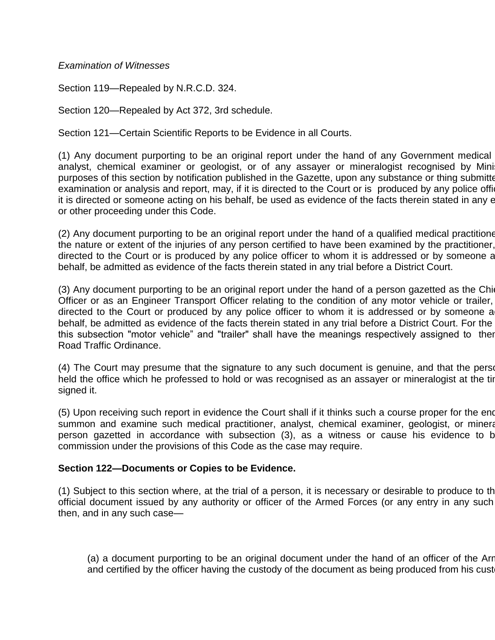## *Examination of Witnesses*

Section 119—Repealed by N.R.C.D. 324.

Section 120—Repealed by Act 372, 3rd schedule.

Section 121—Certain Scientific Reports to be Evidence in all Courts.

(1) Any document purporting to be an original report under the hand of any Government medical analyst, chemical examiner or geologist, or of any assayer or mineralogist recognised by Mini purposes of this section by notification published in the Gazette, upon any substance or thing submitted to him examination or analysis and report, may, if it is directed to the Court or is produced by any police office it is directed or someone acting on his behalf, be used as evidence of the facts therein stated in any entity, or other proceeding under this Code.

(2) Any document purporting to be an original report under the hand of a qualified medical practitioner the nature or extent of the injuries of any person certified to have been examined by the practitioner, directed to the Court or is produced by any police officer to whom it is addressed or by someone a behalf, be admitted as evidence of the facts therein stated in any trial before a District Court.

(3) Any document purporting to be an original report under the hand of a person gazetted as the Chief Officer or as an Engineer Transport Officer relating to the condition of any motor vehicle or trailer, directed to the Court or produced by any police officer to whom it is addressed or by someone a behalf, be admitted as evidence of the facts therein stated in any trial before a District Court. For the this subsection "motor vehicle" and "trailer" shall have the meanings respectively assigned to ther Road Traffic Ordinance.

(4) The Court may presume that the signature to any such document is genuine, and that the person held the office which he professed to hold or was recognised as an assayer or mineralogist at the tir signed it.

(5) Upon receiving such report in evidence the Court shall if it thinks such a course proper for the ends summon and examine such medical practitioner, analyst, chemical examiner, geologist, or mineral person gazetted in accordance with subsection (3), as a witness or cause his evidence to b commission under the provisions of this Code as the case may require.

## **Section 122—Documents or Copies to be Evidence.**

(1) Subject to this section where, at the trial of a person, it is necessary or desirable to produce to the official document issued by any authority or officer of the Armed Forces (or any entry in any such then, and in any such case—

(a) a document purporting to be an original document under the hand of an officer of the Arr and certified by the officer having the custody of the document as being produced from his cust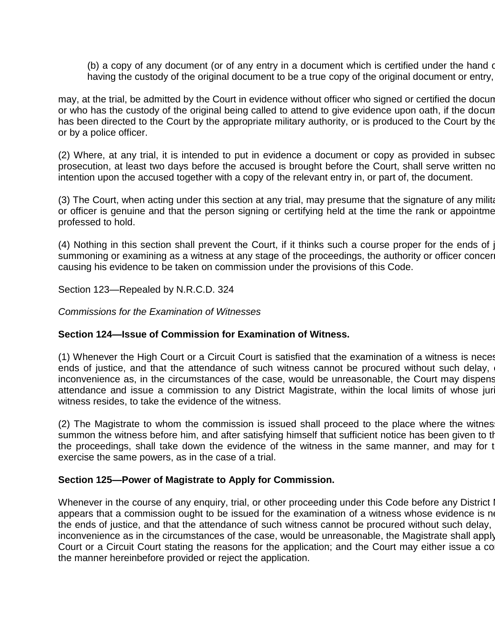(b) a copy of any document (or of any entry in a document which is certified under the hand of having the custody of the original document to be a true copy of the original document or entry,

may, at the trial, be admitted by the Court in evidence without officer who signed or certified the docun or who has the custody of the original being called to attend to give evidence upon oath, if the docun has been directed to the Court by the appropriate military authority, or is produced to the Court by the or by a police officer.

(2) Where, at any trial, it is intended to put in evidence a document or copy as provided in subsection. prosecution, at least two days before the accused is brought before the Court, shall serve written no intention upon the accused together with a copy of the relevant entry in, or part of, the document.

(3) The Court, when acting under this section at any trial, may presume that the signature of any military or officer is genuine and that the person signing or certifying held at the time the rank or appointme professed to hold.

(4) Nothing in this section shall prevent the Court, if it thinks such a course proper for the ends of  $j$ summoning or examining as a witness at any stage of the proceedings, the authority or officer concer causing his evidence to be taken on commission under the provisions of this Code.

Section 123—Repealed by N.R.C.D. 324

*Commissions for the Examination of Witnesses*

## **Section 124—Issue of Commission for Examination of Witness.**

(1) Whenever the High Court or a Circuit Court is satisfied that the examination of a witness is neces ends of justice, and that the attendance of such witness cannot be procured without such delay, inconvenience as, in the circumstances of the case, would be unreasonable, the Court may dispens attendance and issue a commission to any District Magistrate, within the local limits of whose jur witness resides, to take the evidence of the witness.

(2) The Magistrate to whom the commission is issued shall proceed to the place where the witnes summon the witness before him, and after satisfying himself that sufficient notice has been given to the the proceedings, shall take down the evidence of the witness in the same manner, and may for t exercise the same powers, as in the case of a trial.

#### **Section 125—Power of Magistrate to Apply for Commission.**

Whenever in the course of any enquiry, trial, or other proceeding under this Code before any District It appears that a commission ought to be issued for the examination of a witness whose evidence is ne the ends of justice, and that the attendance of such witness cannot be procured without such delay, inconvenience as in the circumstances of the case, would be unreasonable, the Magistrate shall apply Court or a Circuit Court stating the reasons for the application; and the Court may either issue a comthe manner hereinbefore provided or reject the application.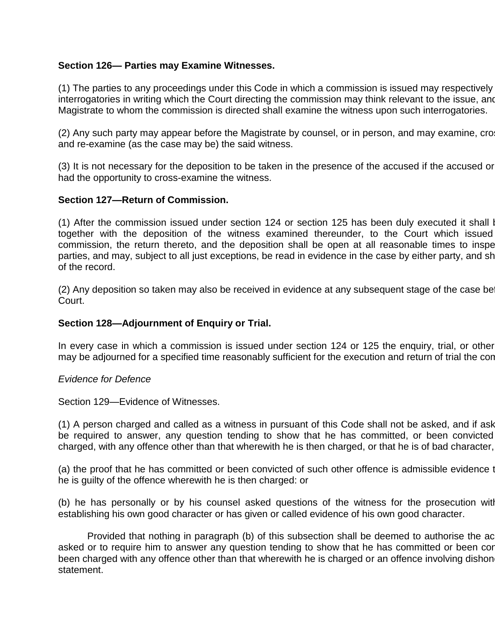## **Section 126— Parties may Examine Witnesses.**

(1) The parties to any proceedings under this Code in which a commission is issued may respectively interrogatories in writing which the Court directing the commission may think relevant to the issue, and Magistrate to whom the commission is directed shall examine the witness upon such interrogatories.

(2) Any such party may appear before the Magistrate by counsel, or in person, and may examine, cro and re-examine (as the case may be) the said witness.

(3) It is not necessary for the deposition to be taken in the presence of the accused if the accused or had the opportunity to cross-examine the witness.

# **Section 127—Return of Commission.**

(1) After the commission issued under section 124 or section 125 has been duly executed it shall be returned. together with the deposition of the witness examined thereunder, to the Court which issued commission, the return thereto, and the deposition shall be open at all reasonable times to inspe parties, and may, subject to all just exceptions, be read in evidence in the case by either party, and shall of the record.

 $(2)$  Any deposition so taken may also be received in evidence at any subsequent stage of the case be Court.

## **Section 128—Adjournment of Enquiry or Trial.**

In every case in which a commission is issued under section 124 or 125 the enquiry, trial, or other may be adjourned for a specified time reasonably sufficient for the execution and return of trial the contain

## *Evidence for Defence*

Section 129—Evidence of Witnesses.

(1) A person charged and called as a witness in pursuant of this Code shall not be asked, and if ask be required to answer, any question tending to show that he has committed, or been convicted charged, with any offence other than that wherewith he is then charged, or that he is of bad character,

(a) the proof that he has committed or been convicted of such other offence is admissible evidence to he is guilty of the offence wherewith he is then charged: or

(b) he has personally or by his counsel asked questions of the witness for the prosecution with establishing his own good character or has given or called evidence of his own good character.

Provided that nothing in paragraph (b) of this subsection shall be deemed to authorise the ac asked or to require him to answer any question tending to show that he has committed or been cor been charged with any offence other than that wherewith he is charged or an offence involving dishon statement.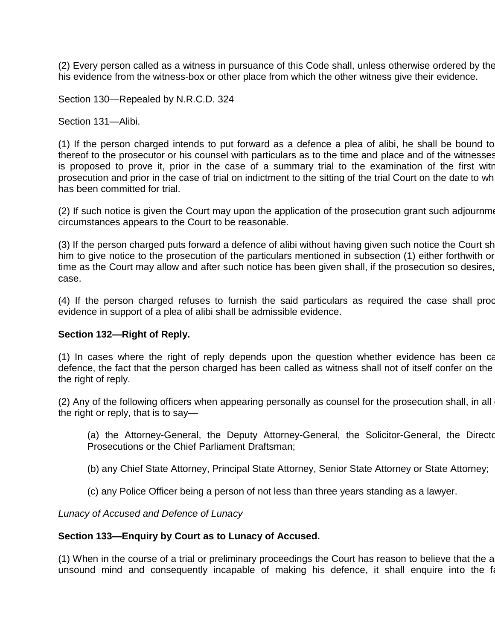(2) Every person called as a witness in pursuance of this Code shall, unless otherwise ordered by the his evidence from the witness-box or other place from which the other witness give their evidence.

Section 130—Repealed by N.R.C.D. 324

Section 131—Alibi.

(1) If the person charged intends to put forward as a defence a plea of alibi, he shall be bound to thereof to the prosecutor or his counsel with particulars as to the time and place and of the witnesses is proposed to prove it, prior in the case of a summary trial to the examination of the first witn prosecution and prior in the case of trial on indictment to the sitting of the trial Court on the date to whe has been committed for trial.

(2) If such notice is given the Court may upon the application of the prosecution grant such adjournment as in the Court may upon the application of the prosecution grant such adjournment as in the Court may upon the appli circumstances appears to the Court to be reasonable.

(3) If the person charged puts forward a defence of alibi without having given such notice the Court shall call him to give notice to the prosecution of the particulars mentioned in subsection (1) either forthwith or time as the Court may allow and after such notice has been given shall, if the prosecution so desires, case.

(4) If the person charged refuses to furnish the said particulars as required the case shall proce evidence in support of a plea of alibi shall be admissible evidence.

#### **Section 132—Right of Reply.**

(1) In cases where the right of reply depends upon the question whether evidence has been called for defence, the fact that the person charged has been called as witness shall not of itself confer on the the right of reply.

(2) Any of the following officers when appearing personally as counsel for the prosecution shall, in all the right or reply, that is to say—

(a) the Attorney-General, the Deputy Attorney-General, the Solicitor-General, the Director Prosecutions or the Chief Parliament Draftsman;

- (b) any Chief State Attorney, Principal State Attorney, Senior State Attorney or State Attorney;
- (c) any Police Officer being a person of not less than three years standing as a lawyer.

*Lunacy of Accused and Defence of Lunacy*

#### **Section 133—Enquiry by Court as to Lunacy of Accused.**

(1) When in the course of a trial or preliminary proceedings the Court has reason to believe that the a unsound mind and consequently incapable of making his defence, it shall enquire into the fact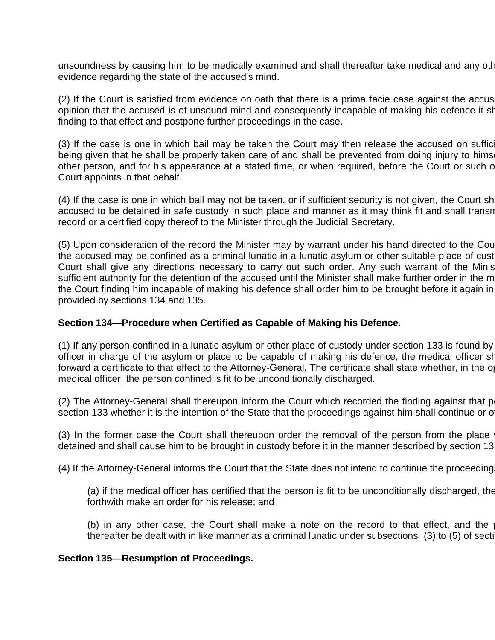unsoundness by causing him to be medically examined and shall thereafter take medical and any oth evidence regarding the state of the accused's mind.

 $(2)$  If the Court is satisfied from evidence on oath that there is a prima facie case against the accus opinion that the accused is of unsound mind and consequently incapable of making his defence it shall record as finding to that effect and postpone further proceedings in the case.

(3) If the case is one in which bail may be taken the Court may then release the accused on suffic being given that he shall be properly taken care of and shall be prevented from doing injury to hims other person, and for his appearance at a stated time, or when required, before the Court or such of Court appoints in that behalf.

(4) If the case is one in which bail may not be taken, or if sufficient security is not given, the Court sh accused to be detained in safe custody in such place and manner as it may think fit and shall transn record or a certified copy thereof to the Minister through the Judicial Secretary.

(5) Upon consideration of the record the Minister may by warrant under his hand directed to the Cou the accused may be confined as a criminal lunatic in a lunatic asylum or other suitable place of cust Court shall give any directions necessary to carry out such order. Any such warrant of the Minis sufficient authority for the detention of the accused until the Minister shall make further order in the m the Court finding him incapable of making his defence shall order him to be brought before it again in provided by sections 134 and 135.

#### **Section 134—Procedure when Certified as Capable of Making his Defence.**

(1) If any person confined in a lunatic asylum or other place of custody under section 133 is found by officer in charge of the asylum or place to be capable of making his defence, the medical officer shall for the medical officer shall for the medical forthwith  $\alpha$ forward a certificate to that effect to the Attorney-General. The certificate shall state whether, in the opthion medical officer, the person confined is fit to be unconditionally discharged.

(2) The Attorney-General shall thereupon inform the Court which recorded the finding against that p section 133 whether it is the intention of the State that the proceedings against him shall continue or o

(3) In the former case the Court shall thereupon order the removal of the person from the place detained and shall cause him to be brought in custody before it in the manner described by section 13

(4) If the Attorney-General informs the Court that the State does not intend to continue the proceeding

(a) if the medical officer has certified that the person is fit to be unconditionally discharged, the forthwith make an order for his release; and

(b) in any other case, the Court shall make a note on the record to that effect, and the thereafter be dealt with in like manner as a criminal lunatic under subsections (3) to (5) of section

#### **Section 135—Resumption of Proceedings.**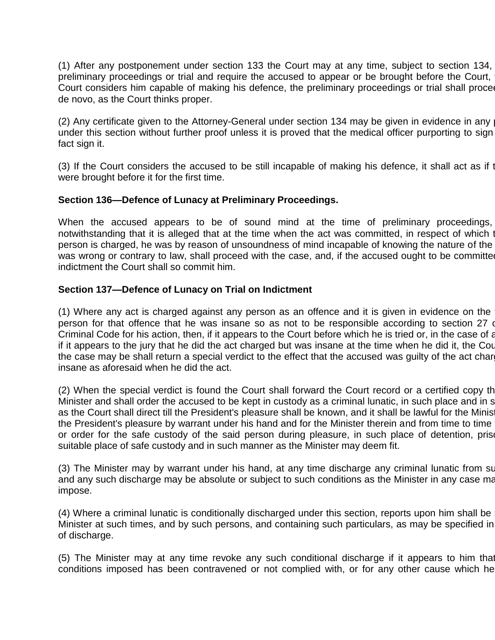(1) After any postponement under section 133 the Court may at any time, subject to section 134, preliminary proceedings or trial and require the accused to appear or be brought before the Court, Court considers him capable of making his defence, the preliminary proceedings or trial shall proce de novo, as the Court thinks proper.

(2) Any certificate given to the Attorney-General under section 134 may be given in evidence in any under this section without further proof unless it is proved that the medical officer purporting to sign fact sign it.

(3) If the Court considers the accused to be still incapable of making his defence, it shall act as if the accused to be still incapable of making his defence, it shall act as if the accused were brought before it for the first time.

### **Section 136—Defence of Lunacy at Preliminary Proceedings.**

When the accused appears to be of sound mind at the time of preliminary proceedings, notwithstanding that it is alleged that at the time when the act was committed, in respect of which the actus person is charged, he was by reason of unsoundness of mind incapable of knowing the nature of the was wrong or contrary to law, shall proceed with the case, and, if the accused ought to be committed indictment the Court shall so commit him.

### **Section 137—Defence of Lunacy on Trial on Indictment**

(1) Where any act is charged against any person as an offence and it is given in evidence on the person for that offence that he was insane so as not to be responsible according to section 27 or Criminal Code for his action, then, if it appears to the Court before which he is tried or, in the case of a if it appears to the jury that he did the act charged but was insane at the time when he did it, the Court the case may be shall return a special verdict to the effect that the accused was quilty of the act char insane as aforesaid when he did the act.

(2) When the special verdict is found the Court shall forward the Court record or a certified copy there Minister and shall order the accused to be kept in custody as a criminal lunatic, in such place and in s as the Court shall direct till the President's pleasure shall be known, and it shall be lawful for the Minis the President's pleasure by warrant under his hand and for the Minister therein and from time to time or order for the safe custody of the said person during pleasure, in such place of detention, prison, suitable place of safe custody and in such manner as the Minister may deem fit.

(3) The Minister may by warrant under his hand, at any time discharge any criminal lunatic from su and any such discharge may be absolute or subject to such conditions as the Minister in any case may impose.

(4) Where a criminal lunatic is conditionally discharged under this section, reports upon him shall be Minister at such times, and by such persons, and containing such particulars, as may be specified in of discharge.

(5) The Minister may at any time revoke any such conditional discharge if it appears to him that conditions imposed has been contravened or not complied with, or for any other cause which he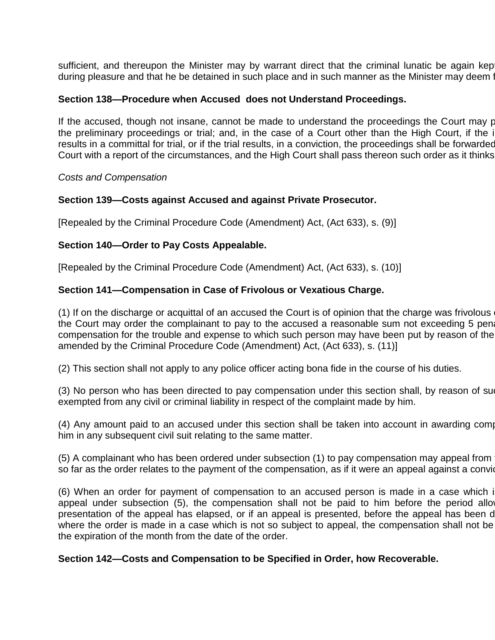sufficient, and thereupon the Minister may by warrant direct that the criminal lunatic be again kep during pleasure and that he be detained in such place and in such manner as the Minister may deem fit.

### **Section 138—Procedure when Accused does not Understand Proceedings.**

If the accused, though not insane, cannot be made to understand the proceedings the Court may proceed with the the preliminary proceedings or trial; and, in the case of a Court other than the High Court, if the i results in a committal for trial, or if the trial results, in a conviction, the proceedings shall be forwarded Court with a report of the circumstances, and the High Court shall pass thereon such order as it thinks

*Costs and Compensation*

#### **Section 139—Costs against Accused and against Private Prosecutor.**

[Repealed by the Criminal Procedure Code (Amendment) Act, (Act 633), s. (9)]

### **Section 140—Order to Pay Costs Appealable.**

[Repealed by the Criminal Procedure Code (Amendment) Act, (Act 633), s. (10)]

### **Section 141—Compensation in Case of Frivolous or Vexatious Charge.**

(1) If on the discharge or acquittal of an accused the Court is of opinion that the charge was frivolous the Court may order the complainant to pay to the accused a reasonable sum not exceeding 5 penalty compensation for the trouble and expense to which such person may have been put by reason of the amended by the Criminal Procedure Code (Amendment) Act, (Act 633), s. (11)]

(2) This section shall not apply to any police officer acting bona fide in the course of his duties.

(3) No person who has been directed to pay compensation under this section shall, by reason of sug exempted from any civil or criminal liability in respect of the complaint made by him.

(4) Any amount paid to an accused under this section shall be taken into account in awarding comp him in any subsequent civil suit relating to the same matter.

(5) A complainant who has been ordered under subsection (1) to pay compensation may appeal from so far as the order relates to the payment of the compensation, as if it were an appeal against a convidently

(6) When an order for payment of compensation to an accused person is made in a case which i appeal under subsection (5), the compensation shall not be paid to him before the period allow presentation of the appeal has elapsed, or if an appeal is presented, before the appeal has been d where the order is made in a case which is not so subject to appeal, the compensation shall not be the expiration of the month from the date of the order.

#### **Section 142—Costs and Compensation to be Specified in Order, how Recoverable.**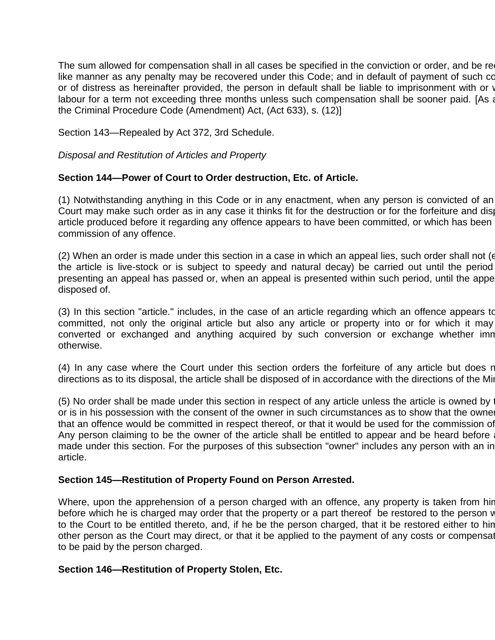The sum allowed for compensation shall in all cases be specified in the conviction or order, and be re like manner as any penalty may be recovered under this Code; and in default of payment of such co or of distress as hereinafter provided, the person in default shall be liable to imprisonment with or with labour for a term not exceeding three months unless such compensation shall be sooner paid. [As a the Criminal Procedure Code (Amendment) Act, (Act 633), s. (12)]

Section 143—Repealed by Act 372, 3rd Schedule.

*Disposal and Restitution of Articles and Property*

### **Section 144—Power of Court to Order destruction, Etc. of Article.**

(1) Notwithstanding anything in this Code or in any enactment, when any person is convicted of an Court may make such order as in any case it thinks fit for the destruction or for the forfeiture and disposal article produced before it regarding any offence appears to have been committed, or which has been commission of any offence.

(2) When an order is made under this section in a case in which an appeal lies, such order shall not ( $\epsilon$ the article is live-stock or is subject to speedy and natural decay) be carried out until the period presenting an appeal has passed or, when an appeal is presented within such period, until the appe disposed of.

(3) In this section "article." includes, in the case of an article regarding which an offence appears to committed, not only the original article but also any article or property into or for which it may converted or exchanged and anything acquired by such conversion or exchange whether imn otherwise.

(4) In any case where the Court under this section orders the forfeiture of any article but does r directions as to its disposal, the article shall be disposed of in accordance with the directions of the Min

(5) No order shall be made under this section in respect of any article unless the article is owned by  $\cdot$ or is in his possession with the consent of the owner in such circumstances as to show that the owner that an offence would be committed in respect thereof, or that it would be used for the commission of Any person claiming to be the owner of the article shall be entitled to appear and be heard before made under this section. For the purposes of this subsection "owner" includes any person with an in article.

#### **Section 145—Restitution of Property Found on Person Arrested.**

Where, upon the apprehension of a person charged with an offence, any property is taken from hir before which he is charged may order that the property or a part thereof be restored to the person v to the Court to be entitled thereto, and, if he be the person charged, that it be restored either to hin other person as the Court may direct, or that it be applied to the payment of any costs or compensation to be paid by the person charged.

#### **Section 146—Restitution of Property Stolen, Etc.**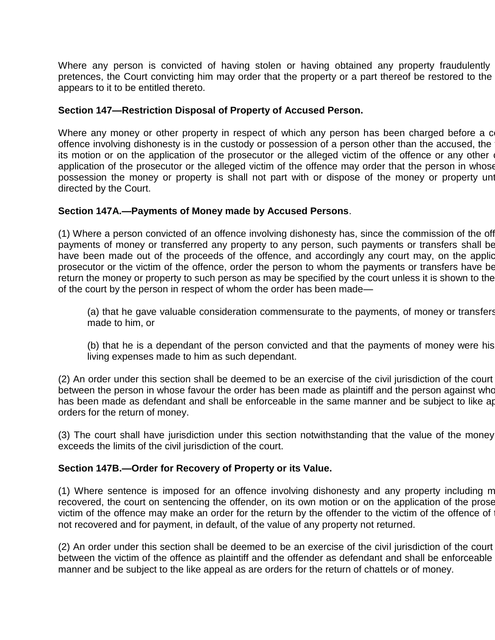Where any person is convicted of having stolen or having obtained any property fraudulently pretences, the Court convicting him may order that the property or a part thereof be restored to the appears to it to be entitled thereto.

## **Section 147—Restriction Disposal of Property of Accused Person.**

Where any money or other property in respect of which any person has been charged before a c offence involving dishonesty is in the custody or possession of a person other than the accused, the its motion or on the application of the prosecutor or the alleged victim of the offence or any other application of the prosecutor or the alleged victim of the offence may order that the person in whose possession the money or property is shall not part with or dispose of the money or property until directed by the Court.

### **Section 147A.—Payments of Money made by Accused Persons**.

(1) Where a person convicted of an offence involving dishonesty has, since the commission of the off payments of money or transferred any property to any person, such payments or transfers shall be have been made out of the proceeds of the offence, and accordingly any court may, on the applic prosecutor or the victim of the offence, order the person to whom the payments or transfers have be return the money or property to such person as may be specified by the court unless it is shown to the of the court by the person in respect of whom the order has been made—

(a) that he gave valuable consideration commensurate to the payments, of money or transfers made to him, or

(b) that he is a dependant of the person convicted and that the payments of money were his living expenses made to him as such dependant.

(2) An order under this section shall be deemed to be an exercise of the civil jurisdiction of the court between the person in whose favour the order has been made as plaintiff and the person against who has been made as defendant and shall be enforceable in the same manner and be subject to like ap orders for the return of money.

(3) The court shall have jurisdiction under this section notwithstanding that the value of the money exceeds the limits of the civil jurisdiction of the court.

## **Section 147B.—Order for Recovery of Property or its Value.**

(1) Where sentence is imposed for an offence involving dishonesty and any property including m recovered, the court on sentencing the offender, on its own motion or on the application of the prose victim of the offence may make an order for the return by the offender to the victim of the offence of not recovered and for payment, in default, of the value of any property not returned.

(2) An order under this section shall be deemed to be an exercise of the civil jurisdiction of the court between the victim of the offence as plaintiff and the offender as defendant and shall be enforceable manner and be subject to the like appeal as are orders for the return of chattels or of money.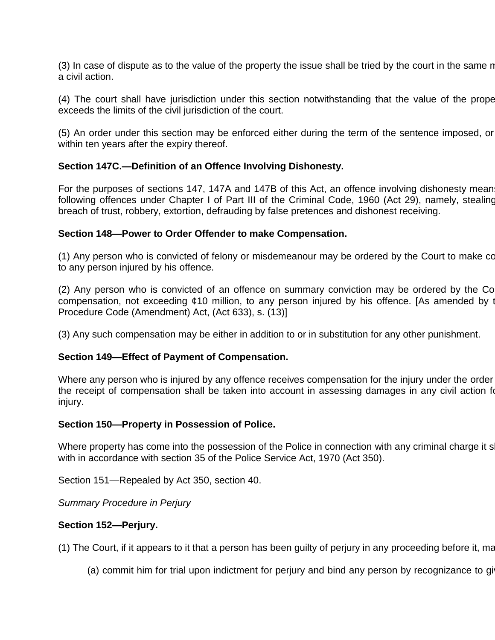(3) In case of dispute as to the value of the property the issue shall be tried by the court in the same no a civil action.

(4) The court shall have jurisdiction under this section notwithstanding that the value of the prope exceeds the limits of the civil jurisdiction of the court.

(5) An order under this section may be enforced either during the term of the sentence imposed, or within ten years after the expiry thereof.

### **Section 147C.—Definition of an Offence Involving Dishonesty.**

For the purposes of sections 147, 147A and 147B of this Act, an offence involving dishonesty mean following offences under Chapter I of Part III of the Criminal Code, 1960 (Act 29), namely, stealing breach of trust, robbery, extortion, defrauding by false pretences and dishonest receiving.

#### **Section 148—Power to Order Offender to make Compensation.**

(1) Any person who is convicted of felony or misdemeanour may be ordered by the Court to make compensation to any person injured by his offence.

(2) Any person who is convicted of an offence on summary conviction may be ordered by the Co compensation, not exceeding ¢10 million, to any person injured by his offence. [As amended by the Criminal Procedure Code (Amendment) Act, (Act 633), s. (13)]

(3) Any such compensation may be either in addition to or in substitution for any other punishment.

#### **Section 149—Effect of Payment of Compensation.**

Where any person who is injured by any offence receives compensation for the injury under the order the receipt of compensation shall be taken into account in assessing damages in any civil action for injury.

#### **Section 150—Property in Possession of Police.**

Where property has come into the possession of the Police in connection with any criminal charge it s with in accordance with section 35 of the Police Service Act, 1970 (Act 350).

Section 151—Repealed by Act 350, section 40.

*Summary Procedure in Perjury*

#### **Section 152—Perjury.**

(1) The Court, if it appears to it that a person has been guilty of perjury in any proceeding before it, may

(a) commit him for trial upon indictment for perjury and bind any person by recognizance to gi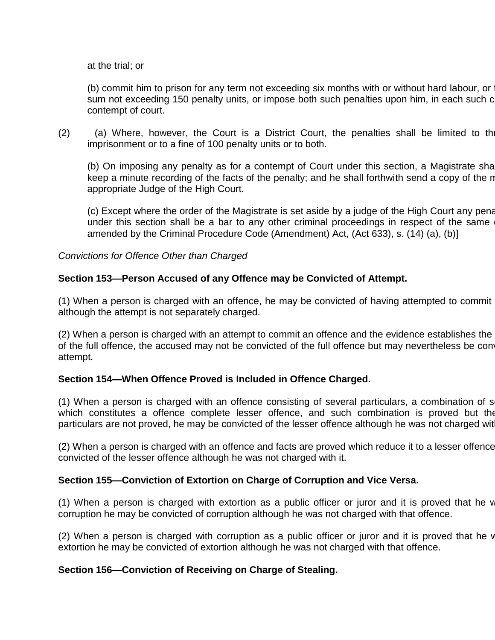at the trial; or

(b) commit him to prison for any term not exceeding six months with or without hard labour, or sum not exceeding 150 penalty units, or impose both such penalties upon him, in each such c contempt of court.

 $(2)$  (a) Where, however, the Court is a District Court, the penalties shall be limited to the imprisonment or to a fine of 100 penalty units or to both.

(b) On imposing any penalty as for a contempt of Court under this section, a Magistrate shall keep a minute recording of the facts of the penalty; and he shall forthwith send a copy of the n appropriate Judge of the High Court.

(c) Except where the order of the Magistrate is set aside by a judge of the High Court any penal under this section shall be a bar to any other criminal proceedings in respect of the same amended by the Criminal Procedure Code (Amendment) Act, (Act 633), s. (14) (a), (b)]

*Convictions for Offence Other than Charged*

## **Section 153—Person Accused of any Offence may be Convicted of Attempt.**

(1) When a person is charged with an offence, he may be convicted of having attempted to commit although the attempt is not separately charged.

(2) When a person is charged with an attempt to commit an offence and the evidence establishes the of the full offence, the accused may not be convicted of the full offence but may nevertheless be con attempt.

## **Section 154—When Offence Proved is Included in Offence Charged.**

(1) When a person is charged with an offence consisting of several particulars, a combination of s which constitutes a offence complete lesser offence, and such combination is proved but the particulars are not proved, he may be convicted of the lesser offence although he was not charged wit

(2) When a person is charged with an offence and facts are proved which reduce it to a lesser offence convicted of the lesser offence although he was not charged with it.

#### **Section 155—Conviction of Extortion on Charge of Corruption and Vice Versa.**

(1) When a person is charged with extortion as a public officer or juror and it is proved that he  $\nu$ corruption he may be convicted of corruption although he was not charged with that offence.

(2) When a person is charged with corruption as a public officer or juror and it is proved that he v extortion he may be convicted of extortion although he was not charged with that offence.

## **Section 156—Conviction of Receiving on Charge of Stealing.**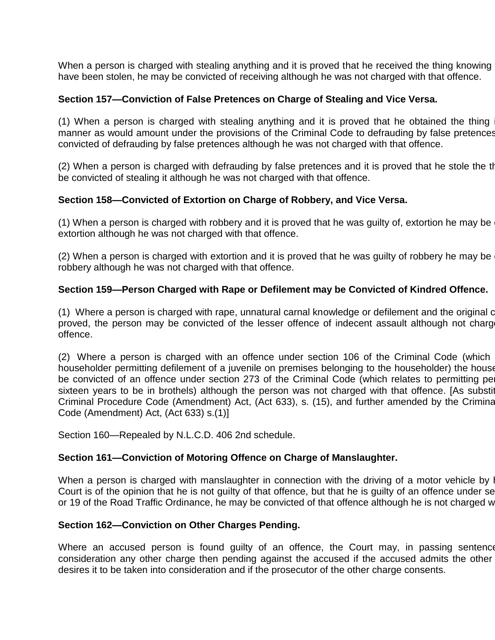When a person is charged with stealing anything and it is proved that he received the thing knowing have been stolen, he may be convicted of receiving although he was not charged with that offence.

### **Section 157—Conviction of False Pretences on Charge of Stealing and Vice Versa.**

(1) When a person is charged with stealing anything and it is proved that he obtained the thing manner as would amount under the provisions of the Criminal Code to defrauding by false pretences convicted of defrauding by false pretences although he was not charged with that offence.

(2) When a person is charged with defrauding by false pretences and it is proved that he stole the the be convicted of stealing it although he was not charged with that offence.

### **Section 158—Convicted of Extortion on Charge of Robbery, and Vice Versa.**

(1) When a person is charged with robbery and it is proved that he was guilty of, extortion he may be extortion although he was not charged with that offence.

(2) When a person is charged with extortion and it is proved that he was guilty of robbery he may be robbery although he was not charged with that offence.

### **Section 159—Person Charged with Rape or Defilement may be Convicted of Kindred Offence.**

(1) Where a person is charged with rape, unnatural carnal knowledge or defilement and the original c proved, the person may be convicted of the lesser offence of indecent assault although not charged with that that offence.

 $(2)$  Where a person is charged with an offence under section 106 of the Criminal Code (which householder permitting defilement of a juvenile on premises belonging to the householder) the house be convicted of an offence under section 273 of the Criminal Code (which relates to permitting persons) sixteen years to be in brothels) although the person was not charged with that offence. [As substituted by the Criminal Procedure Code (Amendment) Act, (Act 633), s. (15), and further amended by the Criminal Procedure Code (Amendment) Act, (Act 633) s.(1)]

Section 160—Repealed by N.L.C.D. 406 2nd schedule.

#### **Section 161—Conviction of Motoring Offence on Charge of Manslaughter.**

When a person is charged with manslaughter in connection with the driving of a motor vehicle by l Court is of the opinion that he is not guilty of that offence, but that he is guilty of an offence under se or 19 of the Road Traffic Ordinance, he may be convicted of that offence although he is not charged with it.

#### **Section 162—Conviction on Other Charges Pending.**

Where an accused person is found guilty of an offence, the Court may, in passing sentence consideration any other charge then pending against the accused if the accused admits the other desires it to be taken into consideration and if the prosecutor of the other charge consents.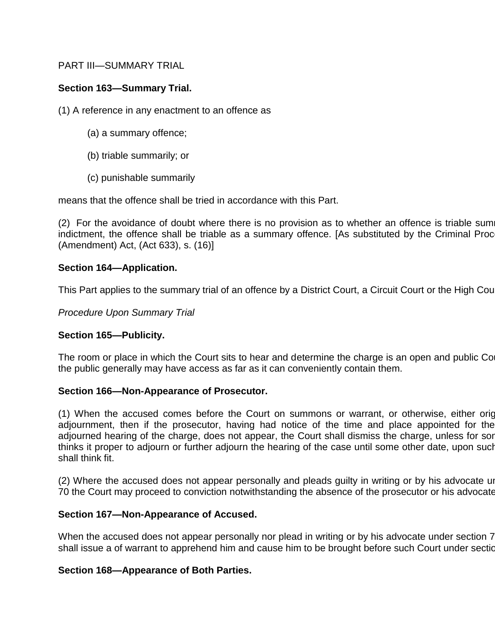## PART III—SUMMARY TRIAL

# **Section 163—Summary Trial.**

(1) A reference in any enactment to an offence as

- (a) a summary offence;
- (b) triable summarily; or
- (c) punishable summarily

means that the offence shall be tried in accordance with this Part.

 $(2)$  For the avoidance of doubt where there is no provision as to whether an offence is triable sum indictment, the offence shall be triable as a summary offence. [As substituted by the Criminal Proc (Amendment) Act, (Act 633), s. (16)]

### **Section 164—Application.**

This Part applies to the summary trial of an offence by a District Court, a Circuit Court or the High Court.

*Procedure Upon Summary Trial*

## **Section 165—Publicity.**

The room or place in which the Court sits to hear and determine the charge is an open and public Co the public generally may have access as far as it can conveniently contain them.

## **Section 166—Non-Appearance of Prosecutor.**

(1) When the accused comes before the Court on summons or warrant, or otherwise, either originally adjournment, then if the prosecutor, having had notice of the time and place appointed for the adjourned hearing of the charge, does not appear, the Court shall dismiss the charge, unless for sor thinks it proper to adjourn or further adjourn the hearing of the case until some other date, upon such shall think fit.

(2) Where the accused does not appear personally and pleads guilty in writing or by his advocate under 70 the Court may proceed to conviction notwithstanding the absence of the prosecutor or his advocate.

## **Section 167—Non-Appearance of Accused.**

When the accused does not appear personally nor plead in writing or by his advocate under section 7 shall issue a of warrant to apprehend him and cause him to be brought before such Court under section

## **Section 168—Appearance of Both Parties.**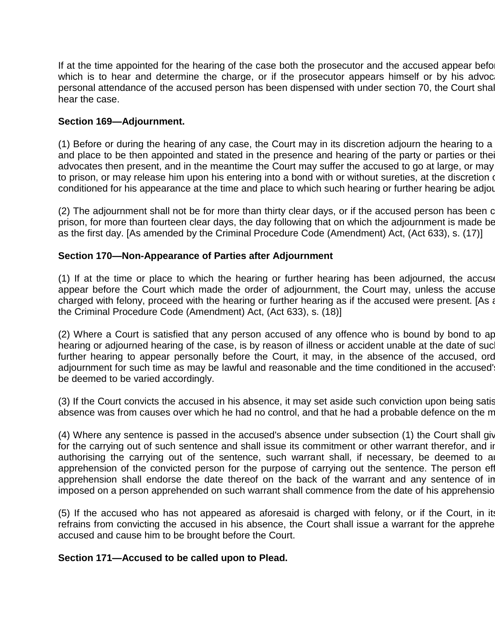If at the time appointed for the hearing of the case both the prosecutor and the accused appear before which is to hear and determine the charge, or if the prosecutor appears himself or by his advoc personal attendance of the accused person has been dispensed with under section 70, the Court shall hear the case.

### **Section 169—Adjournment.**

 $(1)$  Before or during the hearing of any case, the Court may in its discretion adjourn the hearing to a and place to be then appointed and stated in the presence and hearing of the party or parties or their advocates then present, and in the meantime the Court may suffer the accused to go at large, or may to prison, or may release him upon his entering into a bond with or without sureties, at the discretion of conditioned for his appearance at the time and place to which such hearing or further hearing be adjourned.

(2) The adjournment shall not be for more than thirty clear days, or if the accused person has been comprison, for more than fourteen clear days, the day following that on which the adjournment is made be as the first day. [As amended by the Criminal Procedure Code (Amendment) Act, (Act 633), s. (17)]

### **Section 170—Non-Appearance of Parties after Adjournment**

(1) If at the time or place to which the hearing or further hearing has been adjourned, the accuse appear before the Court which made the order of adjournment, the Court may, unless the accuse charged with felony, proceed with the hearing or further hearing as if the accused were present. [As and the Criminal Procedure Code (Amendment) Act, (Act 633), s. (18)]

(2) Where a Court is satisfied that any person accused of any offence who is bound by bond to ap hearing or adjourned hearing of the case, is by reason of illness or accident unable at the date of suc further hearing to appear personally before the Court, it may, in the absence of the accused, order adjournment for such time as may be lawful and reasonable and the time conditioned in the accused' be deemed to be varied accordingly.

(3) If the Court convicts the accused in his absence, it may set aside such conviction upon being satis absence was from causes over which he had no control, and that he had a probable defence on the merits.

(4) Where any sentence is passed in the accused's absence under subsection (1) the Court shall give for the carrying out of such sentence and shall issue its commitment or other warrant therefor, and in authorising the carrying out of the sentence, such warrant shall, if necessary, be deemed to a apprehension of the convicted person for the purpose of carrying out the sentence. The person effection apprehension shall endorse the date thereof on the back of the warrant and any sentence of in imposed on a person apprehended on such warrant shall commence from the date of his apprehensio

(5) If the accused who has not appeared as aforesaid is charged with felony, or if the Court, in its refrains from convicting the accused in his absence, the Court shall issue a warrant for the apprehension of the accused and cause him to be brought before the Court.

#### **Section 171—Accused to be called upon to Plead.**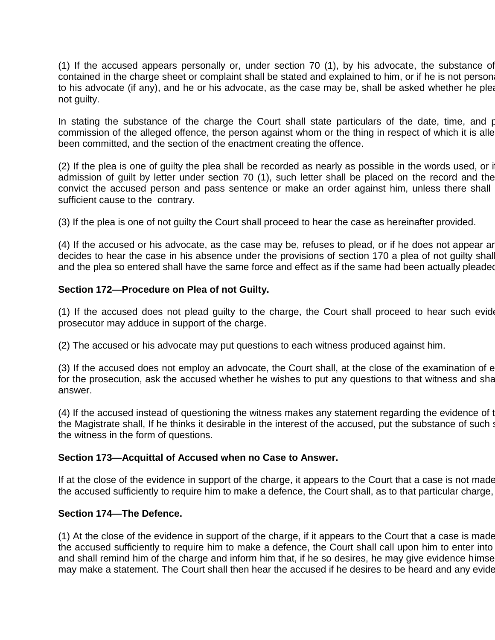(1) If the accused appears personally or, under section 70 (1), by his advocate, the substance of contained in the charge sheet or complaint shall be stated and explained to him, or if he is not person to his advocate (if any), and he or his advocate, as the case may be, shall be asked whether he pleads not guilty.

In stating the substance of the charge the Court shall state particulars of the date, time, and place of the of the substance of the charge the Court shall state of the date, time, and p commission of the alleged offence, the person against whom or the thing in respect of which it is alle been committed, and the section of the enactment creating the offence.

 $(2)$  If the plea is one of guilty the plea shall be recorded as nearly as possible in the words used, or if admission of guilt by letter under section 70 (1), such letter shall be placed on the record and the convict the accused person and pass sentence or make an order against him, unless there shall sufficient cause to the contrary.

(3) If the plea is one of not guilty the Court shall proceed to hear the case as hereinafter provided.

 $(4)$  If the accused or his advocate, as the case may be, refuses to plead, or if he does not appear and decides to hear the case in his absence under the provisions of section 170 a plea of not guilty shall and the plea so entered shall have the same force and effect as if the same had been actually pleaded

### **Section 172—Procedure on Plea of not Guilty.**

(1) If the accused does not plead guilty to the charge, the Court shall proceed to hear such evidence as the metal prosecutor may adduce in support of the charge.

(2) The accused or his advocate may put questions to each witness produced against him.

(3) If the accused does not employ an advocate, the Court shall, at the close of the examination of each withest for the prosecution, ask the accused whether he wishes to put any questions to that witness and shall answer.

(4) If the accused instead of questioning the witness makes any statement regarding the evidence of t the Magistrate shall, If he thinks it desirable in the interest of the accused, put the substance of such statement of the witness in the form of questions.

#### **Section 173—Acquittal of Accused when no Case to Answer.**

If at the close of the evidence in support of the charge, it appears to the Court that a case is not made the accused sufficiently to require him to make a defence, the Court shall, as to that particular charge,

#### **Section 174—The Defence.**

 $(1)$  At the close of the evidence in support of the charge, if it appears to the Court that a case is made the accused sufficiently to require him to make a defence, the Court shall call upon him to enter into and shall remind him of the charge and inform him that, if he so desires, he may give evidence himse may make a statement. The Court shall then hear the accused if he desires to be heard and any evide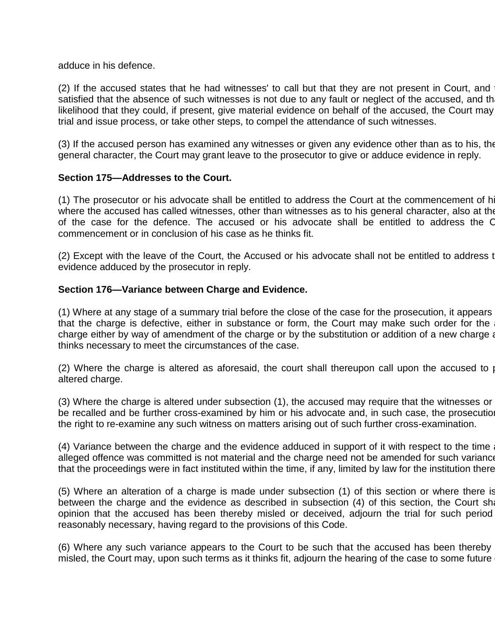adduce in his defence.

(2) If the accused states that he had witnesses' to call but that they are not present in Court, and satisfied that the absence of such witnesses is not due to any fault or neglect of the accused, and th likelihood that they could, if present, give material evidence on behalf of the accused, the Court may trial and issue process, or take other steps, to compel the attendance of such witnesses.

(3) If the accused person has examined any witnesses or given any evidence other than as to his, the general character, the Court may grant leave to the prosecutor to give or adduce evidence in reply.

### **Section 175—Addresses to the Court.**

(1) The prosecutor or his advocate shall be entitled to address the Court at the commencement of h where the accused has called witnesses, other than witnesses as to his general character, also at the of the case for the defence. The accused or his advocate shall be entitled to address the C commencement or in conclusion of his case as he thinks fit.

(2) Except with the leave of the Court, the Accused or his advocate shall not be entitled to address to evidence adduced by the prosecutor in reply.

### **Section 176—Variance between Charge and Evidence.**

(1) Where at any stage of a summary trial before the close of the case for the prosecution, it appears that the charge is defective, either in substance or form, the Court may make such order for the charge either by way of amendment of the charge or by the substitution or addition of a new charge as thinks necessary to meet the circumstances of the case.

(2) Where the charge is altered as aforesaid, the court shall thereupon call upon the accused to  $\rho$ altered charge.

 $(3)$  Where the charge is altered under subsection  $(1)$ , the accused may require that the witnesses or be recalled and be further cross-examined by him or his advocate and, in such case, the prosecution the right to re-examine any such witness on matters arising out of such further cross-examination.

(4) Variance between the charge and the evidence adduced in support of it with respect to the time alleged offence was committed is not material and the charge need not be amended for such variance that the proceedings were in fact instituted within the time, if any, limited by law for the institution there

 $(5)$  Where an alteration of a charge is made under subsection  $(1)$  of this section or where there is between the charge and the evidence as described in subsection (4) of this section, the Court shall opinion that the accused has been thereby misled or deceived, adjourn the trial for such period reasonably necessary, having regard to the provisions of this Code.

(6) Where any such variance appears to the Court to be such that the accused has been thereby misled, the Court may, upon such terms as it thinks fit, adjourn the hearing of the case to some future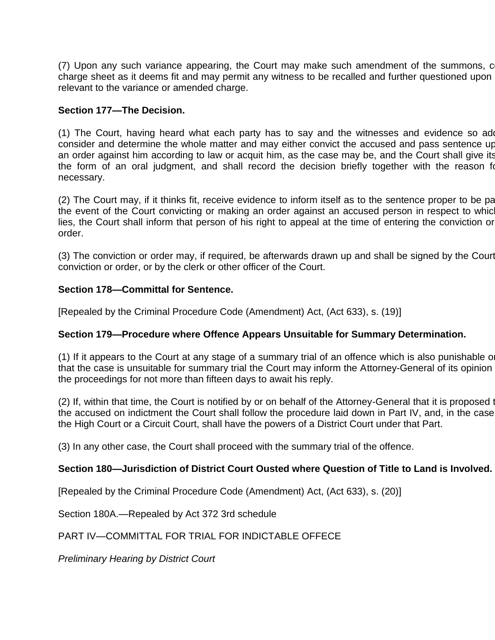(7) Upon any such variance appearing, the Court may make such amendment of the summons, c charge sheet as it deems fit and may permit any witness to be recalled and further questioned upon relevant to the variance or amended charge.

### **Section 177—The Decision.**

(1) The Court, having heard what each party has to say and the witnesses and evidence so add consider and determine the whole matter and may either convict the accused and pass sentence up an order against him according to law or acquit him, as the case may be, and the Court shall give its the form of an oral judgment, and shall record the decision briefly together with the reason for necessary.

(2) The Court may, if it thinks fit, receive evidence to inform itself as to the sentence proper to be pa the event of the Court convicting or making an order against an accused person in respect to which lies, the Court shall inform that person of his right to appeal at the time of entering the conviction or order.

(3) The conviction or order may, if required, be afterwards drawn up and shall be signed by the Court conviction or order, or by the clerk or other officer of the Court.

### **Section 178—Committal for Sentence.**

[Repealed by the Criminal Procedure Code (Amendment) Act, (Act 633), s. (19)]

#### **Section 179—Procedure where Offence Appears Unsuitable for Summary Determination.**

 $(1)$  If it appears to the Court at any stage of a summary trial of an offence which is also punishable on that the case is unsuitable for summary trial the Court may inform the Attorney-General of its opinion the proceedings for not more than fifteen days to await his reply.

(2) If, within that time, the Court is notified by or on behalf of the Attorney-General that it is proposed to the accused on indictment the Court shall follow the procedure laid down in Part IV, and, in the case the High Court or a Circuit Court, shall have the powers of a District Court under that Part.

(3) In any other case, the Court shall proceed with the summary trial of the offence.

## **Section 180—Jurisdiction of District Court Ousted where Question of Title to Land is Involved.**

[Repealed by the Criminal Procedure Code (Amendment) Act, (Act 633), s. (20)]

Section 180A.—Repealed by Act 372 3rd schedule

## PART IV—COMMITTAL FOR TRIAL FOR INDICTABLE OFFECE

*Preliminary Hearing by District Court*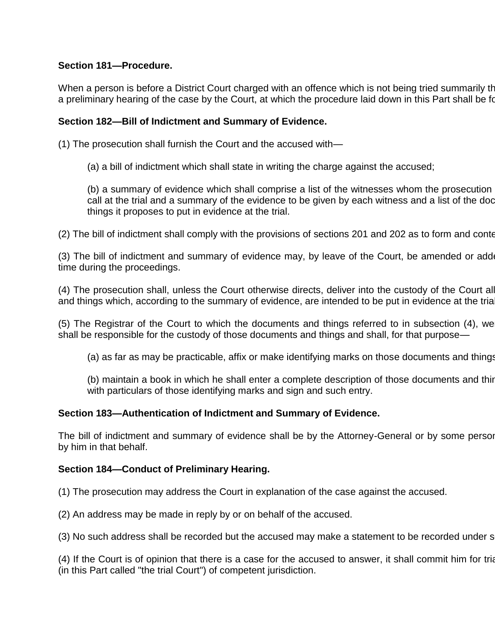# **Section 181—Procedure.**

When a person is before a District Court charged with an offence which is not being tried summarily there shall be a preliminary hearing of the case by the Court, at which the procedure laid down in this Part shall be for

## **Section 182—Bill of Indictment and Summary of Evidence.**

(1) The prosecution shall furnish the Court and the accused with—

(a) a bill of indictment which shall state in writing the charge against the accused;

(b) a summary of evidence which shall comprise a list of the witnesses whom the prosecution call at the trial and a summary of the evidence to be given by each witness and a list of the doc things it proposes to put in evidence at the trial.

(2) The bill of indictment shall comply with the provisions of sections 201 and 202 as to form and content.

(3) The bill of indictment and summary of evidence may, by leave of the Court, be amended or added time during the proceedings.

(4) The prosecution shall, unless the Court otherwise directs, deliver into the custody of the Court all and things which, according to the summary of evidence, are intended to be put in evidence at the trial.

(5) The Registrar of the Court to which the documents and things referred to in subsection (4), we shall be responsible for the custody of those documents and things and shall, for that purpose—

(a) as far as may be practicable, affix or make identifying marks on those documents and things

(b) maintain a book in which he shall enter a complete description of those documents and thin with particulars of those identifying marks and sign and such entry.

## **Section 183—Authentication of Indictment and Summary of Evidence.**

The bill of indictment and summary of evidence shall be by the Attorney-General or by some person by him in that behalf.

## **Section 184—Conduct of Preliminary Hearing.**

(1) The prosecution may address the Court in explanation of the case against the accused.

(2) An address may be made in reply by or on behalf of the accused.

(3) No such address shall be recorded but the accused may make a statement to be recorded under set

(4) If the Court is of opinion that there is a case for the accused to answer, it shall commit him for trial (in this Part called "the trial Court") of competent jurisdiction.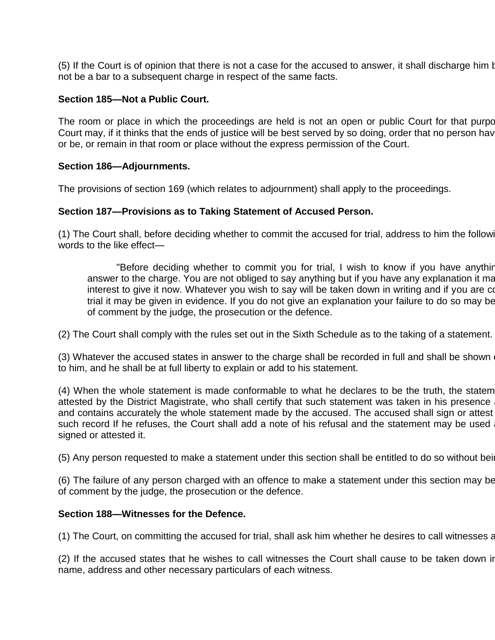(5) If the Court is of opinion that there is not a case for the accused to answer, it shall discharge him but not be a bar to a subsequent charge in respect of the same facts.

#### **Section 185—Not a Public Court.**

The room or place in which the proceedings are held is not an open or public Court for that purpo Court may, if it thinks that the ends of justice will be best served by so doing, order that no person have or be, or remain in that room or place without the express permission of the Court.

#### **Section 186—Adjournments.**

The provisions of section 169 (which relates to adjournment) shall apply to the proceedings.

#### **Section 187—Provisions as to Taking Statement of Accused Person.**

(1) The Court shall, before deciding whether to commit the accused for trial, address to him the following words to the like effect—

"Before deciding whether to commit you for trial, I wish to know if you have anythir answer to the charge. You are not obliged to say anything but if you have any explanation it ma interest to give it now. Whatever you wish to say will be taken down in writing and if you are co trial it may be given in evidence. If you do not give an explanation your failure to do so may be of comment by the judge, the prosecution or the defence.

(2) The Court shall comply with the rules set out in the Sixth Schedule as to the taking of a statement.

(3) Whatever the accused states in answer to the charge shall be recorded in full and shall be shown to him, and he shall be at full liberty to explain or add to his statement.

(4) When the whole statement is made conformable to what he declares to be the truth, the statem attested by the District Magistrate, who shall certify that such statement was taken in his presence and contains accurately the whole statement made by the accused. The accused shall sign or attest such record If he refuses, the Court shall add a note of his refusal and the statement may be used signed or attested it.

(5) Any person requested to make a statement under this section shall be entitled to do so without being

(6) The failure of any person charged with an offence to make a statement under this section may be of comment by the judge, the prosecution or the defence.

#### **Section 188—Witnesses for the Defence.**

(1) The Court, on committing the accused for trial, shall ask him whether he desires to call witnesses at

(2) If the accused states that he wishes to call witnesses the Court shall cause to be taken down in name, address and other necessary particulars of each witness.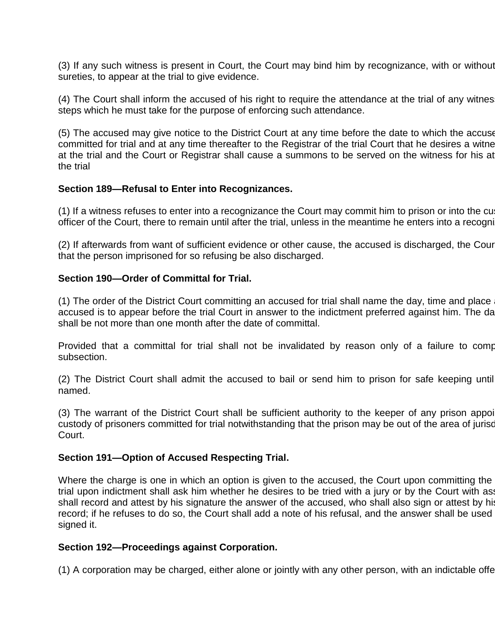(3) If any such witness is present in Court, the Court may bind him by recognizance, with or without sureties, to appear at the trial to give evidence.

(4) The Court shall inform the accused of his right to require the attendance at the trial of any witnes steps which he must take for the purpose of enforcing such attendance.

(5) The accused may give notice to the District Court at any time before the date to which the accuse committed for trial and at any time thereafter to the Registrar of the trial Court that he desires a witne at the trial and the Court or Registrar shall cause a summons to be served on the witness for his at the trial

#### **Section 189—Refusal to Enter into Recognizances.**

(1) If a witness refuses to enter into a recognizance the Court may commit him to prison or into the cu officer of the Court, there to remain until after the trial, unless in the meantime he enters into a recogni

(2) If afterwards from want of sufficient evidence or other cause, the accused is discharged, the Cour that the person imprisoned for so refusing be also discharged.

#### **Section 190—Order of Committal for Trial.**

(1) The order of the District Court committing an accused for trial shall name the day, time and place accused is to appear before the trial Court in answer to the indictment preferred against him. The da shall be not more than one month after the date of committal.

Provided that a committal for trial shall not be invalidated by reason only of a failure to comp subsection.

 $(2)$  The District Court shall admit the accused to bail or send him to prison for safe keeping until named.

(3) The warrant of the District Court shall be sufficient authority to the keeper of any prison appoint custody of prisoners committed for trial notwithstanding that the prison may be out of the area of jurisd Court.

#### **Section 191—Option of Accused Respecting Trial.**

Where the charge is one in which an option is given to the accused, the Court upon committing the trial upon indictment shall ask him whether he desires to be tried with a jury or by the Court with asses shall record and attest by his signature the answer of the accused, who shall also sign or attest by his record; if he refuses to do so, the Court shall add a note of his refusal, and the answer shall be used signed it.

#### **Section 192—Proceedings against Corporation.**

(1) A corporation may be charged, either alone or jointly with any other person, with an indictable offer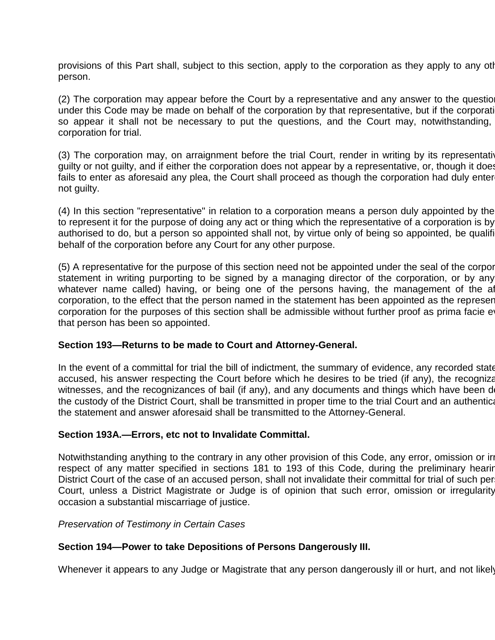provisions of this Part shall, subject to this section, apply to the corporation as they apply to any otl person.

(2) The corporation may appear before the Court by a representative and any answer to the question under this Code may be made on behalf of the corporation by that representative, but if the corporation so appear it shall not be necessary to put the questions, and the Court may, notwithstanding, corporation for trial.

(3) The corporation may, on arraignment before the trial Court, render in writing by its representative guilty or not guilty, and if either the corporation does not appear by a representative, or, though it does fails to enter as aforesaid any plea, the Court shall proceed as though the corporation had duly enter not guilty.

(4) In this section "representative" in relation to a corporation means a person duly appointed by the to represent it for the purpose of doing any act or thing which the representative of a corporation is by authorised to do, but a person so appointed shall not, by virtue only of being so appointed, be qualification behalf of the corporation before any Court for any other purpose.

(5) A representative for the purpose of this section need not be appointed under the seal of the corporation, and a statement in writing purporting to be signed by a managing director of the corporation, or by any whatever name called) having, or being one of the persons having, the management of the afcorporation, to the effect that the person named in the statement has been appointed as the represent corporation for the purposes of this section shall be admissible without further proof as prima facie ethation that person has been so appointed.

#### **Section 193—Returns to be made to Court and Attorney-General.**

In the event of a committal for trial the bill of indictment, the summary of evidence, any recorded state accused, his answer respecting the Court before which he desires to be tried (if any), the recognizanties of the witnesses, and the recognizances of bail (if any), and any documents and things which have been d the custody of the District Court, shall be transmitted in proper time to the trial Court and an authenticated the statement and answer aforesaid shall be transmitted to the Attorney-General.

#### **Section 193A.—Errors, etc not to Invalidate Committal.**

Notwithstanding anything to the contrary in any other provision of this Code, any error, omission or irregularity respect of any matter specified in sections 181 to 193 of this Code, during the preliminary hearing District Court of the case of an accused person, shall not invalidate their committal for trial of such per Court, unless a District Magistrate or Judge is of opinion that such error, omission or irregularity occasion a substantial miscarriage of justice.

#### *Preservation of Testimony in Certain Cases*

#### **Section 194—Power to take Depositions of Persons Dangerously III.**

Whenever it appears to any Judge or Magistrate that any person dangerously ill or hurt, and not likely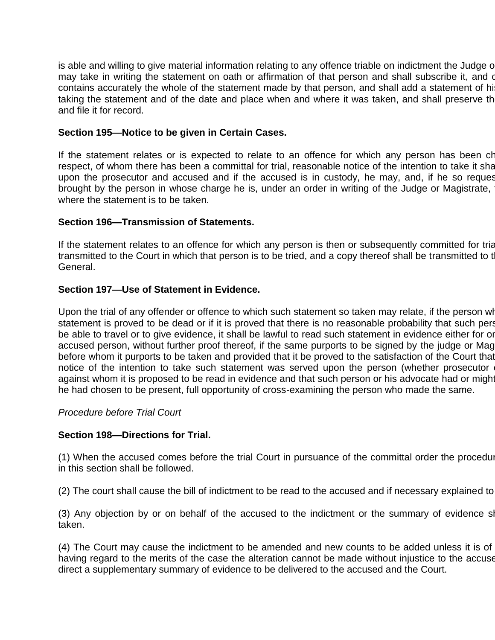is able and willing to give material information relating to any offence triable on indictment the Judge or may take in writing the statement on oath or affirmation of that person and shall subscribe it, and o contains accurately the whole of the statement made by that person, and shall add a statement of hi taking the statement and of the date and place when and where it was taken, and shall preserve th and file it for record.

### **Section 195—Notice to be given in Certain Cases.**

If the statement relates or is expected to relate to an offence for which any person has been charged or respect, of whom there has been a committal for trial, reasonable notice of the intention to take it sha upon the prosecutor and accused and if the accused is in custody, he may, and, if he so request brought by the person in whose charge he is, under an order in writing of the Judge or Magistrate, where the statement is to be taken.

#### **Section 196—Transmission of Statements.**

If the statement relates to an offence for which any person is then or subsequently committed for trial transmitted to the Court in which that person is to be tried, and a copy thereof shall be transmitted to t General.

#### **Section 197—Use of Statement in Evidence.**

Upon the trial of any offender or offence to which such statement so taken may relate, if the person who statement is proved to be dead or if it is proved that there is no reasonable probability that such pers be able to travel or to give evidence, it shall be lawful to read such statement in evidence either for or accused person, without further proof thereof, if the same purports to be signed by the judge or Mag before whom it purports to be taken and provided that it be proved to the satisfaction of the Court that notice of the intention to take such statement was served upon the person (whether prosecutor against whom it is proposed to be read in evidence and that such person or his advocate had or might he had chosen to be present, full opportunity of cross-examining the person who made the same.

#### *Procedure before Trial Court*

#### **Section 198—Directions for Trial.**

(1) When the accused comes before the trial Court in pursuance of the committal order the procedure in this section shall be followed.

(2) The court shall cause the bill of indictment to be read to the accused and if necessary explained to

(3) Any objection by or on behalf of the accused to the indictment or the summary of evidence shall then bend bend bend bend and bend and the summary of evidence shall then bend and bend and bend and the summary of evidenc taken.

(4) The Court may cause the indictment to be amended and new counts to be added unless it is of having regard to the merits of the case the alteration cannot be made without injustice to the accuse direct a supplementary summary of evidence to be delivered to the accused and the Court.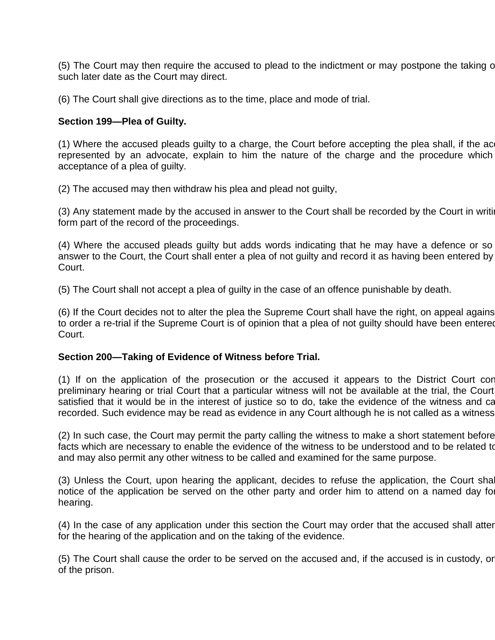(5) The Court may then require the accused to plead to the indictment or may postpone the taking of such later date as the Court may direct.

(6) The Court shall give directions as to the time, place and mode of trial.

### **Section 199—Plea of Guilty.**

(1) Where the accused pleads guilty to a charge, the Court before accepting the plea shall, if the ac represented by an advocate, explain to him the nature of the charge and the procedure which acceptance of a plea of guilty.

(2) The accused may then withdraw his plea and plead not guilty,

(3) Any statement made by the accused in answer to the Court shall be recorded by the Court in writing form part of the record of the proceedings.

(4) Where the accused pleads guilty but adds words indicating that he may have a defence or so answer to the Court, the Court shall enter a plea of not guilty and record it as having been entered by Court.

(5) The Court shall not accept a plea of guilty in the case of an offence punishable by death.

(6) If the Court decides not to alter the plea the Supreme Court shall have the right, on appeal agains to order a re-trial if the Supreme Court is of opinion that a plea of not guilty should have been entered Court.

#### **Section 200—Taking of Evidence of Witness before Trial.**

(1) If on the application of the prosecution or the accused it appears to the District Court conduction preliminary hearing or trial Court that a particular witness will not be available at the trial, the Court satisfied that it would be in the interest of justice so to do, take the evidence of the witness and ca recorded. Such evidence may be read as evidence in any Court although he is not called as a witness

(2) In such case, the Court may permit the party calling the witness to make a short statement before facts which are necessary to enable the evidence of the witness to be understood and to be related to and may also permit any other witness to be called and examined for the same purpose.

(3) Unless the Court, upon hearing the applicant, decides to refuse the application, the Court shall notice of the application be served on the other party and order him to attend on a named day for hearing.

(4) In the case of any application under this section the Court may order that the accused shall atter for the hearing of the application and on the taking of the evidence.

(5) The Court shall cause the order to be served on the accused and, if the accused is in custody, or of the prison.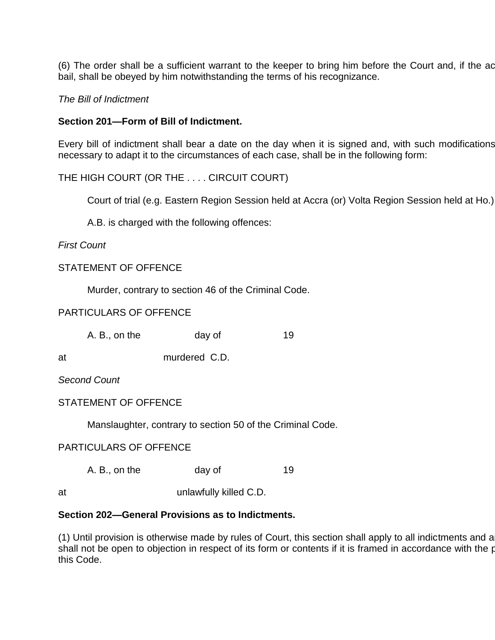(6) The order shall be a sufficient warrant to the keeper to bring him before the Court and, if the ac bail, shall be obeyed by him notwithstanding the terms of his recognizance.

#### *The Bill of Indictment*

#### **Section 201—Form of Bill of Indictment.**

Every bill of indictment shall bear a date on the day when it is signed and, with such modifications necessary to adapt it to the circumstances of each case, shall be in the following form:

# THE HIGH COURT (OR THE . . . . CIRCUIT COURT)

Court of trial (e.g. Eastern Region Session held at Accra (or) Volta Region Session held at Ho.)

A.B. is charged with the following offences:

#### *First Count*

#### STATEMENT OF OFFENCE

Murder, contrary to section 46 of the Criminal Code.

# PARTICULARS OF OFFENCE

| A. B., on the | day of | 19 |
|---------------|--------|----|
|               |        |    |

at murdered C.D.

*Second Count*

#### STATEMENT OF OFFENCE

Manslaughter, contrary to section 50 of the Criminal Code.

# PARTICULARS OF OFFENCE

A. B., on the day of 19

at unlawfully killed C.D.

#### **Section 202—General Provisions as to Indictments.**

(1) Until provision is otherwise made by rules of Court, this section shall apply to all indictments and a  $\frac{1}{2}$  shall not be open to objection in respect of its form or contents if it is framed in accordance with the provision this Code.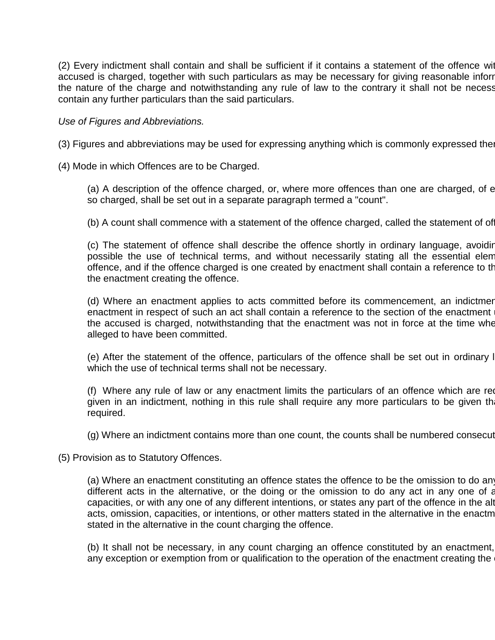(2) Every indictment shall contain and shall be sufficient if it contains a statement of the offence with accused is charged, together with such particulars as may be necessary for giving reasonable inforr the nature of the charge and notwithstanding any rule of law to the contrary it shall not be necess contain any further particulars than the said particulars.

#### *Use of Figures and Abbreviations.*

(3) Figures and abbreviations may be used for expressing anything which is commonly expressed thereby.

(4) Mode in which Offences are to be Charged.

(a) A description of the offence charged, or, where more offences than one are charged, of  $\epsilon$ so charged, shall be set out in a separate paragraph termed a "count".

(b) A count shall commence with a statement of the offence charged, called the statement of of

(c) The statement of offence shall describe the offence shortly in ordinary language, avoiding possible the use of technical terms, and without necessarily stating all the essential elem offence, and if the offence charged is one created by enactment shall contain a reference to the the enactment creating the offence.

(d) Where an enactment applies to acts committed before its commencement, an indictmer enactment in respect of such an act shall contain a reference to the section of the enactment the accused is charged, notwithstanding that the enactment was not in force at the time whe alleged to have been committed.

(e) After the statement of the offence, particulars of the offence shall be set out in ordinary l which the use of technical terms shall not be necessary.

(f) Where any rule of law or any enactment limits the particulars of an offence which are required to be any rule of law or any enactment limits the particulars of an offence which are required to given in an indictment, nothing in this rule shall require any more particulars to be given th required.

(g) Where an indictment contains more than one count, the counts shall be numbered consecut

(5) Provision as to Statutory Offences.

(a) Where an enactment constituting an offence states the offence to be the omission to do any different acts in the alternative, or the doing or the omission to do any act in any one of any capacities, or with any one of any different intentions, or states any part of the offence in the alternative the acts, omission, capacities, or intentions, or other matters stated in the alternative in the enactm stated in the alternative in the count charging the offence.

(b) It shall not be necessary, in any count charging an offence constituted by an enactment, any exception or exemption from or qualification to the operation of the enactment creating the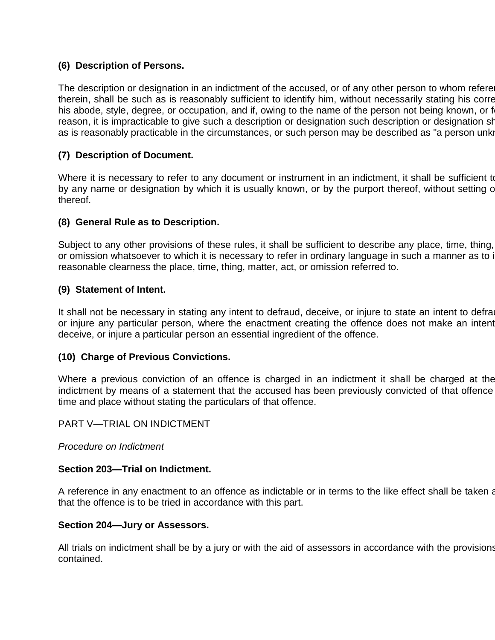# **(6) Description of Persons.**

The description or designation in an indictment of the accused, or of any other person to whom refere therein, shall be such as is reasonably sufficient to identify him, without necessarily stating his corre his abode, style, degree, or occupation, and if, owing to the name of the person not being known, or f reason, it is impracticable to give such a description or designation such description or designation shall be as is reasonably practicable in the circumstances, or such person may be described as "a person unknown".

# **(7) Description of Document.**

Where it is necessary to refer to any document or instrument in an indictment, it shall be sufficient to by any name or designation by which it is usually known, or by the purport thereof, without setting out thereof.

# **(8) General Rule as to Description.**

Subject to any other provisions of these rules, it shall be sufficient to describe any place, time, thing, or omission whatsoever to which it is necessary to refer in ordinary language in such a manner as to i reasonable clearness the place, time, thing, matter, act, or omission referred to.

# **(9) Statement of Intent.**

It shall not be necessary in stating any intent to defraud, deceive, or injure to state an intent to defraud, or injure any particular person, where the enactment creating the offence does not make an intent deceive, or injure a particular person an essential ingredient of the offence.

# **(10) Charge of Previous Convictions.**

Where a previous conviction of an offence is charged in an indictment it shall be charged at the indictment by means of a statement that the accused has been previously convicted of that offence time and place without stating the particulars of that offence.

PART V—TRIAL ON INDICTMENT

*Procedure on Indictment*

# **Section 203—Trial on Indictment.**

A reference in any enactment to an offence as indictable or in terms to the like effect shall be taken as that the offence is to be tried in accordance with this part.

#### **Section 204—Jury or Assessors.**

All trials on indictment shall be by a jury or with the aid of assessors in accordance with the provisions contained.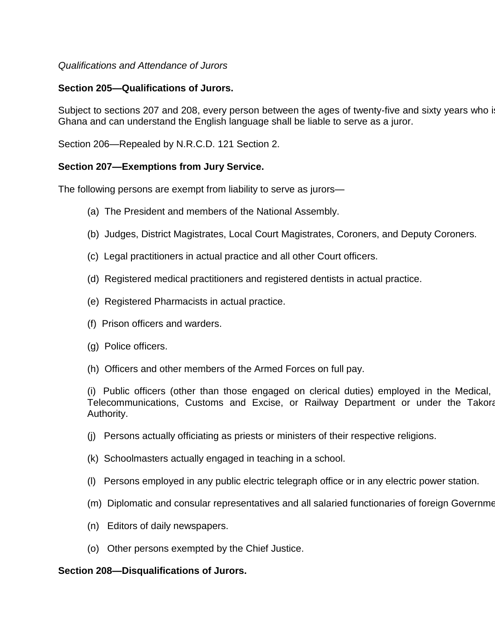# *Qualifications and Attendance of Jurors*

# **Section 205—Qualifications of Jurors.**

Subject to sections 207 and 208, every person between the ages of twenty-five and sixty years who is Ghana and can understand the English language shall be liable to serve as a juror.

Section 206—Repealed by N.R.C.D. 121 Section 2.

# **Section 207—Exemptions from Jury Service.**

The following persons are exempt from liability to serve as jurors—

- (a) The President and members of the National Assembly.
- (b) Judges, District Magistrates, Local Court Magistrates, Coroners, and Deputy Coroners.
- (c) Legal practitioners in actual practice and all other Court officers.
- (d) Registered medical practitioners and registered dentists in actual practice.
- (e) Registered Pharmacists in actual practice.
- (f) Prison officers and warders.
- (g) Police officers.
- (h) Officers and other members of the Armed Forces on full pay.

(i) Public officers (other than those engaged on clerical duties) employed in the Medical, Telecommunications, Customs and Excise, or Railway Department or under the Takora Authority.

- (j) Persons actually officiating as priests or ministers of their respective religions.
- (k) Schoolmasters actually engaged in teaching in a school.
- (l) Persons employed in any public electric telegraph office or in any electric power station.
- (m) Diplomatic and consular representatives and all salaried functionaries of foreign Governme
- (n) Editors of daily newspapers.
- (o) Other persons exempted by the Chief Justice.

# **Section 208—Disqualifications of Jurors.**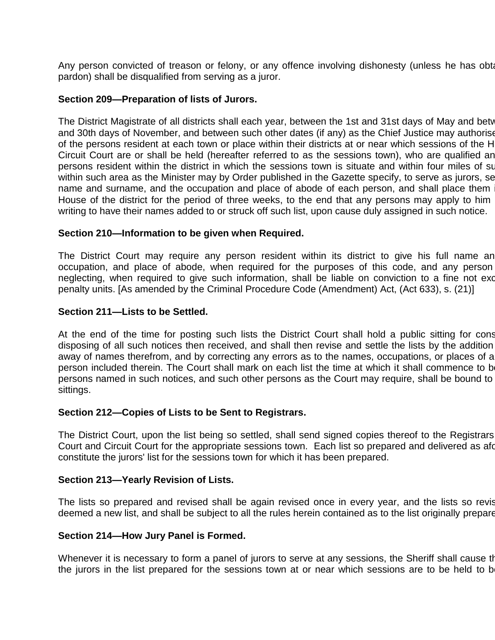Any person convicted of treason or felony, or any offence involving dishonesty (unless he has obtained a free pardon) shall be disqualified from serving as a juror.

#### **Section 209—Preparation of lists of Jurors.**

The District Magistrate of all districts shall each year, between the 1st and 31st days of May and bety and 30th days of November, and between such other dates (if any) as the Chief Justice may authorise of the persons resident at each town or place within their districts at or near which sessions of the H Circuit Court are or shall be held (hereafter referred to as the sessions town), who are qualified an persons resident within the district in which the sessions town is situate and within four miles of su within such area as the Minister may by Order published in the Gazette specify, to serve as jurors, setting out name and surname, and the occupation and place of abode of each person, and shall place them House of the district for the period of three weeks, to the end that any persons may apply to him writing to have their names added to or struck off such list, upon cause duly assigned in such notice.

#### **Section 210—Information to be given when Required.**

The District Court may require any person resident within its district to give his full name an occupation, and place of abode, when required for the purposes of this code, and any person neglecting, when required to give such information, shall be liable on conviction to a fine not exce penalty units. [As amended by the Criminal Procedure Code (Amendment) Act, (Act 633), s. (21)]

#### **Section 211—Lists to be Settled.**

At the end of the time for posting such lists the District Court shall hold a public sitting for constant and the Unit of the Unit and the time for constant and the unit of the time for constant and the Unit of the Unit of disposing of all such notices then received, and shall then revise and settle the lists by the addition away of names therefrom, and by correcting any errors as to the names, occupations, or places of a person included therein. The Court shall mark on each list the time at which it shall commence to b persons named in such notices, and such other persons as the Court may require, shall be bound to sittings.

#### **Section 212—Copies of Lists to be Sent to Registrars.**

The District Court, upon the list being so settled, shall send signed copies thereof to the Registrars Court and Circuit Court for the appropriate sessions town. Each list so prepared and delivered as afortulated shall constitute the jurors' list for the sessions town for which it has been prepared.

#### **Section 213—Yearly Revision of Lists.**

The lists so prepared and revised shall be again revised once in every year, and the lists so revis deemed a new list, and shall be subject to all the rules herein contained as to the list originally prepare

#### **Section 214—How Jury Panel is Formed.**

Whenever it is necessary to form a panel of jurors to serve at any sessions, the Sheriff shall cause the the jurors in the list prepared for the sessions town at or near which sessions are to be held to b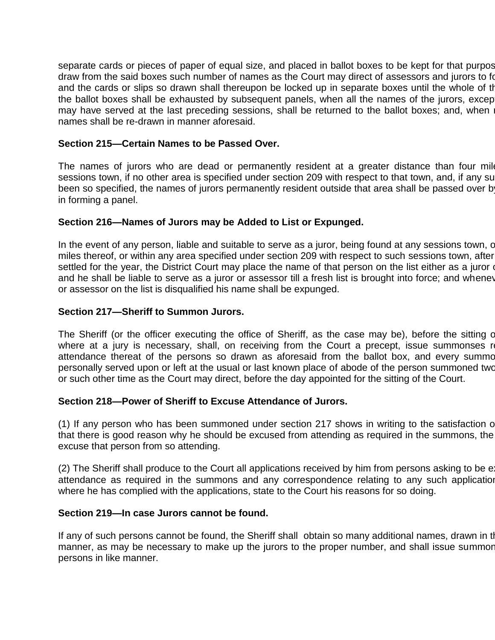separate cards or pieces of paper of equal size, and placed in ballot boxes to be kept for that purpos draw from the said boxes such number of names as the Court may direct of assessors and jurors to form and the cards or slips so drawn shall thereupon be locked up in separate boxes until the whole of the the ballot boxes shall be exhausted by subsequent panels, when all the names of the jurors, except may have served at the last preceding sessions, shall be returned to the ballot boxes; and, when names shall be re-drawn in manner aforesaid.

### **Section 215—Certain Names to be Passed Over.**

The names of jurors who are dead or permanently resident at a greater distance than four miles sessions town, if no other area is specified under section 209 with respect to that town, and, if any su been so specified, the names of jurors permanently resident outside that area shall be passed over b in forming a panel.

# **Section 216—Names of Jurors may be Added to List or Expunged.**

In the event of any person, liable and suitable to serve as a juror, being found at any sessions town, contain miles thereof, or within any area specified under section 209 with respect to such sessions town, after settled for the year, the District Court may place the name of that person on the list either as a juror or and he shall be liable to serve as a juror or assessor till a fresh list is brought into force; and wheney or assessor on the list is disqualified his name shall be expunged.

#### **Section 217—Sheriff to Summon Jurors.**

The Sheriff (or the officer executing the office of Sheriff, as the case may be), before the sitting of where at a jury is necessary, shall, on receiving from the Court a precept, issue summonses re attendance thereat of the persons so drawn as aforesaid from the ballot box, and every summo personally served upon or left at the usual or last known place of abode of the person summoned two or such other time as the Court may direct, before the day appointed for the sitting of the Court.

#### **Section 218—Power of Sheriff to Excuse Attendance of Jurors.**

(1) If any person who has been summoned under section 217 shows in writing to the satisfaction of that there is good reason why he should be excused from attending as required in the summons, the excuse that person from so attending.

(2) The Sheriff shall produce to the Court all applications received by him from persons asking to be example attendance as required in the summons and any correspondence relating to any such application where he has complied with the applications, state to the Court his reasons for so doing.

#### **Section 219—In case Jurors cannot be found.**

If any of such persons cannot be found, the Sheriff shall obtain so many additional names, drawn in the afores manner, as may be necessary to make up the jurors to the proper number, and shall issue summor persons in like manner.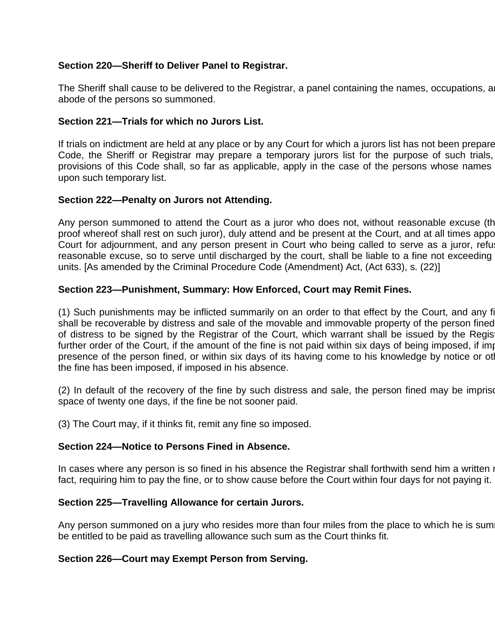# **Section 220—Sheriff to Deliver Panel to Registrar.**

The Sheriff shall cause to be delivered to the Registrar, a panel containing the names, occupations, a abode of the persons so summoned.

# **Section 221—Trials for which no Jurors List.**

If trials on indictment are held at any place or by any Court for which a jurors list has not been prepare Code, the Sheriff or Registrar may prepare a temporary jurors list for the purpose of such trials, provisions of this Code shall, so far as applicable, apply in the case of the persons whose names upon such temporary list.

# **Section 222—Penalty on Jurors not Attending.**

Any person summoned to attend the Court as a juror who does not, without reasonable excuse (the proof whereof shall rest on such juror), duly attend and be present at the Court, and at all times appo Court for adjournment, and any person present in Court who being called to serve as a juror, refus reasonable excuse, so to serve until discharged by the court, shall be liable to a fine not exceeding units. [As amended by the Criminal Procedure Code (Amendment) Act, (Act 633), s. (22)]

# **Section 223—Punishment, Summary: How Enforced, Court may Remit Fines.**

(1) Such punishments may be inflicted summarily on an order to that effect by the Court, and any fi shall be recoverable by distress and sale of the movable and immovable property of the person fined of distress to be signed by the Registrar of the Court, which warrant shall be issued by the Registrar, and the teast further order of the Court, if the amount of the fine is not paid within six days of being imposed, if impose presence of the person fined, or within six days of its having come to his knowledge by notice or otherwise the fine has been imposed, if imposed in his absence.

(2) In default of the recovery of the fine by such distress and sale, the person fined may be imprison space of twenty one days, if the fine be not sooner paid.

(3) The Court may, if it thinks fit, remit any fine so imposed.

# **Section 224—Notice to Persons Fined in Absence.**

In cases where any person is so fined in his absence the Registrar shall forthwith send him a written in fact, requiring him to pay the fine, or to show cause before the Court within four days for not paying it.

# **Section 225—Travelling Allowance for certain Jurors.**

Any person summoned on a jury who resides more than four miles from the place to which he is sum be entitled to be paid as travelling allowance such sum as the Court thinks fit.

# **Section 226—Court may Exempt Person from Serving.**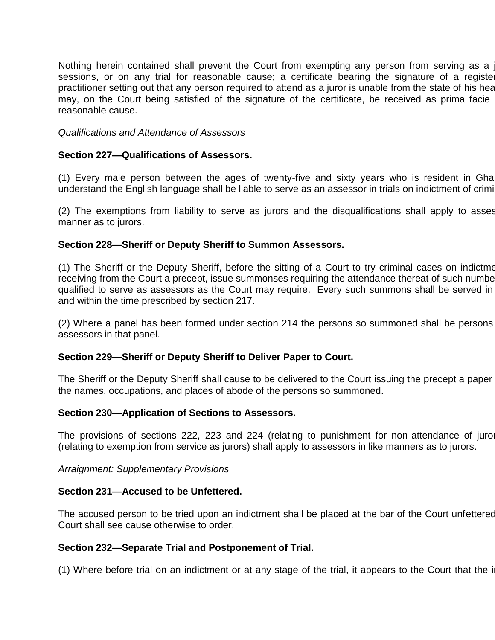Nothing herein contained shall prevent the Court from exempting any person from serving as a sessions, or on any trial for reasonable cause; a certificate bearing the signature of a registe practitioner setting out that any person required to attend as a juror is unable from the state of his health may, on the Court being satisfied of the signature of the certificate, be received as prima facie reasonable cause.

*Qualifications and Attendance of Assessors*

#### **Section 227—Qualifications of Assessors.**

(1) Every male person between the ages of twenty-five and sixty years who is resident in Gha understand the English language shall be liable to serve as an assessor in trials on indictment of criminal

(2) The exemptions from liability to serve as jurors and the disqualifications shall apply to asses manner as to jurors.

#### **Section 228—Sheriff or Deputy Sheriff to Summon Assessors.**

(1) The Sheriff or the Deputy Sheriff, before the sitting of a Court to try criminal cases on indictme receiving from the Court a precept, issue summonses requiring the attendance thereat of such numbe qualified to serve as assessors as the Court may require. Every such summons shall be served in and within the time prescribed by section 217.

(2) Where a panel has been formed under section 214 the persons so summoned shall be persons assessors in that panel.

#### **Section 229—Sheriff or Deputy Sheriff to Deliver Paper to Court.**

The Sheriff or the Deputy Sheriff shall cause to be delivered to the Court issuing the precept a paper the names, occupations, and places of abode of the persons so summoned.

#### **Section 230—Application of Sections to Assessors.**

The provisions of sections 222, 223 and 224 (relating to punishment for non-attendance of jurors) (relating to exemption from service as jurors) shall apply to assessors in like manners as to jurors.

#### *Arraignment: Supplementary Provisions*

#### **Section 231—Accused to be Unfettered.**

The accused person to be tried upon an indictment shall be placed at the bar of the Court unfettered Court shall see cause otherwise to order.

#### **Section 232—Separate Trial and Postponement of Trial.**

 $(1)$  Where before trial on an indictment or at any stage of the trial, it appears to the Court that the i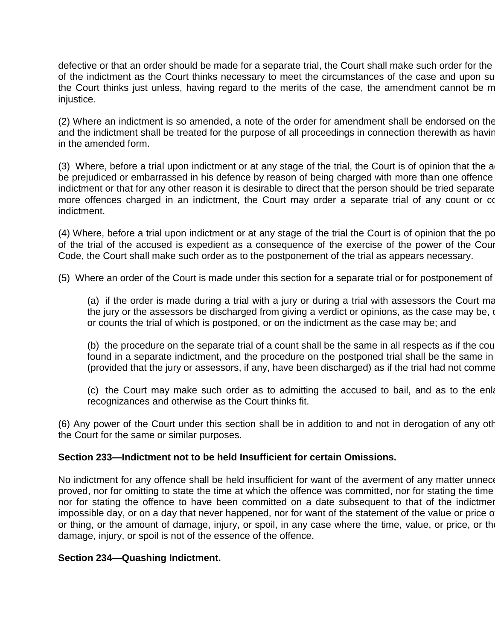defective or that an order should be made for a separate trial, the Court shall make such order for the of the indictment as the Court thinks necessary to meet the circumstances of the case and upon su the Court thinks just unless, having regard to the merits of the case, the amendment cannot be m injustice.

(2) Where an indictment is so amended, a note of the order for amendment shall be endorsed on the and the indictment shall be treated for the purpose of all proceedings in connection therewith as having in the amended form.

(3) Where, before a trial upon indictment or at any stage of the trial, the Court is of opinion that the a be prejudiced or embarrassed in his defence by reason of being charged with more than one offence indictment or that for any other reason it is desirable to direct that the person should be tried separate more offences charged in an indictment, the Court may order a separate trial of any count or co indictment.

(4) Where, before a trial upon indictment or at any stage of the trial the Court is of opinion that the post of the trial of the accused is expedient as a consequence of the exercise of the power of the Cour Code, the Court shall make such order as to the postponement of the trial as appears necessary.

(5) Where an order of the Court is made under this section for a separate trial or for postponement of

(a) if the order is made during a trial with a jury or during a trial with assessors the Court may the jury or the assessors be discharged from giving a verdict or opinions, as the case may be, on or counts the trial of which is postponed, or on the indictment as the case may be; and

(b) the procedure on the separate trial of a count shall be the same in all respects as if the count found in a separate indictment, and the procedure on the postponed trial shall be the same in (provided that the jury or assessors, if any, have been discharged) as if the trial had not comme

(c) the Court may make such order as to admitting the accused to bail, and as to the enla recognizances and otherwise as the Court thinks fit.

(6) Any power of the Court under this section shall be in addition to and not in derogation of any other the Court for the same or similar purposes.

#### **Section 233—Indictment not to be held Insufficient for certain Omissions.**

No indictment for any offence shall be held insufficient for want of the averment of any matter unnece proved, nor for omitting to state the time at which the offence was committed, nor for stating the time nor for stating the offence to have been committed on a date subsequent to that of the indictment impossible day, or on a day that never happened, nor for want of the statement of the value or price of or thing, or the amount of damage, injury, or spoil, in any case where the time, value, or price, or the damage, injury, or spoil is not of the essence of the offence.

#### **Section 234—Quashing Indictment.**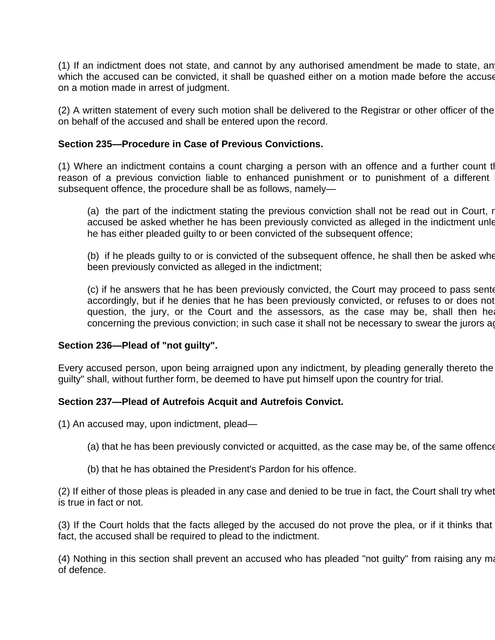(1) If an indictment does not state, and cannot by any authorised amendment be made to state, an which the accused can be convicted, it shall be quashed either on a motion made before the accuse on a motion made in arrest of judgment.

(2) A written statement of every such motion shall be delivered to the Registrar or other officer of the on behalf of the accused and shall be entered upon the record.

#### **Section 235—Procedure in Case of Previous Convictions.**

(1) Where an indictment contains a count charging a person with an offence and a further count that reason of a previous conviction liable to enhanced punishment or to punishment of a different subsequent offence, the procedure shall be as follows, namely—

(a) the part of the indictment stating the previous conviction shall not be read out in Court, r accused be asked whether he has been previously convicted as alleged in the indictment unle he has either pleaded guilty to or been convicted of the subsequent offence;

(b) if he pleads guilty to or is convicted of the subsequent offence, he shall then be asked whe been previously convicted as alleged in the indictment;

(c) if he answers that he has been previously convicted, the Court may proceed to pass sentent accordingly, but if he denies that he has been previously convicted, or refuses to or does not question, the jury, or the Court and the assessors, as the case may be, shall then hear concerning the previous conviction; in such case it shall not be necessary to swear the jurors again.

# **Section 236—Plead of "not guilty".**

Every accused person, upon being arraigned upon any indictment, by pleading generally thereto the guilty" shall, without further form, be deemed to have put himself upon the country for trial.

# **Section 237—Plead of Autrefois Acquit and Autrefois Convict.**

(1) An accused may, upon indictment, plead—

- (a) that he has been previously convicted or acquitted, as the case may be, of the same offence
- (b) that he has obtained the President's Pardon for his offence.

(2) If either of those pleas is pleaded in any case and denied to be true in fact, the Court shall try whet is true in fact or not.

(3) If the Court holds that the facts alleged by the accused do not prove the plea, or if it thinks that fact, the accused shall be required to plead to the indictment.

(4) Nothing in this section shall prevent an accused who has pleaded "not guilty" from raising any matter by a of defence.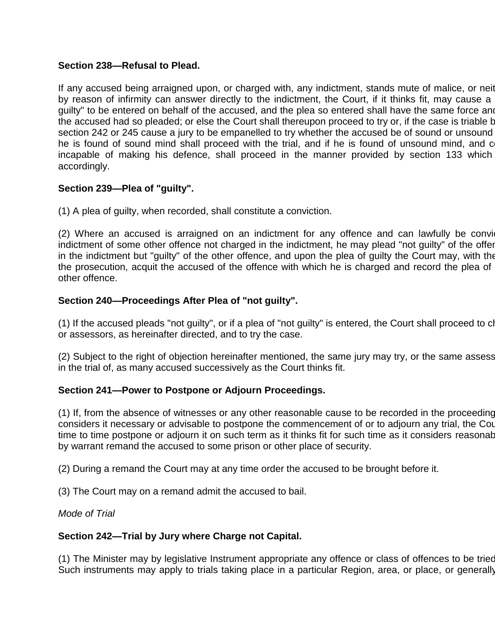# **Section 238—Refusal to Plead.**

If any accused being arraigned upon, or charged with, any indictment, stands mute of malice, or neither by reason of infirmity can answer directly to the indictment, the Court, if it thinks fit, may cause a guilty" to be entered on behalf of the accused, and the plea so entered shall have the same force and the accused had so pleaded; or else the Court shall thereupon proceed to try or, if the case is triable by section 242 or 245 cause a jury to be empanelled to try whether the accused be of sound or unsound he is found of sound mind shall proceed with the trial, and if he is found of unsound mind, and c incapable of making his defence, shall proceed in the manner provided by section 133 which accordingly.

# **Section 239—Plea of "guilty".**

(1) A plea of guilty, when recorded, shall constitute a conviction.

(2) Where an accused is arraigned on an indictment for any offence and can lawfully be convicted on indictment of some other offence not charged in the indictment, he may plead "not guilty" of the offer in the indictment but "guilty" of the other offence, and upon the plea of guilty the Court may, with the the prosecution, acquit the accused of the offence with which he is charged and record the plea of other offence.

# **Section 240—Proceedings After Plea of "not guilty".**

(1) If the accused pleads "not guilty", or if a plea of "not guilty" is entered, the Court shall proceed to cl or assessors, as hereinafter directed, and to try the case.

(2) Subject to the right of objection hereinafter mentioned, the same jury may try, or the same assess in the trial of, as many accused successively as the Court thinks fit.

# **Section 241—Power to Postpone or Adjourn Proceedings.**

(1) If, from the absence of witnesses or any other reasonable cause to be recorded in the proceeding considers it necessary or advisable to postpone the commencement of or to adjourn any trial, the Cou time to time postpone or adjourn it on such term as it thinks fit for such time as it considers reasonable, by warrant remand the accused to some prison or other place of security.

(2) During a remand the Court may at any time order the accused to be brought before it.

(3) The Court may on a remand admit the accused to bail.

*Mode of Trial*

# **Section 242—Trial by Jury where Charge not Capital.**

(1) The Minister may by legislative Instrument appropriate any offence or class of offences to be tried Such instruments may apply to trials taking place in a particular Region, area, or place, or generally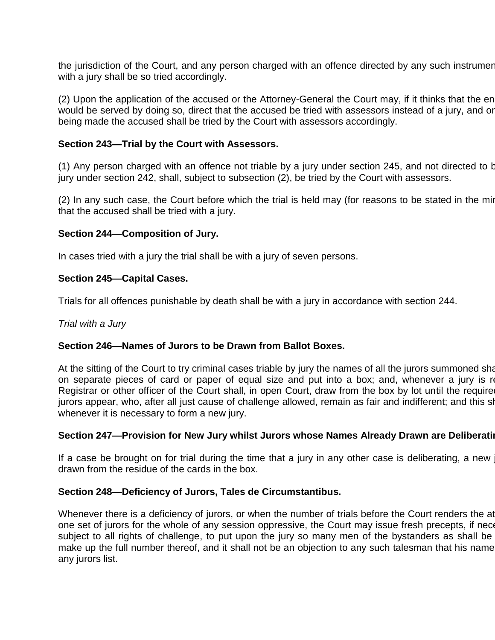the jurisdiction of the Court, and any person charged with an offence directed by any such instrumer with a jury shall be so tried accordingly.

(2) Upon the application of the accused or the Attorney-General the Court may, if it thinks that the en would be served by doing so, direct that the accused be tried with assessors instead of a jury, and or being made the accused shall be tried by the Court with assessors accordingly.

#### **Section 243—Trial by the Court with Assessors.**

(1) Any person charged with an offence not triable by a jury under section 245, and not directed to b jury under section 242, shall, subject to subsection (2), be tried by the Court with assessors.

 $(2)$  In any such case, the Court before which the trial is held may (for reasons to be stated in the minute that the accused shall be tried with a jury.

#### **Section 244—Composition of Jury.**

In cases tried with a jury the trial shall be with a jury of seven persons.

#### **Section 245—Capital Cases.**

Trials for all offences punishable by death shall be with a jury in accordance with section 244.

*Trial with a Jury*

# **Section 246—Names of Jurors to be Drawn from Ballot Boxes.**

At the sitting of the Court to try criminal cases triable by jury the names of all the jurors summoned shall on separate pieces of card or paper of equal size and put into a box; and, whenever a jury is re Registrar or other officer of the Court shall, in open Court, draw from the box by lot until the require jurors appear, who, after all just cause of challenge allowed, remain as fair and indifferent; and this sl whenever it is necessary to form a new jury.

#### **Section 247—Provision for New Jury whilst Jurors whose Names Already Drawn are Deliberating**.

If a case be brought on for trial during the time that a jury in any other case is deliberating, a new drawn from the residue of the cards in the box.

#### **Section 248—Deficiency of Jurors, Tales de Circumstantibus.**

Whenever there is a deficiency of jurors, or when the number of trials before the Court renders the atta one set of jurors for the whole of any session oppressive, the Court may issue fresh precepts, if nece subject to all rights of challenge, to put upon the jury so many men of the bystanders as shall be make up the full number thereof, and it shall not be an objection to any such talesman that his name any jurors list.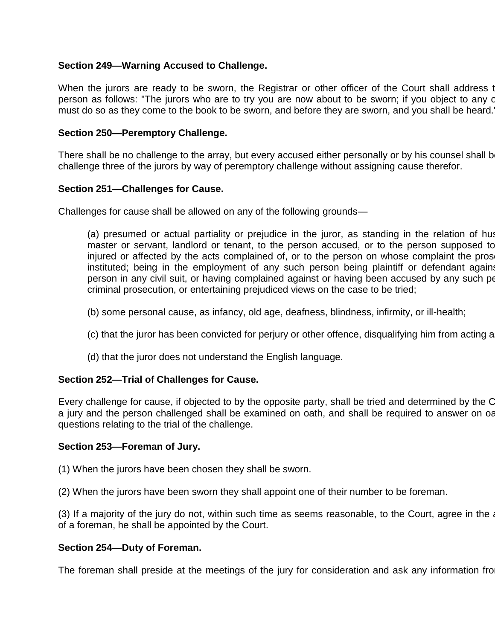# **Section 249—Warning Accused to Challenge.**

When the jurors are ready to be sworn, the Registrar or other officer of the Court shall address to person as follows: "The jurors who are to try you are now about to be sworn; if you object to any o must do so as they come to the book to be sworn, and before they are sworn, and you shall be heard.

# **Section 250—Peremptory Challenge.**

There shall be no challenge to the array, but every accused either personally or by his counsel shall b challenge three of the jurors by way of peremptory challenge without assigning cause therefor.

# **Section 251—Challenges for Cause.**

Challenges for cause shall be allowed on any of the following grounds—

(a) presumed or actual partiality or prejudice in the juror, as standing in the relation of hus master or servant, landlord or tenant, to the person accused, or to the person supposed to injured or affected by the acts complained of, or to the person on whose complaint the pros instituted; being in the employment of any such person being plaintiff or defendant against person in any civil suit, or having complained against or having been accused by any such pe criminal prosecution, or entertaining prejudiced views on the case to be tried;

- (b) some personal cause, as infancy, old age, deafness, blindness, infirmity, or ill-health;
- (c) that the juror has been convicted for perjury or other offence, disqualifying him from acting a
- (d) that the juror does not understand the English language.

# **Section 252—Trial of Challenges for Cause.**

Every challenge for cause, if objected to by the opposite party, shall be tried and determined by the C a jury and the person challenged shall be examined on oath, and shall be required to answer on oa questions relating to the trial of the challenge.

# **Section 253—Foreman of Jury.**

(1) When the jurors have been chosen they shall be sworn.

(2) When the jurors have been sworn they shall appoint one of their number to be foreman.

(3) If a majority of the jury do not, within such time as seems reasonable, to the Court, agree in the appoint of a foreman, he shall be appointed by the Court.

# **Section 254—Duty of Foreman.**

The foreman shall preside at the meetings of the jury for consideration and ask any information fro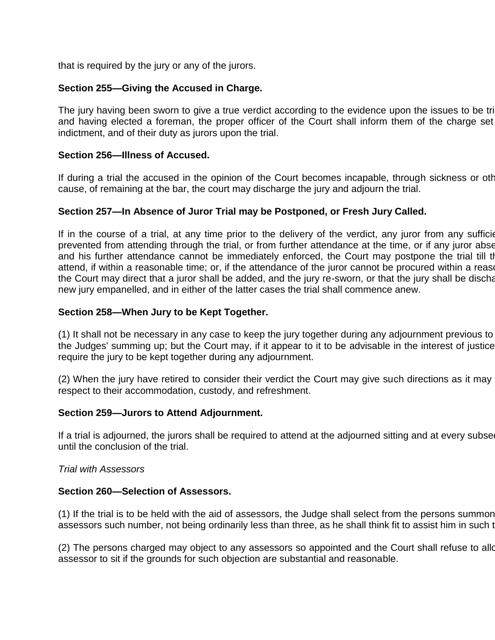that is required by the jury or any of the jurors.

# **Section 255—Giving the Accused in Charge.**

The jury having been sworn to give a true verdict according to the evidence upon the issues to be tri and having elected a foreman, the proper officer of the Court shall inform them of the charge set indictment, and of their duty as jurors upon the trial.

# **Section 256—Illness of Accused.**

If during a trial the accused in the opinion of the Court becomes incapable, through sickness or other cause, of remaining at the bar, the court may discharge the jury and adjourn the trial.

# **Section 257—In Absence of Juror Trial may be Postponed, or Fresh Jury Called.**

If in the course of a trial, at any time prior to the delivery of the verdict, any juror from any sufficient prevented from attending through the trial, or from further attendance at the time, or if any juror abset and his further attendance cannot be immediately enforced, the Court may postpone the trial till the attend, if within a reasonable time; or, if the attendance of the juror cannot be procured within a rease the Court may direct that a juror shall be added, and the jury re-sworn, or that the jury shall be discharged, new jury empanelled, and in either of the latter cases the trial shall commence anew.

# **Section 258—When Jury to be Kept Together.**

(1) It shall not be necessary in any case to keep the jury together during any adjournment previous to the Judges' summing up; but the Court may, if it appear to it to be advisable in the interest of justice require the jury to be kept together during any adjournment.

(2) When the jury have retired to consider their verdict the Court may give such directions as it may respect to their accommodation, custody, and refreshment.

# **Section 259—Jurors to Attend Adjournment.**

If a trial is adjourned, the jurors shall be required to attend at the adjourned sitting and at every subsequent until the conclusion of the trial.

#### *Trial with Assessors*

#### **Section 260—Selection of Assessors.**

(1) If the trial is to be held with the aid of assessors, the Judge shall select from the persons summon assessors such number, not being ordinarily less than three, as he shall think fit to assist him in such t

(2) The persons charged may object to any assessors so appointed and the Court shall refuse to allo assessor to sit if the grounds for such objection are substantial and reasonable.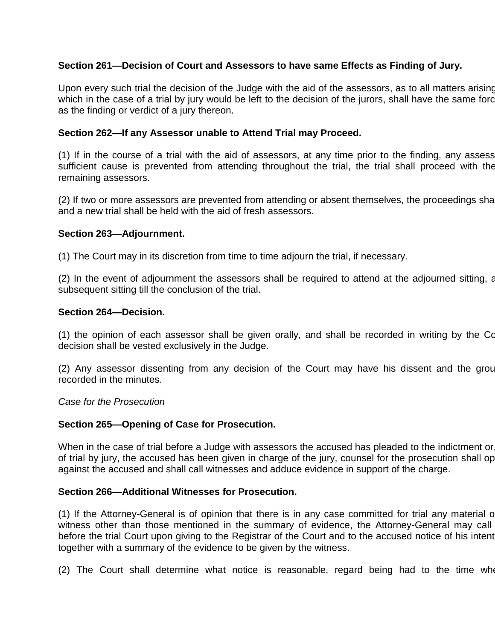# **Section 261—Decision of Court and Assessors to have same Effects as Finding of Jury.**

Upon every such trial the decision of the Judge with the aid of the assessors, as to all matters arising which in the case of a trial by jury would be left to the decision of the jurors, shall have the same force as the finding or verdict of a jury thereon.

#### **Section 262—If any Assessor unable to Attend Trial may Proceed.**

(1) If in the course of a trial with the aid of assessors, at any time prior to the finding, any assess sufficient cause is prevented from attending throughout the trial, the trial shall proceed with the remaining assessors.

(2) If two or more assessors are prevented from attending or absent themselves, the proceedings shall and a new trial shall be held with the aid of fresh assessors.

#### **Section 263—Adjournment.**

(1) The Court may in its discretion from time to time adjourn the trial, if necessary.

(2) In the event of adjournment the assessors shall be required to attend at the adjourned sitting, and at the subsequent sitting till the conclusion of the trial.

#### **Section 264—Decision.**

(1) the opinion of each assessor shall be given orally, and shall be recorded in writing by the Court decision shall be vested exclusively in the Judge.

(2) Any assessor dissenting from any decision of the Court may have his dissent and the ground recorded in the minutes.

*Case for the Prosecution*

# **Section 265—Opening of Case for Prosecution.**

When in the case of trial before a Judge with assessors the accused has pleaded to the indictment or of trial by jury, the accused has been given in charge of the jury, counsel for the prosecution shall op against the accused and shall call witnesses and adduce evidence in support of the charge.

#### **Section 266—Additional Witnesses for Prosecution.**

(1) If the Attorney-General is of opinion that there is in any case committed for trial any material or witness other than those mentioned in the summary of evidence, the Attorney-General may call before the trial Court upon giving to the Registrar of the Court and to the accused notice of his intent together with a summary of the evidence to be given by the witness.

 $(2)$  The Court shall determine what notice is reasonable, regard being had to the time when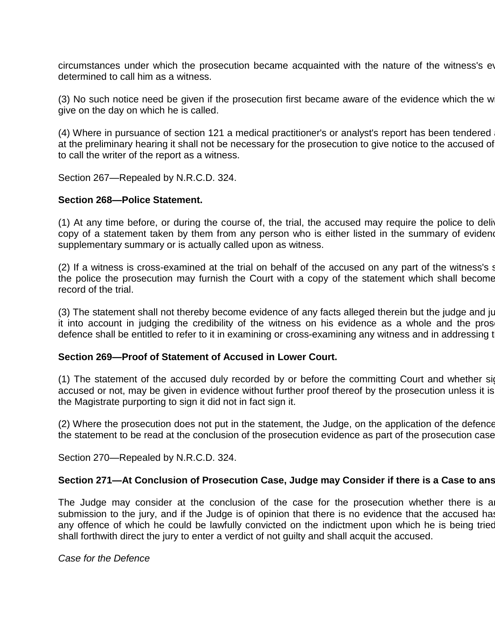circumstances under which the prosecution became acquainted with the nature of the witness's ev determined to call him as a witness.

(3) No such notice need be given if the prosecution first became aware of the evidence which the w give on the day on which he is called.

(4) Where in pursuance of section 121 a medical practitioner's or analyst's report has been tendered at the preliminary hearing it shall not be necessary for the prosecution to give notice to the accused of to call the writer of the report as a witness.

Section 267—Repealed by N.R.C.D. 324.

#### **Section 268—Police Statement.**

(1) At any time before, or during the course of, the trial, the accused may require the police to deliver copy of a statement taken by them from any person who is either listed in the summary of evidence supplementary summary or is actually called upon as witness.

(2) If a witness is cross-examined at the trial on behalf of the accused on any part of the witness's statement to the police the prosecution may furnish the Court with a copy of the statement which shall become record of the trial.

(3) The statement shall not thereby become evidence of any facts alleged therein but the judge and ju it into account in judging the credibility of the witness on his evidence as a whole and the pros defence shall be entitled to refer to it in examining or cross-examining any witness and in addressing to

#### **Section 269—Proof of Statement of Accused in Lower Court.**

(1) The statement of the accused duly recorded by or before the committing Court and whether signed by the by the by the signed by the statement of the accused duly recorded by or before the committing Court and whether si accused or not, may be given in evidence without further proof thereof by the prosecution unless it is the Magistrate purporting to sign it did not in fact sign it.

(2) Where the prosecution does not put in the statement, the Judge, on the application of the defence the statement to be read at the conclusion of the prosecution evidence as part of the prosecution case.

Section 270—Repealed by N.R.C.D. 324.

#### Section 271-At Conclusion of Prosecution Case, Judge may Consider if there is a Case to ans

The Judge may consider at the conclusion of the case for the prosecution whether there is a submission to the jury, and if the Judge is of opinion that there is no evidence that the accused has any offence of which he could be lawfully convicted on the indictment upon which he is being tried shall forthwith direct the jury to enter a verdict of not guilty and shall acquit the accused.

*Case for the Defence*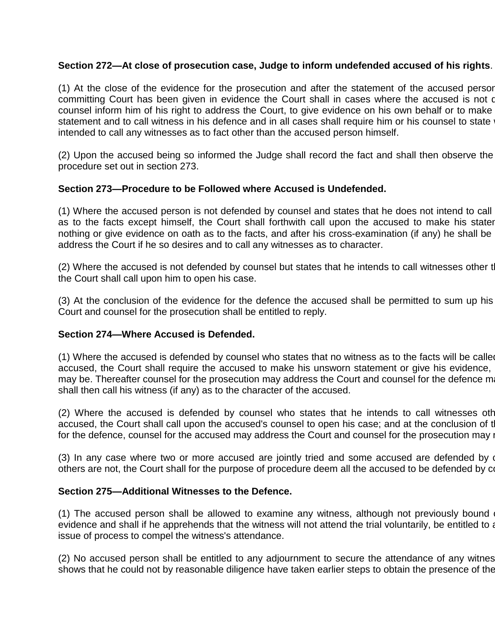# **Section 272—At close of prosecution case, Judge to inform undefended accused of his rights**.

(1) At the close of the evidence for the prosecution and after the statement of the accused person before the committing Court has been given in evidence the Court shall in cases where the accused is not defended by counsel inform him of his right to address the Court, to give evidence on his own behalf or to make statement and to call witness in his defence and in all cases shall require him or his counsel to state intended to call any witnesses as to fact other than the accused person himself.

(2) Upon the accused being so informed the Judge shall record the fact and shall then observe the procedure set out in section 273.

# **Section 273—Procedure to be Followed where Accused is Undefended.**

(1) Where the accused person is not defended by counsel and states that he does not intend to call as to the facts except himself, the Court shall forthwith call upon the accused to make his stater nothing or give evidence on oath as to the facts, and after his cross-examination (if any) he shall be address the Court if he so desires and to call any witnesses as to character.

(2) Where the accused is not defended by counsel but states that he intends to call witnesses other to the Court shall call upon him to open his case.

(3) At the conclusion of the evidence for the defence the accused shall be permitted to sum up his Court and counsel for the prosecution shall be entitled to reply.

# **Section 274—Where Accused is Defended.**

(1) Where the accused is defended by counsel who states that no witness as to the facts will be called accused, the Court shall require the accused to make his unsworn statement or give his evidence, may be. Thereafter counsel for the prosecution may address the Court and counsel for the defence may shall then call his witness (if any) as to the character of the accused.

(2) Where the accused is defended by counsel who states that he intends to call witnesses oth accused, the Court shall call upon the accused's counsel to open his case; and at the conclusion of t for the defence, counsel for the accused may address the Court and counsel for the prosecution may i

(3) In any case where two or more accused are jointly tried and some accused are defended by o others are not, the Court shall for the purpose of procedure deem all the accused to be defended by counter-

#### **Section 275—Additional Witnesses to the Defence.**

(1) The accused person shall be allowed to examine any witness, although not previously bound evidence and shall if he apprehends that the witness will not attend the trial voluntarily, be entitled to a issue of process to compel the witness's attendance.

(2) No accused person shall be entitled to any adjournment to secure the attendance of any witnes shows that he could not by reasonable diligence have taken earlier steps to obtain the presence of the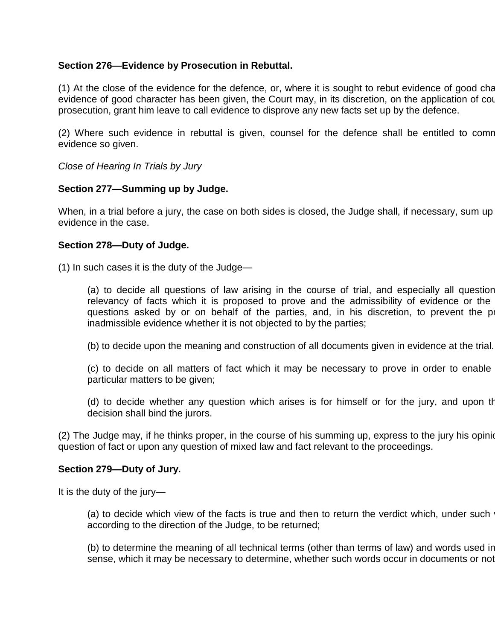# **Section 276—Evidence by Prosecution in Rebuttal.**

(1) At the close of the evidence for the defence, or, where it is sought to rebut evidence of good character. evidence of good character has been given, the Court may, in its discretion, on the application of counts prosecution, grant him leave to call evidence to disprove any new facts set up by the defence.

(2) Where such evidence in rebuttal is given, counsel for the defence shall be entitled to comr evidence so given.

*Close of Hearing In Trials by Jury*

# **Section 277—Summing up by Judge.**

When, in a trial before a jury, the case on both sides is closed, the Judge shall, if necessary, sum up evidence in the case.

# **Section 278—Duty of Judge.**

(1) In such cases it is the duty of the Judge—

(a) to decide all questions of law arising in the course of trial, and especially all question relevancy of facts which it is proposed to prove and the admissibility of evidence or the questions asked by or on behalf of the parties, and, in his discretion, to prevent the p inadmissible evidence whether it is not objected to by the parties;

(b) to decide upon the meaning and construction of all documents given in evidence at the trial.

(c) to decide on all matters of fact which it may be necessary to prove in order to enable particular matters to be given;

(d) to decide whether any question which arises is for himself or for the jury, and upon the decision shall bind the jurors.

(2) The Judge may, if he thinks proper, in the course of his summing up, express to the jury his opinion question of fact or upon any question of mixed law and fact relevant to the proceedings.

# **Section 279—Duty of Jury.**

It is the duty of the jury—

(a) to decide which view of the facts is true and then to return the verdict which, under such according to the direction of the Judge, to be returned;

(b) to determine the meaning of all technical terms (other than terms of law) and words used in sense, which it may be necessary to determine, whether such words occur in documents or not;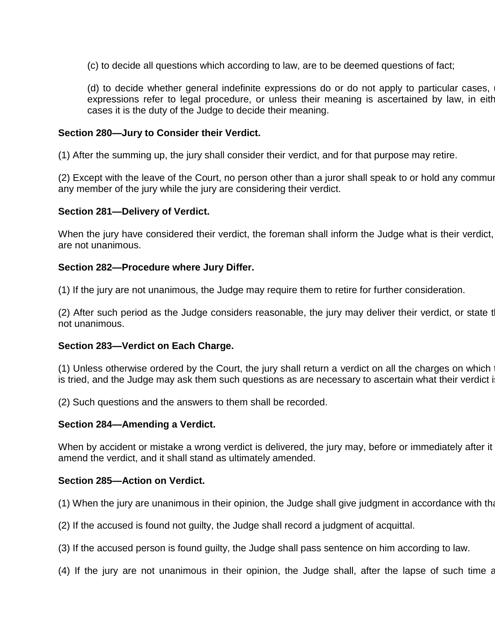(c) to decide all questions which according to law, are to be deemed questions of fact;

(d) to decide whether general indefinite expressions do or do not apply to particular cases, expressions refer to legal procedure, or unless their meaning is ascertained by law, in either cases it is the duty of the Judge to decide their meaning.

#### **Section 280—Jury to Consider their Verdict.**

(1) After the summing up, the jury shall consider their verdict, and for that purpose may retire.

(2) Except with the leave of the Court, no person other than a juror shall speak to or hold any communication any member of the jury while the jury are considering their verdict.

#### **Section 281—Delivery of Verdict.**

When the jury have considered their verdict, the foreman shall inform the Judge what is their verdict, are not unanimous.

#### **Section 282—Procedure where Jury Differ.**

(1) If the jury are not unanimous, the Judge may require them to retire for further consideration.

(2) After such period as the Judge considers reasonable, the jury may deliver their verdict, or state to not unanimous.

#### **Section 283—Verdict on Each Charge.**

(1) Unless otherwise ordered by the Court, the jury shall return a verdict on all the charges on which is tried, and the Judge may ask them such questions as are necessary to ascertain what their verdict is.

(2) Such questions and the answers to them shall be recorded.

#### **Section 284—Amending a Verdict.**

When by accident or mistake a wrong verdict is delivered, the jury may, before or immediately after it amend the verdict, and it shall stand as ultimately amended.

#### **Section 285—Action on Verdict.**

(1) When the jury are unanimous in their opinion, the Judge shall give judgment in accordance with that

- (2) If the accused is found not guilty, the Judge shall record a judgment of acquittal.
- (3) If the accused person is found guilty, the Judge shall pass sentence on him according to law.
- $(4)$  If the jury are not unanimous in their opinion, the Judge shall, after the lapse of such time as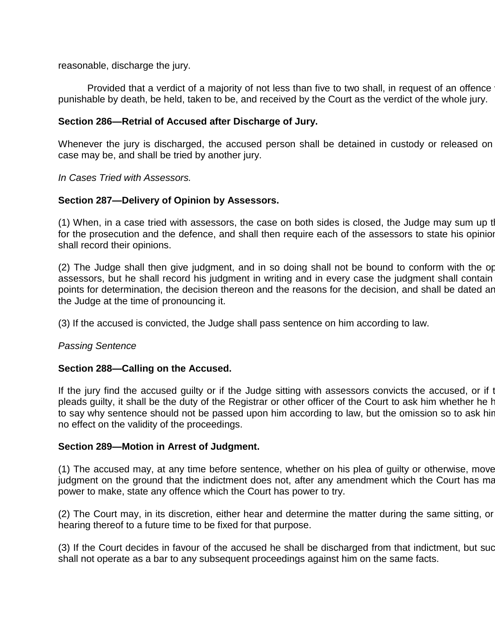reasonable, discharge the jury.

Provided that a verdict of a majority of not less than five to two shall, in request of an offence punishable by death, be held, taken to be, and received by the Court as the verdict of the whole jury.

#### **Section 286—Retrial of Accused after Discharge of Jury.**

Whenever the jury is discharged, the accused person shall be detained in custody or released on case may be, and shall be tried by another jury.

*In Cases Tried with Assessors.*

#### **Section 287—Delivery of Opinion by Assessors.**

(1) When, in a case tried with assessors, the case on both sides is closed, the Judge may sum up the for the prosecution and the defence, and shall then require each of the assessors to state his opinion shall record their opinions.

(2) The Judge shall then give judgment, and in so doing shall not be bound to conform with the op assessors, but he shall record his judgment in writing and in every case the judgment shall contain points for determination, the decision thereon and the reasons for the decision, and shall be dated ar the Judge at the time of pronouncing it.

(3) If the accused is convicted, the Judge shall pass sentence on him according to law.

#### *Passing Sentence*

#### **Section 288—Calling on the Accused.**

If the jury find the accused guilty or if the Judge sitting with assessors convicts the accused, or if the pleads guilty, it shall be the duty of the Registrar or other officer of the Court to ask him whether he has to say why sentence should not be passed upon him according to law, but the omission so to ask hir no effect on the validity of the proceedings.

#### **Section 289—Motion in Arrest of Judgment.**

(1) The accused may, at any time before sentence, whether on his plea of guilty or otherwise, move judgment on the ground that the indictment does not, after any amendment which the Court has ma power to make, state any offence which the Court has power to try.

(2) The Court may, in its discretion, either hear and determine the matter during the same sitting, or hearing thereof to a future time to be fixed for that purpose.

(3) If the Court decides in favour of the accused he shall be discharged from that indictment, but suc shall not operate as a bar to any subsequent proceedings against him on the same facts.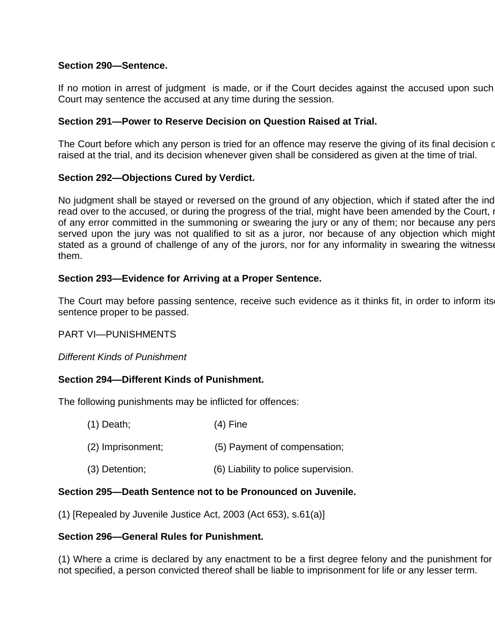# **Section 290—Sentence.**

If no motion in arrest of judgment is made, or if the Court decides against the accused upon such Court may sentence the accused at any time during the session.

# **Section 291—Power to Reserve Decision on Question Raised at Trial.**

The Court before which any person is tried for an offence may reserve the giving of its final decision on raised at the trial, and its decision whenever given shall be considered as given at the time of trial.

# **Section 292—Objections Cured by Verdict.**

No judgment shall be stayed or reversed on the ground of any objection, which if stated after the ind read over to the accused, or during the progress of the trial, might have been amended by the Court, no of any error committed in the summoning or swearing the jury or any of them; nor because any pers served upon the jury was not qualified to sit as a juror, nor because of any objection which might stated as a ground of challenge of any of the jurors, nor for any informality in swearing the witness them.

# **Section 293—Evidence for Arriving at a Proper Sentence.**

The Court may before passing sentence, receive such evidence as it thinks fit, in order to inform its sentence proper to be passed.

PART VI—PUNISHMENTS

*Different Kinds of Punishment*

# **Section 294—Different Kinds of Punishment.**

The following punishments may be inflicted for offences:

| $(1)$ Death;      | $(4)$ Fine                           |
|-------------------|--------------------------------------|
| (2) Imprisonment; | (5) Payment of compensation;         |
| $(3)$ Detention;  | (6) Liability to police supervision. |

# **Section 295—Death Sentence not to be Pronounced on Juvenile.**

(1) [Repealed by Juvenile Justice Act, 2003 (Act 653), s.61(a)]

# **Section 296—General Rules for Punishment.**

(1) Where a crime is declared by any enactment to be a first degree felony and the punishment for not specified, a person convicted thereof shall be liable to imprisonment for life or any lesser term.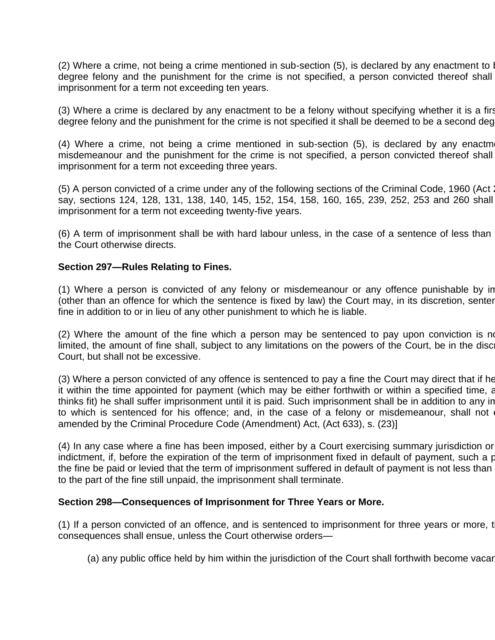(2) Where a crime, not being a crime mentioned in sub-section  $(5)$ , is declared by any enactment to be a second degree felony and the punishment for the crime is not specified, a person convicted thereof shall imprisonment for a term not exceeding ten years.

(3) Where a crime is declared by any enactment to be a felony without specifying whether it is a first degree felony and the punishment for the crime is not specified it shall be deemed to be a second deg

(4) Where a crime, not being a crime mentioned in sub-section  $(5)$ , is declared by any enactm misdemeanour and the punishment for the crime is not specified, a person convicted thereof shall imprisonment for a term not exceeding three years.

(5) A person convicted of a crime under any of the following sections of the Criminal Code, 1960 (Act 2 say, sections 124, 128, 131, 138, 140, 145, 152, 154, 158, 160, 165, 239, 252, 253 and 260 shall imprisonment for a term not exceeding twenty-five years.

(6) A term of imprisonment shall be with hard labour unless, in the case of a sentence of less than the Court otherwise directs.

#### **Section 297—Rules Relating to Fines.**

(1) Where a person is convicted of any felony or misdemeanour or any offence punishable by in (other than an offence for which the sentence is fixed by law) the Court may, in its discretion, senter fine in addition to or in lieu of any other punishment to which he is liable.

 $(2)$  Where the amount of the fine which a person may be sentenced to pay upon conviction is not limited, the amount of fine shall, subject to any limitations on the powers of the Court, be in the disc Court, but shall not be excessive.

(3) Where a person convicted of any offence is sentenced to pay a fine the Court may direct that if he it within the time appointed for payment (which may be either forthwith or within a specified time, as thinks fit) he shall suffer imprisonment until it is paid. Such imprisonment shall be in addition to any in to which is sentenced for his offence; and, in the case of a felony or misdemeanour, shall not amended by the Criminal Procedure Code (Amendment) Act, (Act 633), s. (23)]

(4) In any case where a fine has been imposed, either by a Court exercising summary jurisdiction or indictment, if, before the expiration of the term of imprisonment fixed in default of payment, such a proportio the fine be paid or levied that the term of imprisonment suffered in default of payment is not less than to the part of the fine still unpaid, the imprisonment shall terminate.

#### **Section 298—Consequences of Imprisonment for Three Years or More.**

(1) If a person convicted of an offence, and is sentenced to imprisonment for three years or more, t consequences shall ensue, unless the Court otherwise orders—

(a) any public office held by him within the jurisdiction of the Court shall forthwith become vacar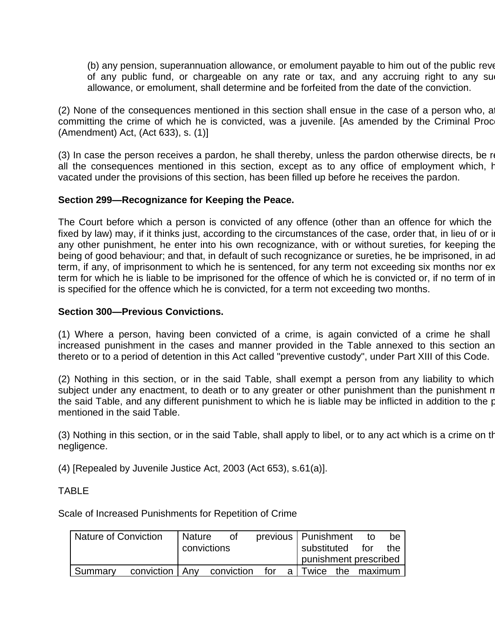(b) any pension, superannuation allowance, or emolument payable to him out of the public revenues of any public fund, or chargeable on any rate or tax, and any accruing right to any su allowance, or emolument, shall determine and be forfeited from the date of the conviction.

(2) None of the consequences mentioned in this section shall ensue in the case of a person who, at committing the crime of which he is convicted, was a juvenile. [As amended by the Criminal Proc (Amendment) Act, (Act 633), s. (1)]

(3) In case the person receives a pardon, he shall thereby, unless the pardon otherwise directs, be relieved from all the consequences mentioned in this section, except as to any office of employment which, having been vacated under the provisions of this section, has been filled up before he receives the pardon.

# **Section 299—Recognizance for Keeping the Peace.**

The Court before which a person is convicted of any offence (other than an offence for which the fixed by law) may, if it thinks just, according to the circumstances of the case, order that, in lieu of or in any other punishment, he enter into his own recognizance, with or without sureties, for keeping the being of good behaviour; and that, in default of such recognizance or sureties, he be imprisoned, in ad term, if any, of imprisonment to which he is sentenced, for any term not exceeding six months nor ex term for which he is liable to be imprisoned for the offence of which he is convicted or, if no term of in is specified for the offence which he is convicted, for a term not exceeding two months.

# **Section 300—Previous Convictions.**

(1) Where a person, having been convicted of a crime, is again convicted of a crime he shall increased punishment in the cases and manner provided in the Table annexed to this section an thereto or to a period of detention in this Act called "preventive custody", under Part XIII of this Code.

(2) Nothing in this section, or in the said Table, shall exempt a person from any liability to which subject under any enactment, to death or to any greater or other punishment than the punishment n the said Table, and any different punishment to which he is liable may be inflicted in addition to the punishment mentioned in the said Table.

(3) Nothing in this section, or in the said Table, shall apply to libel, or to any act which is a crime on the negligence.

(4) [Repealed by Juvenile Justice Act, 2003 (Act 653), s.61(a)].

# TABLE

Scale of Increased Punishments for Repetition of Crime

| Nature of Conviction |                  | <b>Nature</b> | Οf         |      |     | previous   Punishment | to | be |
|----------------------|------------------|---------------|------------|------|-----|-----------------------|----|----|
| convictions          |                  | substituted   | for        | the. |     |                       |    |    |
|                      |                  |               |            |      |     | punishment prescribed |    |    |
| Summarv              | conviction   Anv |               | conviction | for  | a I | Twice the maximum     |    |    |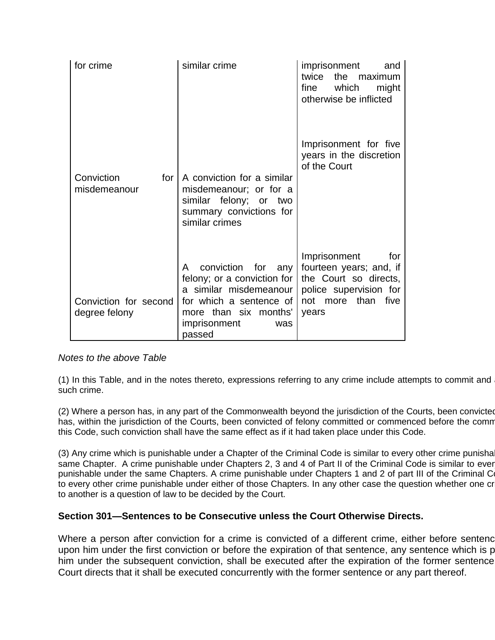| for crime                              | similar crime                                                                                                                                                         | imprisonment<br>and<br>twice the maximum<br>which<br>fine<br>might<br>otherwise be inflicted                                        |
|----------------------------------------|-----------------------------------------------------------------------------------------------------------------------------------------------------------------------|-------------------------------------------------------------------------------------------------------------------------------------|
| Conviction<br>for<br>misdemeanour      | A conviction for a similar<br>misdemeanour; or for a<br>similar felony; or two<br>summary convictions for<br>similar crimes                                           | Imprisonment for five<br>years in the discretion<br>of the Court                                                                    |
| Conviction for second<br>degree felony | conviction for any<br>A<br>felony; or a conviction for<br>a similar misdemeanour<br>for which a sentence of<br>more than six months'<br>imprisonment<br>was<br>passed | Imprisonment<br>for<br>fourteen years; and, if<br>the Court so directs,<br>police supervision for<br>not more than<br>five<br>years |

# *Notes to the above Table*

(1) In this Table, and in the notes thereto, expressions referring to any crime include attempts to commit and such crime.

(2) Where a person has, in any part of the Commonwealth beyond the jurisdiction of the Courts, been convicted has, within the jurisdiction of the Courts, been convicted of felony committed or commenced before the comm this Code, such conviction shall have the same effect as if it had taken place under this Code.

(3) Any crime which is punishable under a Chapter of the Criminal Code is similar to every other crime punisha same Chapter. A crime punishable under Chapters 2, 3 and 4 of Part II of the Criminal Code is similar to ever punishable under the same Chapters. A crime punishable under Chapters 1 and 2 of part III of the Criminal C to every other crime punishable under either of those Chapters. In any other case the question whether one cr to another is a question of law to be decided by the Court.

# **Section 301—Sentences to be Consecutive unless the Court Otherwise Directs.**

Where a person after conviction for a crime is convicted of a different crime, either before sentence upon him under the first conviction or before the expiration of that sentence, any sentence which is p him under the subsequent conviction, shall be executed after the expiration of the former sentence Court directs that it shall be executed concurrently with the former sentence or any part thereof.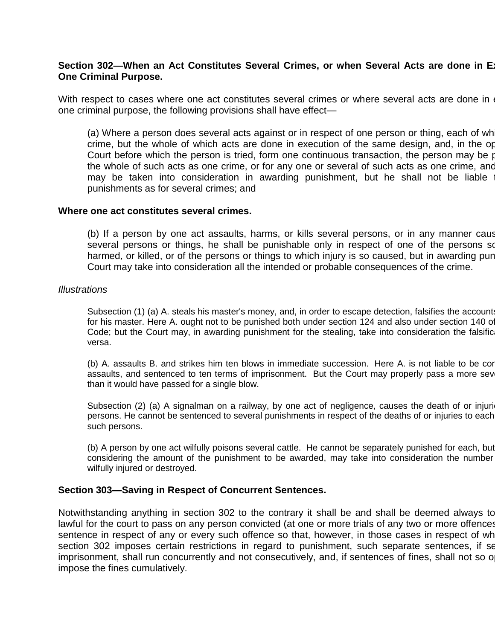### Section 302-When an Act Constitutes Several Crimes, or when Several Acts are done in Ex **One Criminal Purpose.**

With respect to cases where one act constitutes several crimes or where several acts are done in one criminal purpose, the following provisions shall have effect—

(a) Where a person does several acts against or in respect of one person or thing, each of wh crime, but the whole of which acts are done in execution of the same design, and, in the op Court before which the person is tried, form one continuous transaction, the person may be punished for the whole of such acts as one crime, or for any one or several of such acts as one crime, and may be taken into consideration in awarding punishment, but he shall not be liable punishments as for several crimes; and

#### **Where one act constitutes several crimes.**

(b) If a person by one act assaults, harms, or kills several persons, or in any manner cause several persons or things, he shall be punishable only in respect of one of the persons so harmed, or killed, or of the persons or things to which injury is so caused, but in awarding pun Court may take into consideration all the intended or probable consequences of the crime.

#### *Illustrations*

Subsection (1) (a) A. steals his master's money, and, in order to escape detection, falsifies the accounts for his master. Here A. ought not to be punished both under section 124 and also under section 140 of Code; but the Court may, in awarding punishment for the stealing, take into consideration the falsific versa.

(b) A. assaults B. and strikes him ten blows in immediate succession. Here A. is not liable to be con assaults, and sentenced to ten terms of imprisonment. But the Court may properly pass a more sev than it would have passed for a single blow.

Subsection (2) (a) A signalman on a railway, by one act of negligence, causes the death of or injuri persons. He cannot be sentenced to several punishments in respect of the deaths of or injuries to each such persons.

(b) A person by one act wilfully poisons several cattle. He cannot be separately punished for each, but considering the amount of the punishment to be awarded, may take into consideration the number wilfully injured or destroyed.

#### **Section 303—Saving in Respect of Concurrent Sentences.**

Notwithstanding anything in section 302 to the contrary it shall be and shall be deemed always to lawful for the court to pass on any person convicted (at one or more trials of any two or more offences sentence in respect of any or every such offence so that, however, in those cases in respect of wh section 302 imposes certain restrictions in regard to punishment, such separate sentences, if sentences imprisonment, shall run concurrently and not consecutively, and, if sentences of fines, shall not so o impose the fines cumulatively.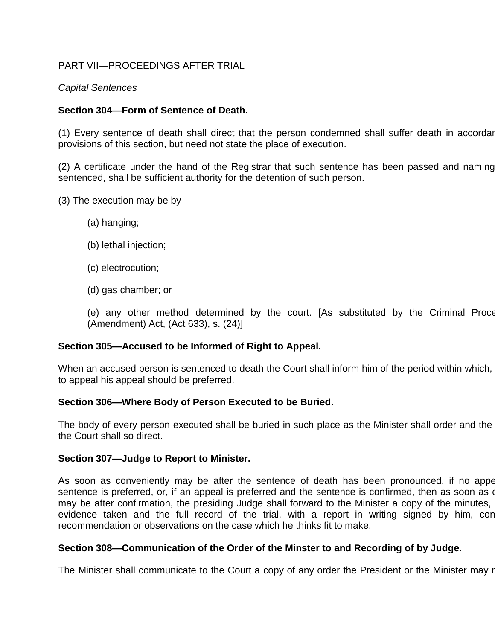# PART VII—PROCEEDINGS AFTER TRIAL

# *Capital Sentences*

# **Section 304—Form of Sentence of Death.**

(1) Every sentence of death shall direct that the person condemned shall suffer death in accordar provisions of this section, but need not state the place of execution.

(2) A certificate under the hand of the Registrar that such sentence has been passed and naming sentenced, shall be sufficient authority for the detention of such person.

- (3) The execution may be by
	- (a) hanging;
	- (b) lethal injection;
	- (c) electrocution;
	- (d) gas chamber; or
	- (e) any other method determined by the court. [As substituted by the Criminal Proce (Amendment) Act, (Act 633), s. (24)]

# **Section 305—Accused to be Informed of Right to Appeal.**

When an accused person is sentenced to death the Court shall inform him of the period within which, to appeal his appeal should be preferred.

# **Section 306—Where Body of Person Executed to be Buried.**

The body of every person executed shall be buried in such place as the Minister shall order and the the Court shall so direct.

# **Section 307—Judge to Report to Minister.**

As soon as conveniently may be after the sentence of death has been pronounced, if no appe sentence is preferred, or, if an appeal is preferred and the sentence is confirmed, then as soon as o may be after confirmation, the presiding Judge shall forward to the Minister a copy of the minutes, evidence taken and the full record of the trial, with a report in writing signed by him, con recommendation or observations on the case which he thinks fit to make.

# **Section 308—Communication of the Order of the Minster to and Recording of by Judge.**

The Minister shall communicate to the Court a copy of any order the President or the Minister may r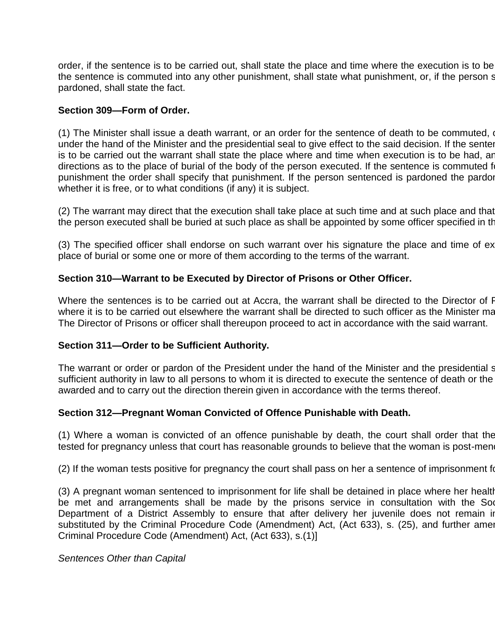order, if the sentence is to be carried out, shall state the place and time where the execution is to be the sentence is commuted into any other punishment, shall state what punishment, or, if the person sentence pardoned, shall state the fact.

# **Section 309—Form of Order.**

(1) The Minister shall issue a death warrant, or an order for the sentence of death to be commuted,  $\alpha$ under the hand of the Minister and the presidential seal to give effect to the said decision. If the senter is to be carried out the warrant shall state the place where and time when execution is to be had, ar directions as to the place of burial of the body of the person executed. If the sentence is commuted for punishment the order shall specify that punishment. If the person sentenced is pardoned the pardon whether it is free, or to what conditions (if any) it is subject.

(2) The warrant may direct that the execution shall take place at such time and at such place and that the person executed shall be buried at such place as shall be appointed by some officer specified in the

(3) The specified officer shall endorse on such warrant over his signature the place and time of execution place of burial or some one or more of them according to the terms of the warrant.

# **Section 310—Warrant to be Executed by Director of Prisons or Other Officer.**

Where the sentences is to be carried out at Accra, the warrant shall be directed to the Director of F where it is to be carried out elsewhere the warrant shall be directed to such officer as the Minister may The Director of Prisons or officer shall thereupon proceed to act in accordance with the said warrant.

# **Section 311—Order to be Sufficient Authority.**

The warrant or order or pardon of the President under the hand of the Minister and the presidential s sufficient authority in law to all persons to whom it is directed to execute the sentence of death or the awarded and to carry out the direction therein given in accordance with the terms thereof.

# **Section 312—Pregnant Woman Convicted of Offence Punishable with Death.**

(1) Where a woman is convicted of an offence punishable by death, the court shall order that the tested for pregnancy unless that court has reasonable grounds to believe that the woman is post-men

(2) If the woman tests positive for pregnancy the court shall pass on her a sentence of imprisonment for

(3) A pregnant woman sentenced to imprisonment for life shall be detained in place where her health be met and arrangements shall be made by the prisons service in consultation with the Soc Department of a District Assembly to ensure that after delivery her juvenile does not remain in substituted by the Criminal Procedure Code (Amendment) Act, (Act 633), s. (25), and further amen Criminal Procedure Code (Amendment) Act, (Act 633), s.(1)]

#### *Sentences Other than Capital*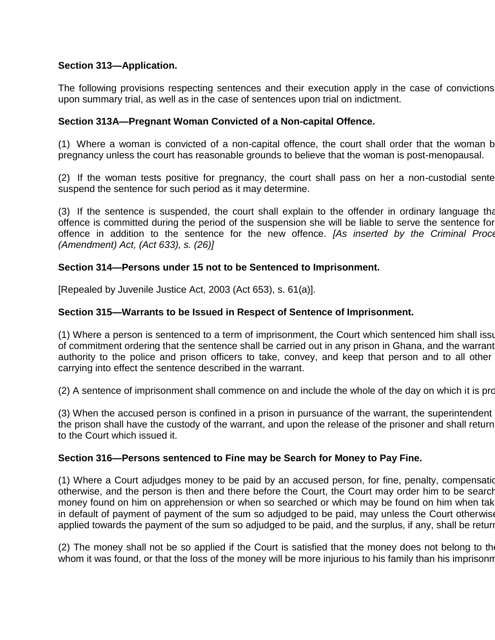# **Section 313—Application.**

The following provisions respecting sentences and their execution apply in the case of convictions upon summary trial, as well as in the case of sentences upon trial on indictment.

# **Section 313A—Pregnant Woman Convicted of a Non-capital Offence.**

(1) Where a woman is convicted of a non-capital offence, the court shall order that the woman b pregnancy unless the court has reasonable grounds to believe that the woman is post-menopausal.

 $(2)$  If the woman tests positive for pregnancy, the court shall pass on her a non-custodial sentence or  $(2)$ suspend the sentence for such period as it may determine.

(3) If the sentence is suspended, the court shall explain to the offender in ordinary language that offence is committed during the period of the suspension she will be liable to serve the sentence for offence in addition to the sentence for the new offence. *[As inserted by the Criminal Procedure Code (Amendment) Act, (Act 633), s. (26)]*

# **Section 314—Persons under 15 not to be Sentenced to Imprisonment.**

[Repealed by Juvenile Justice Act, 2003 (Act 653), s. 61(a)].

# **Section 315—Warrants to be Issued in Respect of Sentence of Imprisonment.**

(1) Where a person is sentenced to a term of imprisonment, the Court which sentenced him shall issue of commitment ordering that the sentence shall be carried out in any prison in Ghana, and the warrant authority to the police and prison officers to take, convey, and keep that person and to all other carrying into effect the sentence described in the warrant.

(2) A sentence of imprisonment shall commence on and include the whole of the day on which it is pronounced.

(3) When the accused person is confined in a prison in pursuance of the warrant, the superintendent the prison shall have the custody of the warrant, and upon the release of the prisoner and shall return to the Court which issued it.

#### **Section 316—Persons sentenced to Fine may be Search for Money to Pay Fine.**

(1) Where a Court adjudges money to be paid by an accused person, for fine, penalty, compensation otherwise, and the person is then and there before the Court, the Court may order him to be search money found on him on apprehension or when so searched or which may be found on him when tak in default of payment of payment of the sum so adjudged to be paid, may unless the Court otherwise applied towards the payment of the sum so adjudged to be paid, and the surplus, if any, shall be returing

(2) The money shall not be so applied if the Court is satisfied that the money does not belong to the whom it was found, or that the loss of the money will be more injurious to his family than his imprisonn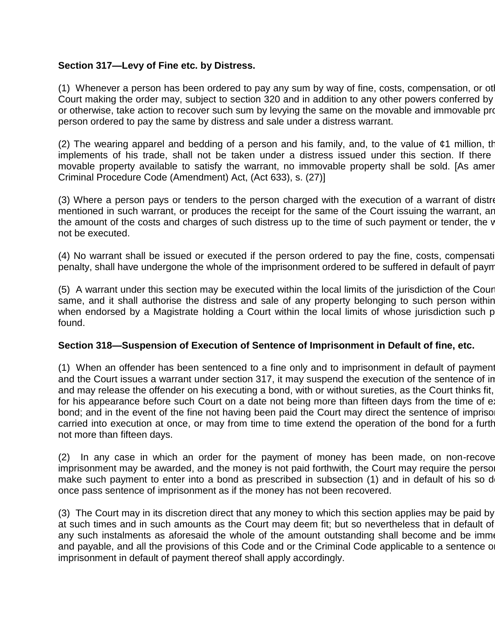# **Section 317—Levy of Fine etc. by Distress.**

(1) Whenever a person has been ordered to pay any sum by way of fine, costs, compensation, or otherwise, the Court making the order may, subject to section 320 and in addition to any other powers conferred by or otherwise, take action to recover such sum by levying the same on the movable and immovable pro person ordered to pay the same by distress and sale under a distress warrant.

(2) The wearing apparel and bedding of a person and his family, and, to the value of  $\varphi$ 1 million, the implements of his trade, shall not be taken under a distress issued under this section. If there movable property available to satisfy the warrant, no immovable property shall be sold. [As amer Criminal Procedure Code (Amendment) Act, (Act 633), s. (27)]

(3) Where a person pays or tenders to the person charged with the execution of a warrant of distre mentioned in such warrant, or produces the receipt for the same of the Court issuing the warrant, and also pays the amount of the costs and charges of such distress up to the time of such payment or tender, the v not be executed.

(4) No warrant shall be issued or executed if the person ordered to pay the fine, costs, compensation, penalty, shall have undergone the whole of the imprisonment ordered to be suffered in default of paym

(5) A warrant under this section may be executed within the local limits of the jurisdiction of the Court same, and it shall authorise the distress and sale of any property belonging to such person within when endorsed by a Magistrate holding a Court within the local limits of whose jurisdiction such p found.

# **Section 318—Suspension of Execution of Sentence of Imprisonment in Default of fine, etc.**

(1) When an offender has been sentenced to a fine only and to imprisonment in default of payment and the Court issues a warrant under section 317, it may suspend the execution of the sentence of in and may release the offender on his executing a bond, with or without sureties, as the Court thinks fit, for his appearance before such Court on a date not being more than fifteen days from the time of ex bond; and in the event of the fine not having been paid the Court may direct the sentence of impriso carried into execution at once, or may from time to time extend the operation of the bond for a furth not more than fifteen days.

 $(2)$  In any case in which an order for the payment of money has been made, on non-recover imprisonment may be awarded, and the money is not paid forthwith, the Court may require the perso make such payment to enter into a bond as prescribed in subsection (1) and in default of his so d once pass sentence of imprisonment as if the money has not been recovered.

(3) The Court may in its discretion direct that any money to which this section applies may be paid by at such times and in such amounts as the Court may deem fit; but so nevertheless that in default of any such instalments as aforesaid the whole of the amount outstanding shall become and be imme and payable, and all the provisions of this Code and or the Criminal Code applicable to a sentence o imprisonment in default of payment thereof shall apply accordingly.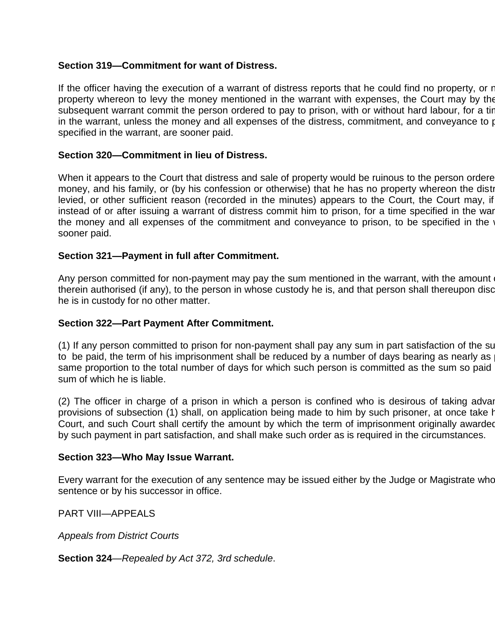# **Section 319—Commitment for want of Distress.**

If the officer having the execution of a warrant of distress reports that he could find no property, or not property whereon to levy the money mentioned in the warrant with expenses, the Court may by the subsequent warrant commit the person ordered to pay to prison, with or without hard labour, for a tir in the warrant, unless the money and all expenses of the distress, commitment, and conveyance to prison, to specified in the warrant, are sooner paid.

# **Section 320—Commitment in lieu of Distress.**

When it appears to the Court that distress and sale of property would be ruinous to the person ordere money, and his family, or (by his confession or otherwise) that he has no property whereon the disti levied, or other sufficient reason (recorded in the minutes) appears to the Court, the Court may, if instead of or after issuing a warrant of distress commit him to prison, for a time specified in the war the money and all expenses of the commitment and conveyance to prison, to be specified in the warrant, are sooner paid.

# **Section 321—Payment in full after Commitment.**

Any person committed for non-payment may pay the sum mentioned in the warrant, with the amount therein authorised (if any), to the person in whose custody he is, and that person shall thereupon discharge him he is in custody for no other matter.

# **Section 322—Part Payment After Commitment.**

(1) If any person committed to prison for non-payment shall pay any sum in part satisfaction of the sum to be paid, the term of his imprisonment shall be reduced by a number of days bearing as nearly as same proportion to the total number of days for which such person is committed as the sum so paid sum of which he is liable.

 $(2)$  The officer in charge of a prison in which a person is confined who is desirous of taking advantage of the the the vision in which a person is confined who is desirous of taking advantage of the vision of the vision provisions of subsection (1) shall, on application being made to him by such prisoner, at once take h Court, and such Court shall certify the amount by which the term of imprisonment originally awarded by such payment in part satisfaction, and shall make such order as is required in the circumstances.

# **Section 323—Who May Issue Warrant.**

Every warrant for the execution of any sentence may be issued either by the Judge or Magistrate who sentence or by his successor in office.

PART VIII—APPEALS

*Appeals from District Courts*

**Section 324**—*Repealed by Act 372, 3rd schedule*.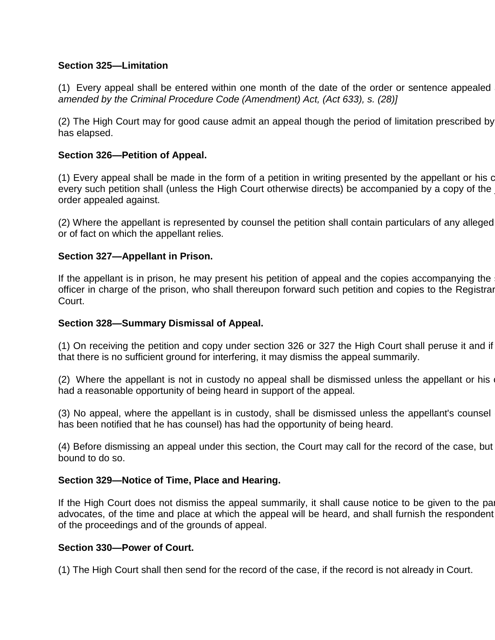# **Section 325—Limitation**

(1) Every appeal shall be entered within one month of the date of the order or sentence appealed *amended by the Criminal Procedure Code (Amendment) Act, (Act 633), s. (28)]*

(2) The High Court may for good cause admit an appeal though the period of limitation prescribed by has elapsed.

# **Section 326—Petition of Appeal.**

(1) Every appeal shall be made in the form of a petition in writing presented by the appellant or his counsel, every such petition shall (unless the High Court otherwise directs) be accompanied by a copy of the order appealed against.

(2) Where the appellant is represented by counsel the petition shall contain particulars of any alleged or of fact on which the appellant relies.

# **Section 327—Appellant in Prison.**

If the appellant is in prison, he may present his petition of appeal and the copies accompanying the officer in charge of the prison, who shall thereupon forward such petition and copies to the Registrar Court.

# **Section 328—Summary Dismissal of Appeal.**

(1) On receiving the petition and copy under section 326 or 327 the High Court shall peruse it and if that there is no sufficient ground for interfering, it may dismiss the appeal summarily.

(2) Where the appellant is not in custody no appeal shall be dismissed unless the appellant or his had a reasonable opportunity of being heard in support of the appeal.

(3) No appeal, where the appellant is in custody, shall be dismissed unless the appellant's counsel has been notified that he has counsel) has had the opportunity of being heard.

(4) Before dismissing an appeal under this section, the Court may call for the record of the case, but bound to do so.

# **Section 329—Notice of Time, Place and Hearing.**

If the High Court does not dismiss the appeal summarily, it shall cause notice to be given to the parties or advocates, of the time and place at which the appeal will be heard, and shall furnish the respondent of the proceedings and of the grounds of appeal.

# **Section 330—Power of Court.**

(1) The High Court shall then send for the record of the case, if the record is not already in Court.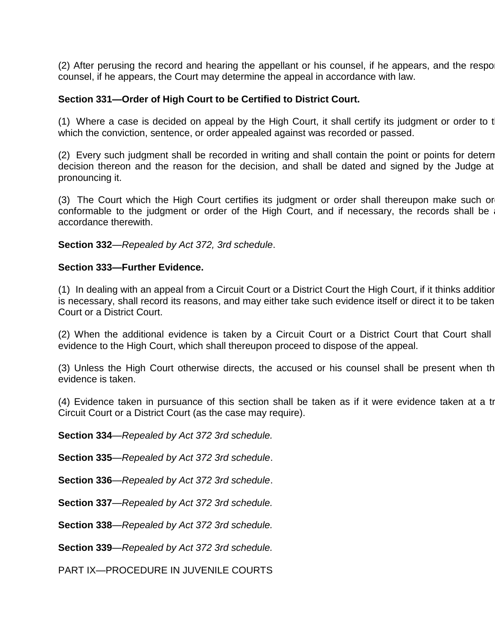(2) After perusing the record and hearing the appellant or his counsel, if he appears, and the respo counsel, if he appears, the Court may determine the appeal in accordance with law.

### **Section 331—Order of High Court to be Certified to District Court.**

(1) Where a case is decided on appeal by the High Court, it shall certify its judgment or order to t which the conviction, sentence, or order appealed against was recorded or passed.

(2) Every such judgment shall be recorded in writing and shall contain the point or points for detern decision thereon and the reason for the decision, and shall be dated and signed by the Judge at pronouncing it.

(3) The Court which the High Court certifies its judgment or order shall thereupon make such or conformable to the judgment or order of the High Court, and if necessary, the records shall be accordance therewith.

**Section 332**—*Repealed by Act 372, 3rd schedule*.

#### **Section 333—Further Evidence.**

(1) In dealing with an appeal from a Circuit Court or a District Court the High Court, if it thinks additior is necessary, shall record its reasons, and may either take such evidence itself or direct it to be taken Court or a District Court.

(2) When the additional evidence is taken by a Circuit Court or a District Court that Court shall evidence to the High Court, which shall thereupon proceed to dispose of the appeal.

(3) Unless the High Court otherwise directs, the accused or his counsel shall be present when the evidence is taken.

(4) Evidence taken in pursuance of this section shall be taken as if it were evidence taken at a tr Circuit Court or a District Court (as the case may require).

**Section 334**—*Repealed by Act 372 3rd schedule.*

**Section 335**—*Repealed by Act 372 3rd schedule*.

**Section 336**—*Repealed by Act 372 3rd schedule*.

**Section 337**—*Repealed by Act 372 3rd schedule.*

**Section 338**—*Repealed by Act 372 3rd schedule.*

**Section 339**—*Repealed by Act 372 3rd schedule.*

PART IX—PROCEDURE IN JUVENILE COURTS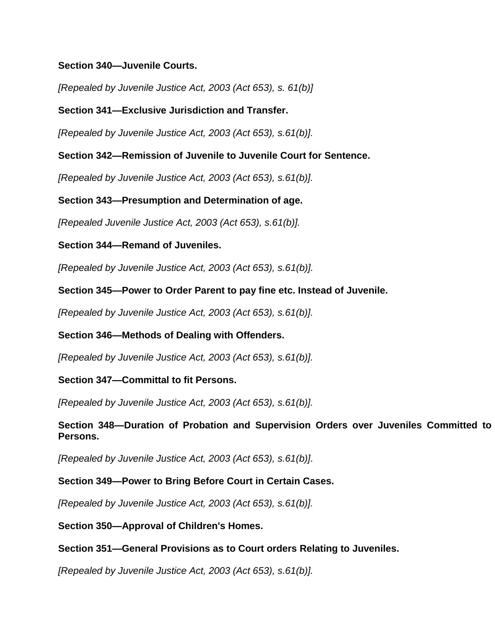# **Section 340—Juvenile Courts.**

*[Repealed by Juvenile Justice Act, 2003 (Act 653), s. 61(b)]*

# **Section 341—Exclusive Jurisdiction and Transfer.**

*[Repealed by Juvenile Justice Act, 2003 (Act 653), s.61(b)].*

# **Section 342—Remission of Juvenile to Juvenile Court for Sentence.**

*[Repealed by Juvenile Justice Act, 2003 (Act 653), s.61(b)].*

**Section 343—Presumption and Determination of age.**

*[Repealed Juvenile Justice Act, 2003 (Act 653), s.61(b)].*

**Section 344—Remand of Juveniles.**

*[Repealed by Juvenile Justice Act, 2003 (Act 653), s.61(b)].*

# **Section 345—Power to Order Parent to pay fine etc. Instead of Juvenile.**

*[Repealed by Juvenile Justice Act, 2003 (Act 653), s.61(b)].*

**Section 346—Methods of Dealing with Offenders.**

*[Repealed by Juvenile Justice Act, 2003 (Act 653), s.61(b)].*

# **Section 347—Committal to fit Persons.**

*[Repealed by Juvenile Justice Act, 2003 (Act 653), s.61(b)].*

**Section 348–Duration of Probation and Supervision Orders over Juveniles Committed to Persons.**

*[Repealed by Juvenile Justice Act, 2003 (Act 653), s.61(b)].*

# **Section 349—Power to Bring Before Court in Certain Cases.**

*[Repealed by Juvenile Justice Act, 2003 (Act 653), s.61(b)].*

**Section 350—Approval of Children's Homes.**

# **Section 351—General Provisions as to Court orders Relating to Juveniles.**

*[Repealed by Juvenile Justice Act, 2003 (Act 653), s.61(b)].*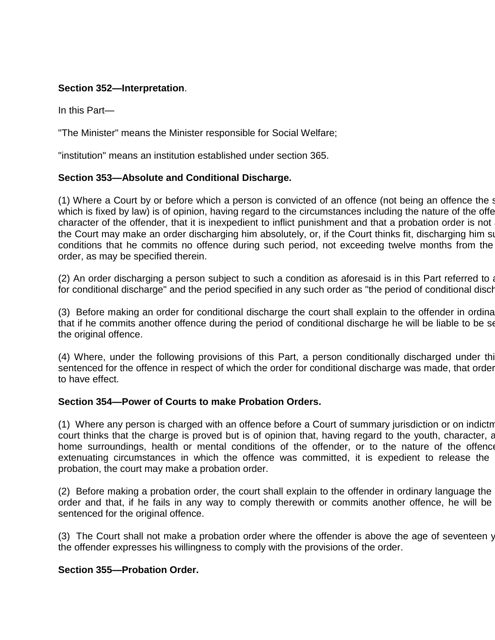# **Section 352—Interpretation**.

In this Part—

"The Minister" means the Minister responsible for Social Welfare;

"institution" means an institution established under section 365.

#### **Section 353—Absolute and Conditional Discharge.**

(1) Where a Court by or before which a person is convicted of an offence (not being an offence the  $s$ which is fixed by law) is of opinion, having regard to the circumstances including the nature of the offercharacter of the offender, that it is inexpedient to inflict punishment and that a probation order is not the Court may make an order discharging him absolutely, or, if the Court thinks fit, discharging him subconditions that he commits no offence during such period, not exceeding twelve months from the order, as may be specified therein.

 $(2)$  An order discharging a person subject to such a condition as aforesaid is in this Part referred to a for conditional discharge" and the period specified in any such order as "the period of conditional discharge".

(3) Before making an order for conditional discharge the court shall explain to the offender in ordina that if he commits another offence during the period of conditional discharge he will be liable to be set the original offence.

(4) Where, under the following provisions of this Part, a person conditionally discharged under thi sentenced for the offence in respect of which the order for conditional discharge was made, that order to have effect.

#### **Section 354—Power of Courts to make Probation Orders.**

(1) Where any person is charged with an offence before a Court of summary jurisdiction or on indictm court thinks that the charge is proved but is of opinion that, having regard to the youth, character, and home surroundings, health or mental conditions of the offender, or to the nature of the offence extenuating circumstances in which the offence was committed, it is expedient to release the probation, the court may make a probation order.

 $(2)$  Before making a probation order, the court shall explain to the offender in ordinary language the order and that, if he fails in any way to comply therewith or commits another offence, he will be sentenced for the original offence.

(3) The Court shall not make a probation order where the offender is above the age of seventeen y the offender expresses his willingness to comply with the provisions of the order.

#### **Section 355—Probation Order.**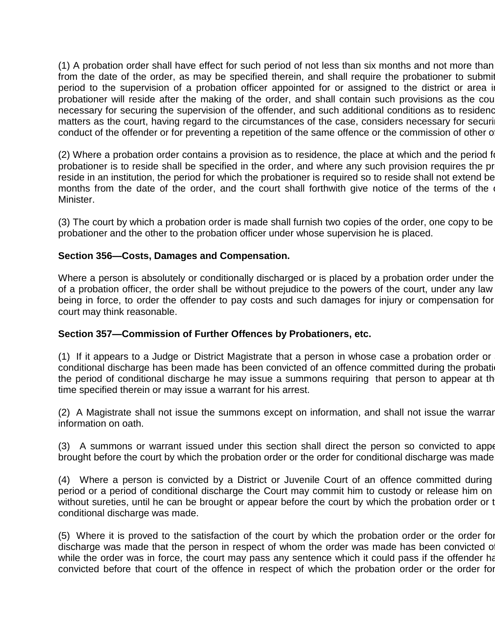(1) A probation order shall have effect for such period of not less than six months and not more than from the date of the order, as may be specified therein, and shall require the probationer to submit period to the supervision of a probation officer appointed for or assigned to the district or area in probationer will reside after the making of the order, and shall contain such provisions as the court necessary for securing the supervision of the offender, and such additional conditions as to residence matters as the court, having regard to the circumstances of the case, considers necessary for securi conduct of the offender or for preventing a repetition of the same offence or the commission of other of

 $(2)$  Where a probation order contains a provision as to residence, the place at which and the period for probationer is to reside shall be specified in the order, and where any such provision requires the pr reside in an institution, the period for which the probationer is required so to reside shall not extend be months from the date of the order, and the court shall forthwith give notice of the terms of the Minister.

(3) The court by which a probation order is made shall furnish two copies of the order, one copy to be probationer and the other to the probation officer under whose supervision he is placed.

## **Section 356—Costs, Damages and Compensation.**

Where a person is absolutely or conditionally discharged or is placed by a probation order under the of a probation officer, the order shall be without prejudice to the powers of the court, under any law being in force, to order the offender to pay costs and such damages for injury or compensation for court may think reasonable.

## **Section 357—Commission of Further Offences by Probationers, etc.**

(1) If it appears to a Judge or District Magistrate that a person in whose case a probation order or conditional discharge has been made has been convicted of an offence committed during the probation the period of conditional discharge he may issue a summons requiring that person to appear at the time specified therein or may issue a warrant for his arrest.

(2) A Magistrate shall not issue the summons except on information, and shall not issue the warrar information on oath.

(3) A summons or warrant issued under this section shall direct the person so convicted to apper brought before the court by which the probation order or the order for conditional discharge was made.

(4) Where a person is convicted by a District or Juvenile Court of an offence committed during period or a period of conditional discharge the Court may commit him to custody or release him on without sureties, until he can be brought or appear before the court by which the probation order or t conditional discharge was made.

(5) Where it is proved to the satisfaction of the court by which the probation order or the order for discharge was made that the person in respect of whom the order was made has been convicted o while the order was in force, the court may pass any sentence which it could pass if the offender had convicted before that court of the offence in respect of which the probation order or the order for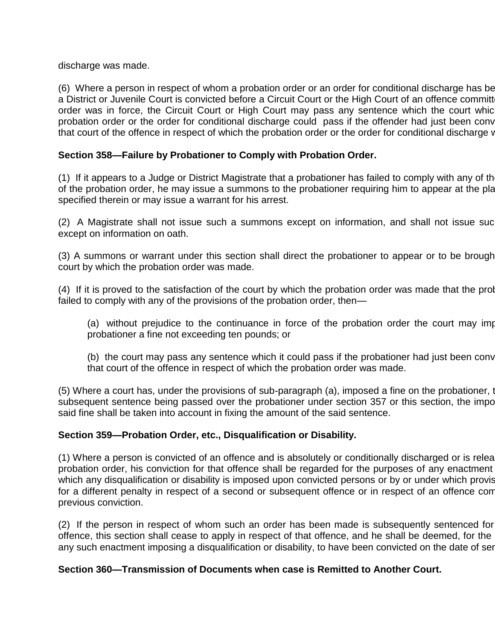discharge was made.

(6) Where a person in respect of whom a probation order or an order for conditional discharge has be a District or Juvenile Court is convicted before a Circuit Court or the High Court of an offence committ order was in force, the Circuit Court or High Court may pass any sentence which the court whic probation order or the order for conditional discharge could pass if the offender had just been conv that court of the offence in respect of which the probation order or the order for conditional discharge was made.

# **Section 358—Failure by Probationer to Comply with Probation Order.**

(1) If it appears to a Judge or District Magistrate that a probationer has failed to comply with any of the of the probation order, he may issue a summons to the probationer requiring him to appear at the pla specified therein or may issue a warrant for his arrest.

(2) A Magistrate shall not issue such a summons except on information, and shall not issue suc except on information on oath.

(3) A summons or warrant under this section shall direct the probationer to appear or to be brough court by which the probation order was made.

(4) If it is proved to the satisfaction of the court by which the probation order was made that the prol failed to comply with any of the provisions of the probation order, then—

(a) without prejudice to the continuance in force of the probation order the court may imposing probationer a fine not exceeding ten pounds; or

(b) the court may pass any sentence which it could pass if the probationer had just been conv that court of the offence in respect of which the probation order was made.

 $(5)$  Where a court has, under the provisions of sub-paragraph  $(a)$ , imposed a fine on the probationer, to subsequent sentence being passed over the probationer under section 357 or this section, the impo said fine shall be taken into account in fixing the amount of the said sentence.

## **Section 359—Probation Order, etc., Disqualification or Disability.**

(1) Where a person is convicted of an offence and is absolutely or conditionally discharged or is relea probation order, his conviction for that offence shall be regarded for the purposes of any enactment which any disqualification or disability is imposed upon convicted persons or by or under which provis for a different penalty in respect of a second or subsequent offence or in respect of an offence com previous conviction.

(2) If the person in respect of whom such an order has been made is subsequently sentenced for offence, this section shall cease to apply in respect of that offence, and he shall be deemed, for the any such enactment imposing a disqualification or disability, to have been convicted on the date of ser

## **Section 360—Transmission of Documents when case is Remitted to Another Court.**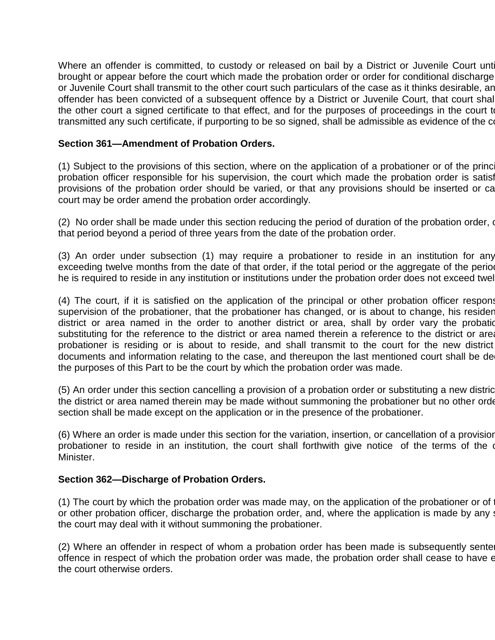Where an offender is committed, to custody or released on bail by a District or Juvenile Court unterbrought or appear before the court which made the probation order or order for conditional discharge or Juvenile Court shall transmit to the other court such particulars of the case as it thinks desirable, an offender has been convicted of a subsequent offence by a District or Juvenile Court, that court shall the other court a signed certificate to that effect, and for the purposes of proceedings in the court to transmitted any such certificate, if purporting to be so signed, shall be admissible as evidence of the conviction.

### **Section 361—Amendment of Probation Orders.**

(1) Subject to the provisions of this section, where on the application of a probationer or of the principal probation officer responsible for his supervision, the court which made the probation order is satisf provisions of the probation order should be varied, or that any provisions should be inserted or ca court may be order amend the probation order accordingly.

(2) No order shall be made under this section reducing the period of duration of the probation order, or that period beyond a period of three years from the date of the probation order.

(3) An order under subsection (1) may require a probationer to reside in an institution for any exceeding twelve months from the date of that order, if the total period or the aggregate of the period he is required to reside in any institution or institutions under the probation order does not exceed twel

(4) The court, if it is satisfied on the application of the principal or other probation officer responsible for supervision of the probationer, that the probationer has changed, or is about to change, his resider district or area named in the order to another district or area, shall by order vary the probation substituting for the reference to the district or area named therein a reference to the district or area probationer is residing or is about to reside, and shall transmit to the court for the new district documents and information relating to the case, and thereupon the last mentioned court shall be de the purposes of this Part to be the court by which the probation order was made.

(5) An order under this section cancelling a provision of a probation order or substituting a new distric the district or area named therein may be made without summoning the probationer but no other order section shall be made except on the application or in the presence of the probationer.

(6) Where an order is made under this section for the variation, insertion, or cancellation of a provision probationer to reside in an institution, the court shall forthwith give notice of the terms of the order to Minister.

#### **Section 362—Discharge of Probation Orders.**

(1) The court by which the probation order was made may, on the application of the probationer or of or other probation officer, discharge the probation order, and, where the application is made by any such a the court may deal with it without summoning the probationer.

(2) Where an offender in respect of whom a probation order has been made is subsequently sentent offence in respect of which the probation order was made, the probation order shall cease to have e the court otherwise orders.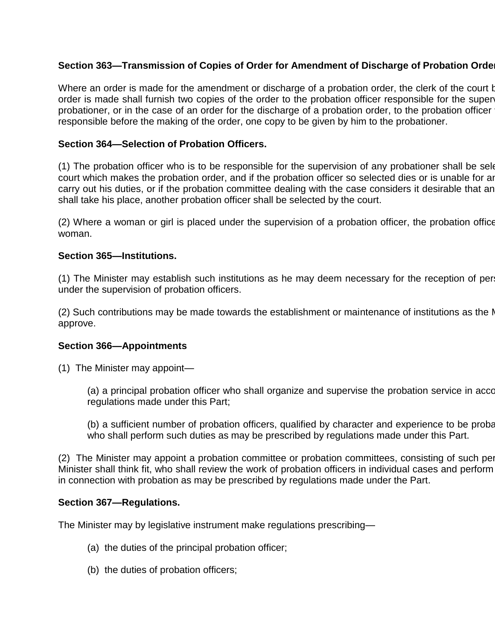# Section 363–Transmission of Copies of Order for Amendment of Discharge of Probation Orde

Where an order is made for the amendment or discharge of a probation order, the clerk of the court b order is made shall furnish two copies of the order to the probation officer responsible for the super probationer, or in the case of an order for the discharge of a probation order, to the probation officer responsible before the making of the order, one copy to be given by him to the probationer.

### **Section 364—Selection of Probation Officers.**

(1) The probation officer who is to be responsible for the supervision of any probationer shall be selected by court which makes the probation order, and if the probation officer so selected dies or is unable for any carry out his duties, or if the probation committee dealing with the case considers it desirable that an shall take his place, another probation officer shall be selected by the court.

(2) Where a woman or girl is placed under the supervision of a probation officer, the probation office woman.

### **Section 365—Institutions.**

(1) The Minister may establish such institutions as he may deem necessary for the reception of per under the supervision of probation officers.

(2) Such contributions may be made towards the establishment or maintenance of institutions as the  $\mathsf I$ approve.

#### **Section 366—Appointments**

(1) The Minister may appoint—

(a) a principal probation officer who shall organize and supervise the probation service in accordance with the regulations made under this Part;

(b) a sufficient number of probation officers, qualified by character and experience to be probation who shall perform such duties as may be prescribed by regulations made under this Part.

(2) The Minister may appoint a probation committee or probation committees, consisting of such per Minister shall think fit, who shall review the work of probation officers in individual cases and perform in connection with probation as may be prescribed by regulations made under the Part.

#### **Section 367—Regulations.**

The Minister may by legislative instrument make regulations prescribing—

- (a) the duties of the principal probation officer;
- (b) the duties of probation officers;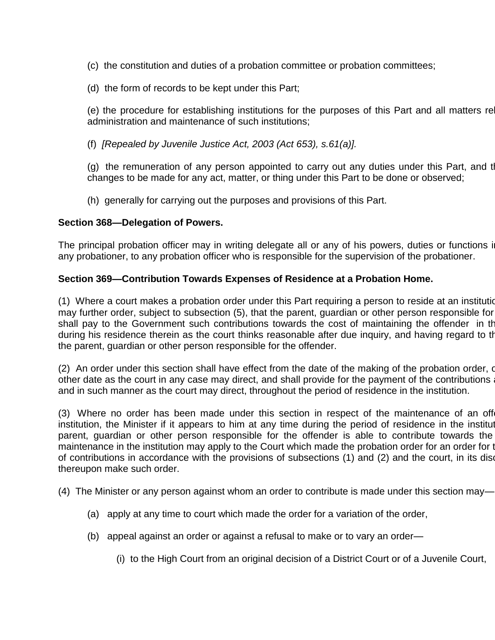- (c) the constitution and duties of a probation committee or probation committees;
- (d) the form of records to be kept under this Part;

(e) the procedure for establishing institutions for the purposes of this Part and all matters re administration and maintenance of such institutions;

(f) *[Repealed by Juvenile Justice Act, 2003 (Act 653), s.61(a)].*

(g) the remuneration of any person appointed to carry out any duties under this Part, and the changes to be made for any act, matter, or thing under this Part to be done or observed;

(h) generally for carrying out the purposes and provisions of this Part.

## **Section 368—Delegation of Powers.**

The principal probation officer may in writing delegate all or any of his powers, duties or functions in any probationer, to any probation officer who is responsible for the supervision of the probationer.

## **Section 369—Contribution Towards Expenses of Residence at a Probation Home.**

(1) Where a court makes a probation order under this Part requiring a person to reside at an institution may further order, subject to subsection (5), that the parent, guardian or other person responsible for shall pay to the Government such contributions towards the cost of maintaining the offender in the during his residence therein as the court thinks reasonable after due inquiry, and having regard to the the parent, guardian or other person responsible for the offender.

(2) An order under this section shall have effect from the date of the making of the probation order, or other date as the court in any case may direct, and shall provide for the payment of the contributions and in such manner as the court may direct, throughout the period of residence in the institution.

(3) Where no order has been made under this section in respect of the maintenance of an off institution, the Minister if it appears to him at any time during the period of residence in the institut parent, guardian or other person responsible for the offender is able to contribute towards the maintenance in the institution may apply to the Court which made the probation order for an order for the payment of contributions in accordance with the provisions of subsections (1) and (2) and the court, in its discretion thereupon make such order.

(4) The Minister or any person against whom an order to contribute is made under this section may—

- (a) apply at any time to court which made the order for a variation of the order,
- (b) appeal against an order or against a refusal to make or to vary an order—

(i) to the High Court from an original decision of a District Court or of a Juvenile Court,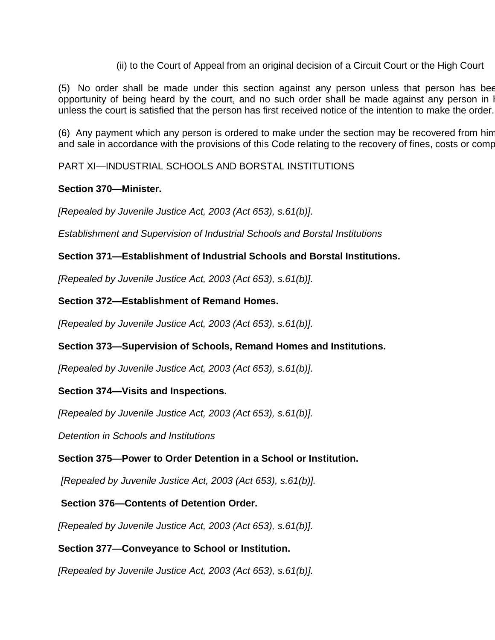(ii) to the Court of Appeal from an original decision of a Circuit Court or the High Court

(5) No order shall be made under this section against any person unless that person has been opportunity of being heard by the court, and no such order shall be made against any person in I unless the court is satisfied that the person has first received notice of the intention to make the order.

(6) Any payment which any person is ordered to make under the section may be recovered from him and sale in accordance with the provisions of this Code relating to the recovery of fines, costs or comp

PART XI—INDUSTRIAL SCHOOLS AND BORSTAL INSTITUTIONS

# **Section 370—Minister.**

*[Repealed by Juvenile Justice Act, 2003 (Act 653), s.61(b)].*

*Establishment and Supervision of Industrial Schools and Borstal Institutions*

# **Section 371—Establishment of Industrial Schools and Borstal Institutions.**

*[Repealed by Juvenile Justice Act, 2003 (Act 653), s.61(b)].*

**Section 372—Establishment of Remand Homes.**

*[Repealed by Juvenile Justice Act, 2003 (Act 653), s.61(b)].*

# **Section 373—Supervision of Schools, Remand Homes and Institutions.**

*[Repealed by Juvenile Justice Act, 2003 (Act 653), s.61(b)].*

# **Section 374—Visits and Inspections.**

*[Repealed by Juvenile Justice Act, 2003 (Act 653), s.61(b)].*

*Detention in Schools and Institutions*

# **Section 375—Power to Order Detention in a School or Institution.**

*[Repealed by Juvenile Justice Act, 2003 (Act 653), s.61(b)].*

**Section 376—Contents of Detention Order.**

*[Repealed by Juvenile Justice Act, 2003 (Act 653), s.61(b)].*

# **Section 377—Conveyance to School or Institution.**

*[Repealed by Juvenile Justice Act, 2003 (Act 653), s.61(b)].*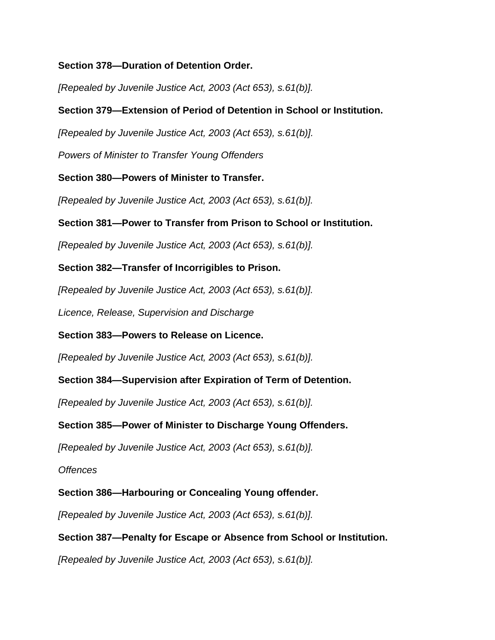# **Section 378—Duration of Detention Order.**

*[Repealed by Juvenile Justice Act, 2003 (Act 653), s.61(b)].*

# **Section 379—Extension of Period of Detention in School or Institution.**

*[Repealed by Juvenile Justice Act, 2003 (Act 653), s.61(b)].*

*Powers of Minister to Transfer Young Offenders*

**Section 380—Powers of Minister to Transfer.**

*[Repealed by Juvenile Justice Act, 2003 (Act 653), s.61(b)].*

## **Section 381—Power to Transfer from Prison to School or Institution.**

*[Repealed by Juvenile Justice Act, 2003 (Act 653), s.61(b)].*

**Section 382—Transfer of Incorrigibles to Prison.**

*[Repealed by Juvenile Justice Act, 2003 (Act 653), s.61(b)].*

*Licence, Release, Supervision and Discharge*

**Section 383—Powers to Release on Licence.**

*[Repealed by Juvenile Justice Act, 2003 (Act 653), s.61(b)].*

**Section 384—Supervision after Expiration of Term of Detention.**

*[Repealed by Juvenile Justice Act, 2003 (Act 653), s.61(b)].*

## **Section 385—Power of Minister to Discharge Young Offenders.**

*[Repealed by Juvenile Justice Act, 2003 (Act 653), s.61(b)].*

*Offences*

**Section 386—Harbouring or Concealing Young offender.**

*[Repealed by Juvenile Justice Act, 2003 (Act 653), s.61(b)].*

## **Section 387—Penalty for Escape or Absence from School or Institution.**

*[Repealed by Juvenile Justice Act, 2003 (Act 653), s.61(b)].*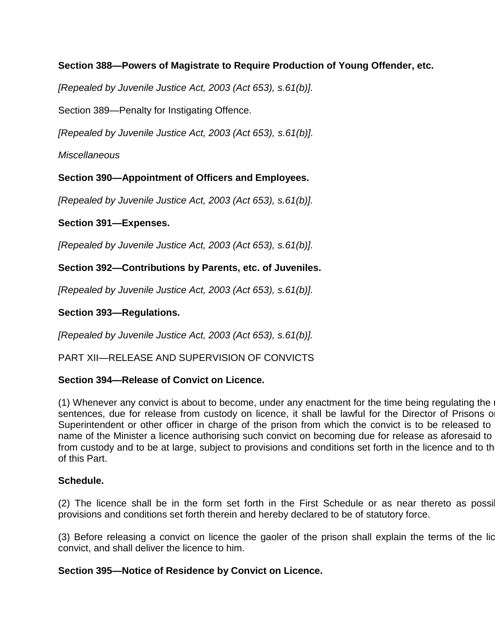# **Section 388—Powers of Magistrate to Require Production of Young Offender, etc.**

*[Repealed by Juvenile Justice Act, 2003 (Act 653), s.61(b)].*

Section 389—Penalty for Instigating Offence.

*[Repealed by Juvenile Justice Act, 2003 (Act 653), s.61(b)].*

*Miscellaneous*

# **Section 390—Appointment of Officers and Employees.**

*[Repealed by Juvenile Justice Act, 2003 (Act 653), s.61(b)].*

# **Section 391—Expenses.**

*[Repealed by Juvenile Justice Act, 2003 (Act 653), s.61(b)].*

# **Section 392—Contributions by Parents, etc. of Juveniles.**

*[Repealed by Juvenile Justice Act, 2003 (Act 653), s.61(b)].*

# **Section 393—Regulations.**

*[Repealed by Juvenile Justice Act, 2003 (Act 653), s.61(b)].*

PART XII—RELEASE AND SUPERVISION OF CONVICTS

# **Section 394—Release of Convict on Licence.**

(1) Whenever any convict is about to become, under any enactment for the time being regulating the sentences, due for release from custody on licence, it shall be lawful for the Director of Prisons or Superintendent or other officer in charge of the prison from which the convict is to be released to name of the Minister a licence authorising such convict on becoming due for release as aforesaid to from custody and to be at large, subject to provisions and conditions set forth in the licence and to the of this Part.

# **Schedule.**

(2) The licence shall be in the form set forth in the First Schedule or as near thereto as possible 1 provisions and conditions set forth therein and hereby declared to be of statutory force.

(3) Before releasing a convict on licence the gaoler of the prison shall explain the terms of the licence to the to convict, and shall deliver the licence to him.

# **Section 395—Notice of Residence by Convict on Licence.**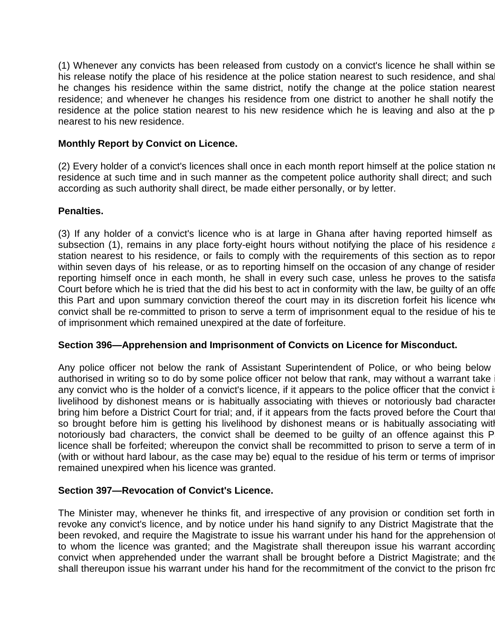(1) Whenever any convicts has been released from custody on a convict's licence he shall within se his release notify the place of his residence at the police station nearest to such residence, and shall he changes his residence within the same district, notify the change at the police station nearest residence; and whenever he changes his residence from one district to another he shall notify the residence at the police station nearest to his new residence which he is leaving and also at the p nearest to his new residence.

### **Monthly Report by Convict on Licence.**

(2) Every holder of a convict's licences shall once in each month report himself at the police station negret residence at such time and in such manner as the competent police authority shall direct; and such according as such authority shall direct, be made either personally, or by letter.

### **Penalties.**

(3) If any holder of a convict's licence who is at large in Ghana after having reported himself as subsection (1), remains in any place forty-eight hours without notifying the place of his residence at station nearest to his residence, or fails to comply with the requirements of this section as to report within seven days of his release, or as to reporting himself on the occasion of any change of resider reporting himself once in each month, he shall in every such case, unless he proves to the satisfaction of the Court before which he is tried that the did his best to act in conformity with the law, be quilty of an offer this Part and upon summary conviction thereof the court may in its discretion forfeit his licence whe convict shall be re-committed to prison to serve a term of imprisonment equal to the residue of his te of imprisonment which remained unexpired at the date of forfeiture.

#### **Section 396—Apprehension and Imprisonment of Convicts on Licence for Misconduct.**

Any police officer not below the rank of Assistant Superintendent of Police, or who being below authorised in writing so to do by some police officer not below that rank, may without a warrant take any convict who is the holder of a convict's licence, if it appears to the police officer that the convict i livelihood by dishonest means or is habitually associating with thieves or notoriously bad character bring him before a District Court for trial; and, if it appears from the facts proved before the Court that so brought before him is getting his livelihood by dishonest means or is habitually associating with notoriously bad characters, the convict shall be deemed to be guilty of an offence against this P licence shall be forfeited; whereupon the convict shall be recommitted to prison to serve a term of in (with or without hard labour, as the case may be) equal to the residue of his term or terms of imprisor remained unexpired when his licence was granted.

## **Section 397—Revocation of Convict's Licence.**

The Minister may, whenever he thinks fit, and irrespective of any provision or condition set forth in revoke any convict's licence, and by notice under his hand signify to any District Magistrate that the been revoked, and require the Magistrate to issue his warrant under his hand for the apprehension of to whom the licence was granted; and the Magistrate shall thereupon issue his warrant according convict when apprehended under the warrant shall be brought before a District Magistrate; and the shall thereupon issue his warrant under his hand for the recommitment of the convict to the prison from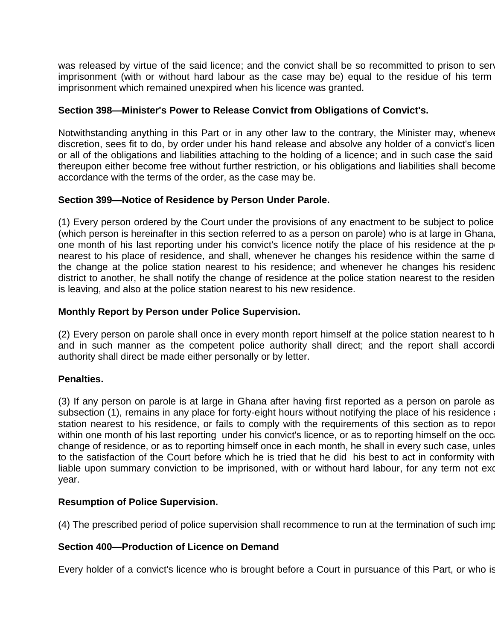was released by virtue of the said licence; and the convict shall be so recommitted to prison to serve imprisonment (with or without hard labour as the case may be) equal to the residue of his term imprisonment which remained unexpired when his licence was granted.

# **Section 398—Minister's Power to Release Convict from Obligations of Convict's.**

Notwithstanding anything in this Part or in any other law to the contrary, the Minister may, whenever discretion, sees fit to do, by order under his hand release and absolve any holder of a convict's licen or all of the obligations and liabilities attaching to the holding of a licence; and in such case the said thereupon either become free without further restriction, or his obligations and liabilities shall become accordance with the terms of the order, as the case may be.

# **Section 399—Notice of Residence by Person Under Parole.**

(1) Every person ordered by the Court under the provisions of any enactment to be subject to police (which person is hereinafter in this section referred to as a person on parole) who is at large in Ghana one month of his last reporting under his convict's licence notify the place of his residence at the p nearest to his place of residence, and shall, whenever he changes his residence within the same d the change at the police station nearest to his residence; and whenever he changes his residence district to another, he shall notify the change of residence at the police station nearest to the residen is leaving, and also at the police station nearest to his new residence.

## **Monthly Report by Person under Police Supervision.**

(2) Every person on parole shall once in every month report himself at the police station nearest to h and in such manner as the competent police authority shall direct; and the report shall according authority shall direct be made either personally or by letter.

## **Penalties.**

(3) If any person on parole is at large in Ghana after having first reported as a person on parole as subsection (1), remains in any place for forty-eight hours without notifying the place of his residence station nearest to his residence, or fails to comply with the requirements of this section as to report within one month of his last reporting under his convict's licence, or as to reporting himself on the occ change of residence, or as to reporting himself once in each month, he shall in every such case, unles to the satisfaction of the Court before which he is tried that he did his best to act in conformity with liable upon summary conviction to be imprisoned, with or without hard labour, for any term not exce year.

## **Resumption of Police Supervision.**

(4) The prescribed period of police supervision shall recommence to run at the termination of such imp

## **Section 400—Production of Licence on Demand**

Every holder of a convict's licence who is brought before a Court in pursuance of this Part, or who is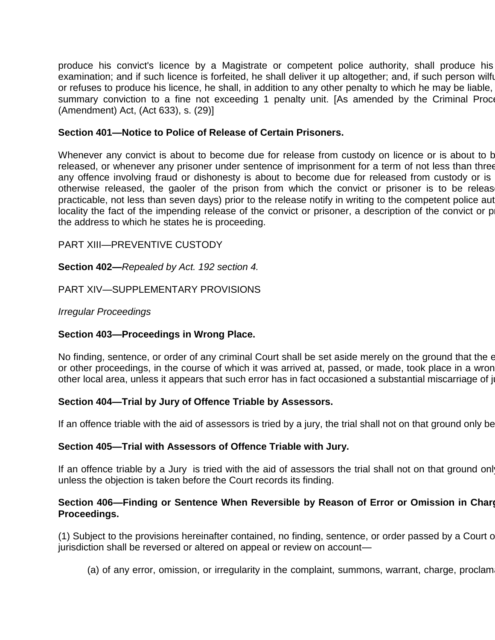produce his convict's licence by a Magistrate or competent police authority, shall produce his examination; and if such licence is forfeited, he shall deliver it up altogether; and, if such person wilful or refuses to produce his licence, he shall, in addition to any other penalty to which he may be liable, summary conviction to a fine not exceeding 1 penalty unit. [As amended by the Criminal Proce (Amendment) Act, (Act 633), s. (29)]

### **Section 401—Notice to Police of Release of Certain Prisoners.**

Whenever any convict is about to become due for release from custody on licence or is about to b released, or whenever any prisoner under sentence of imprisonment for a term of not less than three any offence involving fraud or dishonesty is about to become due for released from custody or is otherwise released, the gaoler of the prison from which the convict or prisoner is to be releas practicable, not less than seven days) prior to the release notify in writing to the competent police aut locality the fact of the impending release of the convict or prisoner, a description of the convict or p the address to which he states he is proceeding.

### PART XIII—PREVENTIVE CUSTODY

**Section 402—***Repealed by Act. 192 section 4.*

PART XIV—SUPPLEMENTARY PROVISIONS

*Irregular Proceedings*

#### **Section 403—Proceedings in Wrong Place.**

No finding, sentence, or order of any criminal Court shall be set aside merely on the ground that the endury, the or other proceedings, in the course of which it was arrived at, passed, or made, took place in a wron other local area, unless it appears that such error has in fact occasioned a substantial miscarriage of ju

#### **Section 404—Trial by Jury of Offence Triable by Assessors.**

If an offence triable with the aid of assessors is tried by a jury, the trial shall not on that ground only be

#### **Section 405—Trial with Assessors of Offence Triable with Jury.**

If an offence triable by a Jury is tried with the aid of assessors the trial shall not on that ground only unless the objection is taken before the Court records its finding.

## Section 406–Finding or Sentence When Reversible by Reason of Error or Omission in Charge **Proceedings.**

(1) Subject to the provisions hereinafter contained, no finding, sentence, or order passed by a Court of jurisdiction shall be reversed or altered on appeal or review on account—

(a) of any error, omission, or irregularity in the complaint, summons, warrant, charge, proclam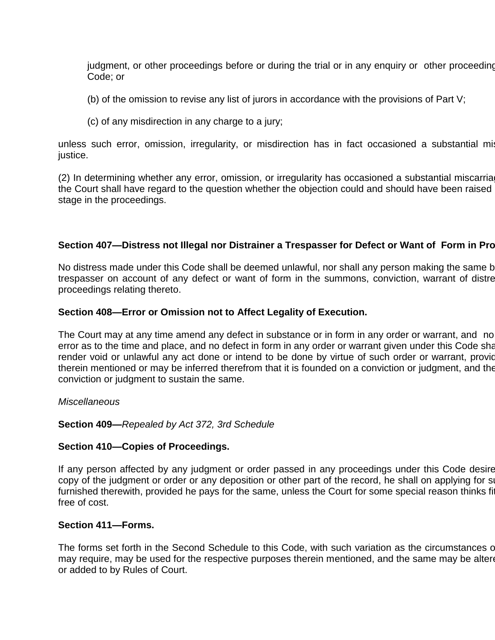judgment, or other proceedings before or during the trial or in any enquiry or other proceeding Code; or

- (b) of the omission to revise any list of jurors in accordance with the provisions of Part V;
- (c) of any misdirection in any charge to a jury;

unless such error, omission, irregularity, or misdirection has in fact occasioned a substantial mis justice.

(2) In determining whether any error, omission, or irregularity has occasioned a substantial miscarria the Court shall have regard to the question whether the objection could and should have been raised stage in the proceedings.

### **Section 407—Distress not Illegal nor Distrainer a Trespasser for Defect or Want of Form in Proceedings.**

No distress made under this Code shall be deemed unlawful, nor shall any person making the same b trespasser on account of any defect or want of form in the summons, conviction, warrant of distre proceedings relating thereto.

### **Section 408—Error or Omission not to Affect Legality of Execution.**

The Court may at any time amend any defect in substance or in form in any order or warrant, and no error as to the time and place, and no defect in form in any order or warrant given under this Code shall render void or unlawful any act done or intend to be done by virtue of such order or warrant, provided that it therein mentioned or may be inferred therefrom that it is founded on a conviction or judgment, and the conviction or judgment to sustain the same.

#### *Miscellaneous*

#### **Section 409—***Repealed by Act 372, 3rd Schedule*

#### **Section 410—Copies of Proceedings.**

If any person affected by any judgment or order passed in any proceedings under this Code desire copy of the judgment or order or any deposition or other part of the record, he shall on applying for su furnished therewith, provided he pays for the same, unless the Court for some special reason thinks fit free of cost.

#### **Section 411—Forms.**

The forms set forth in the Second Schedule to this Code, with such variation as the circumstances of may require, may be used for the respective purposes therein mentioned, and the same may be alter or added to by Rules of Court.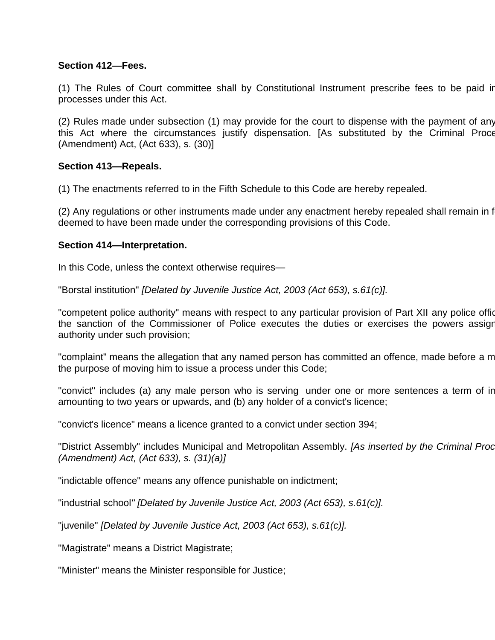# **Section 412—Fees.**

(1) The Rules of Court committee shall by Constitutional Instrument prescribe fees to be paid in processes under this Act.

(2) Rules made under subsection (1) may provide for the court to dispense with the payment of any this Act where the circumstances justify dispensation. [As substituted by the Criminal Proce (Amendment) Act, (Act 633), s. (30)]

## **Section 413—Repeals.**

(1) The enactments referred to in the Fifth Schedule to this Code are hereby repealed.

(2) Any regulations or other instruments made under any enactment hereby repealed shall remain in f deemed to have been made under the corresponding provisions of this Code.

## **Section 414—Interpretation.**

In this Code, unless the context otherwise requires—

"Borstal institution" *[Delated by Juvenile Justice Act, 2003 (Act 653), s.61(c)].*

"competent police authority" means with respect to any particular provision of Part XII any police offic the sanction of the Commissioner of Police executes the duties or exercises the powers assigned to such a authority under such provision;

"complaint" means the allegation that any named person has committed an offence, made before a m the purpose of moving him to issue a process under this Code;

"convict" includes (a) any male person who is serving under one or more sentences a term of in amounting to two years or upwards, and (b) any holder of a convict's licence;

"convict's licence" means a licence granted to a convict under section 394;

"District Assembly" includes Municipal and Metropolitan Assembly. *[As inserted by the Criminal Proc (Amendment) Act, (Act 633), s. (31)(a)]*

"indictable offence" means any offence punishable on indictment;

"industrial school*" [Delated by Juvenile Justice Act, 2003 (Act 653), s.61(c)].*

"juvenile" *[Delated by Juvenile Justice Act, 2003 (Act 653), s.61(c)].*

"Magistrate" means a District Magistrate;

"Minister" means the Minister responsible for Justice;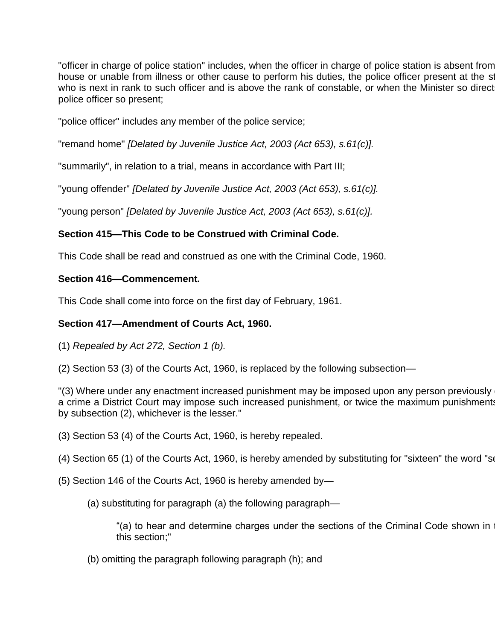"officer in charge of police station" includes, when the officer in charge of police station is absent from house or unable from illness or other cause to perform his duties, the police officer present at the stationwho is next in rank to such officer and is above the rank of constable, or when the Minister so direct police officer so present;

"police officer" includes any member of the police service;

"remand home" *[Delated by Juvenile Justice Act, 2003 (Act 653), s.61(c)].*

"summarily", in relation to a trial, means in accordance with Part III;

"young offender" *[Delated by Juvenile Justice Act, 2003 (Act 653), s.61(c)].*

"young person" *[Delated by Juvenile Justice Act, 2003 (Act 653), s.61(c)].*

# **Section 415—This Code to be Construed with Criminal Code.**

This Code shall be read and construed as one with the Criminal Code, 1960.

## **Section 416—Commencement.**

This Code shall come into force on the first day of February, 1961.

# **Section 417—Amendment of Courts Act, 1960.**

- (1) *Repealed by Act 272, Section 1 (b).*
- (2) Section 53 (3) of the Courts Act, 1960, is replaced by the following subsection—

"(3) Where under any enactment increased punishment may be imposed upon any person previously a crime a District Court may impose such increased punishment, or twice the maximum punishments by subsection (2), whichever is the lesser."

- (3) Section 53 (4) of the Courts Act, 1960, is hereby repealed.
- (4) Section 65 (1) of the Courts Act, 1960, is hereby amended by substituting for "sixteen" the word "se
- (5) Section 146 of the Courts Act, 1960 is hereby amended by—

(a) substituting for paragraph (a) the following paragraph—

"(a) to hear and determine charges under the sections of the Criminal Code shown in this section;"

(b) omitting the paragraph following paragraph (h); and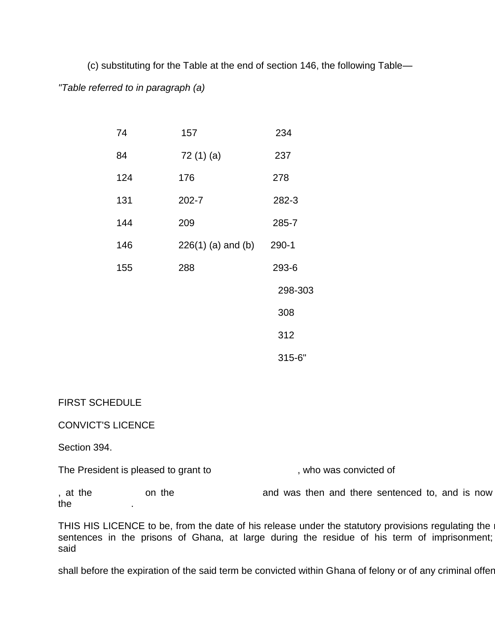(c) substituting for the Table at the end of section 146, the following Table— *"Table referred to in paragraph (a)*

| 74  | 157                  | 234     |
|-----|----------------------|---------|
| 84  | 72 (1) (a)           | 237     |
| 124 | 176                  | 278     |
| 131 | 202-7                | 282-3   |
| 144 | 209                  | 285-7   |
| 146 | $226(1)$ (a) and (b) | $290-1$ |
| 155 | 288                  | 293-6   |
|     |                      | 298-303 |
|     |                      | 308     |
|     |                      | 312     |
|     |                      | 315-6"  |

#### FIRST SCHEDULE

#### CONVICT'S LICENCE

Section 394.

The President is pleased to grant to  $\blacksquare$ , who was convicted of

, at the and was then and there sentenced to, and is now the .

THIS HIS LICENCE to be, from the date of his release under the statutory provisions regulating the  $\epsilon$ sentences in the prisons of Ghana, at large during the residue of his term of imprisonment; said

shall before the expiration of the said term be convicted within Ghana of felony or of any criminal offer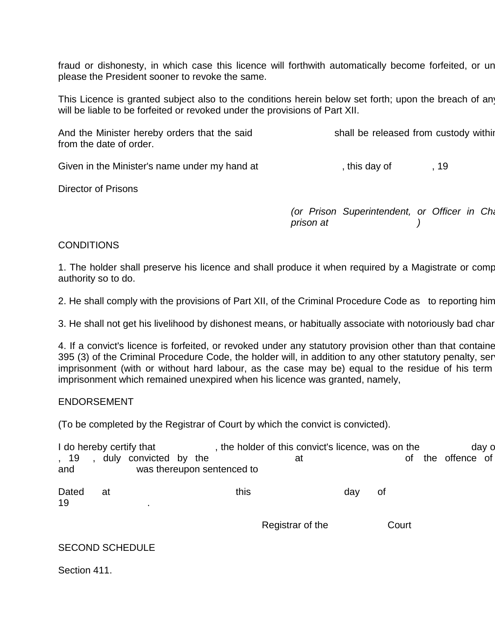fraud or dishonesty, in which case this licence will forthwith automatically become forfeited, or un please the President sooner to revoke the same.

This Licence is granted subject also to the conditions herein below set forth; upon the breach of any will be liable to be forfeited or revoked under the provisions of Part XII.

| And the Minister hereby orders that the said | shall be released from custody withir |
|----------------------------------------------|---------------------------------------|
| from the date of order.                      |                                       |

| Given in the Minister's name under my hand at | this day of |  |
|-----------------------------------------------|-------------|--|
|-----------------------------------------------|-------------|--|

Director of Prisons

*(or Prison Superintendent, or Officer in Charge of the Charge of the charge point charge point prison at )*

## **CONDITIONS**

1. The holder shall preserve his licence and shall produce it when required by a Magistrate or comp authority so to do.

2. He shall comply with the provisions of Part XII, of the Criminal Procedure Code as to reporting him

3. He shall not get his livelihood by dishonest means, or habitually associate with notoriously bad characters.

4. If a convict's licence is forfeited, or revoked under any statutory provision other than that containe 395 (3) of the Criminal Procedure Code, the holder will, in addition to any other statutory penalty, ser imprisonment (with or without hard labour, as the case may be) equal to the residue of his term imprisonment which remained unexpired when his licence was granted, namely,

#### ENDORSEMENT

(To be completed by the Registrar of Court by which the convict is convicted).

|                      | I do hereby certify that |  |                            | , the holder of this convict's licence, was on the |     |       |                | day o |
|----------------------|--------------------------|--|----------------------------|----------------------------------------------------|-----|-------|----------------|-------|
| ,19<br>$\sim$<br>and | duly convicted by the    |  | was thereupon sentenced to | at                                                 |     | 0f    | the offence of |       |
| Dated<br>19          | at                       |  | this                       |                                                    | day | 0f    |                |       |
|                      |                          |  |                            | Registrar of the                                   |     | Court |                |       |
|                      | <b>SECOND SCHEDULE</b>   |  |                            |                                                    |     |       |                |       |
| Section 411.         |                          |  |                            |                                                    |     |       |                |       |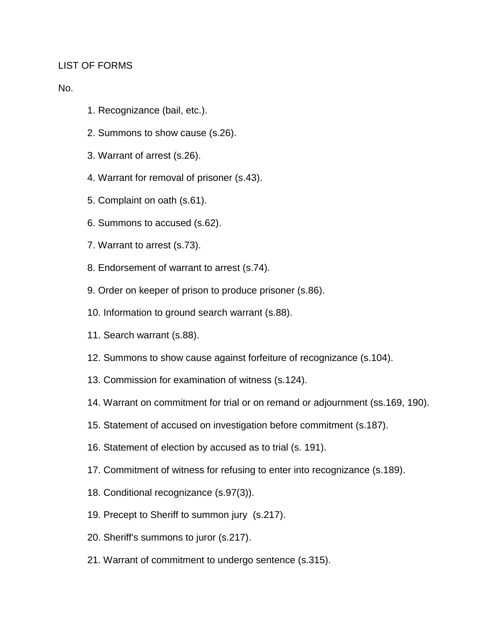### LIST OF FORMS

No.

- 1. Recognizance (bail, etc.).
- 2. Summons to show cause (s.26).
- 3. Warrant of arrest (s.26).
- 4. Warrant for removal of prisoner (s.43).
- 5. Complaint on oath (s.61).
- 6. Summons to accused (s.62).
- 7. Warrant to arrest (s.73).
- 8. Endorsement of warrant to arrest (s.74).
- 9. Order on keeper of prison to produce prisoner (s.86).
- 10. Information to ground search warrant (s.88).
- 11. Search warrant (s.88).
- 12. Summons to show cause against forfeiture of recognizance (s.104).
- 13. Commission for examination of witness (s.124).
- 14. Warrant on commitment for trial or on remand or adjournment (ss.169, 190).
- 15. Statement of accused on investigation before commitment (s.187).
- 16. Statement of election by accused as to trial (s. 191).
- 17. Commitment of witness for refusing to enter into recognizance (s.189).
- 18. Conditional recognizance (s.97(3)).
- 19. Precept to Sheriff to summon jury (s.217).
- 20. Sheriff's summons to juror (s.217).
- 21. Warrant of commitment to undergo sentence (s.315).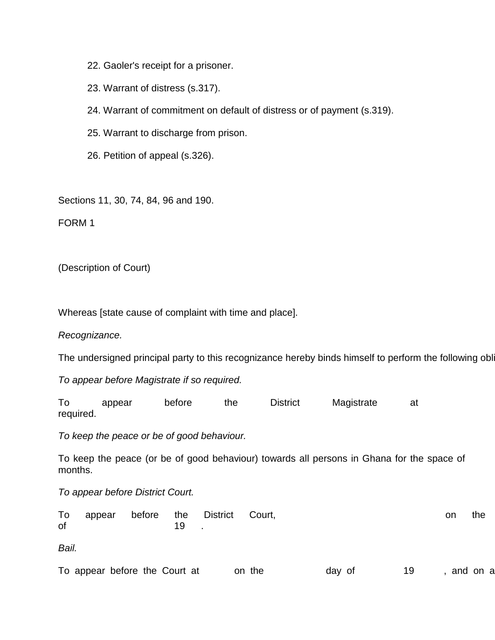22. Gaoler's receipt for a prisoner.

23. Warrant of distress (s.317).

24. Warrant of commitment on default of distress or of payment (s.319).

25. Warrant to discharge from prison.

26. Petition of appeal (s.326).

Sections 11, 30, 74, 84, 96 and 190.

FORM 1

(Description of Court)

Whereas [state cause of complaint with time and place].

*Recognizance.*

The undersigned principal party to this recognizance hereby binds himself to perform the following obl

*To appear before Magistrate if so required.*

To appear before the District Magistrate at required.

*To keep the peace or be of good behaviour.*

To keep the peace (or be of good behaviour) towards all persons in Ghana for the space of months.

*To appear before District Court.*

| To | appear | before the District |    | Court, | on | the |
|----|--------|---------------------|----|--------|----|-----|
| of |        |                     | 19 |        |    |     |

*Bail.*

| $\sim$<br>To appear before<br>the<br>Court<br>the<br>at<br>Οt<br>on<br>dav | 1 Q<br>and<br>on<br>d |
|----------------------------------------------------------------------------|-----------------------|
|----------------------------------------------------------------------------|-----------------------|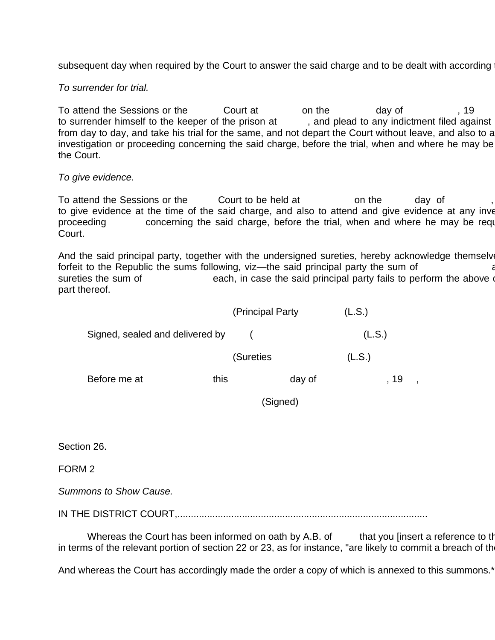subsequent day when required by the Court to answer the said charge and to be dealt with according

*To surrender for trial.*

To attend the Sessions or the court at the day of the sessions or the court at the day of the session of the s to surrender himself to the keeper of the prison at , and plead to any indictment filed against from day to day, and take his trial for the same, and not depart the Court without leave, and also to a investigation or proceeding concerning the said charge, before the trial, when and where he may be the Court.

#### *To give evidence.*

To attend the Sessions or the court to be held at on the day of to give evidence at the time of the said charge, and also to attend and give evidence at any inve proceeding concerning the said charge, before the trial, when and where he may be required by the may the required by the may the required by the may the required by the may he required by the may he required by the may he Court.

And the said principal party, together with the undersigned sureties, hereby acknowledge themselve forfeit to the Republic the sums following, viz—the said principal party the sum of sureties the sum of each, in case the said principal party fails to perform the above part thereof.

|                                 | (Principal Party) | (L.S.) |
|---------------------------------|-------------------|--------|
| Signed, sealed and delivered by |                   | (L.S.) |
|                                 | (Sureties         | (L.S.) |

Before me at this day of the state of the state of the state of the state of the state of the state of the state of the state of the state of the state of the state of the state of the state of the state of the state of th

(Signed)

Section 26.

FORM 2

*Summons to Show Cause.*

IN THE DISTRICT COURT,.............................................................................................

Whereas the Court has been informed on oath by A.B. of that you [insert a reference to the in terms of the relevant portion of section 22 or 23, as for instance, "are likely to commit a breach of the

And whereas the Court has accordingly made the order a copy of which is annexed to this summons.<sup>\*</sup>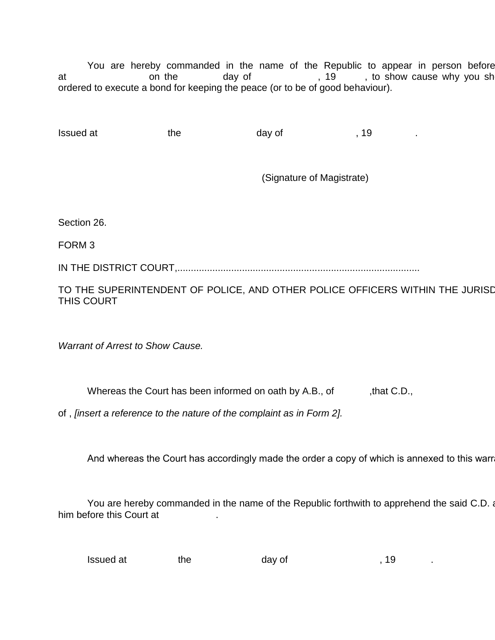You are hereby commanded in the name of the Republic to appear in person before at a a conthe day of the day of the state on the control on the day of the state of the state of the state of t ordered to execute a bond for keeping the peace (or to be of good behaviour).

Issued at the day of the state of  $\sim$  19

(Signature of Magistrate)

Section 26.

FORM 3

IN THE DISTRICT COURT,..........................................................................................

TO THE SUPERINTENDENT OF POLICE, AND OTHER POLICE OFFICERS WITHIN THE JURISD THIS COURT

*Warrant of Arrest to Show Cause.*

Whereas the Court has been informed on oath by A.B., of that C.D.,

of , *[insert a reference to the nature of the complaint as in Form 2].*

And whereas the Court has accordingly made the order a copy of which is annexed to this warr

You are hereby commanded in the name of the Republic forthwith to apprehend the said C.D. and Produce him before this Court at .

Issued at the day of the state of  $\sim$ , 19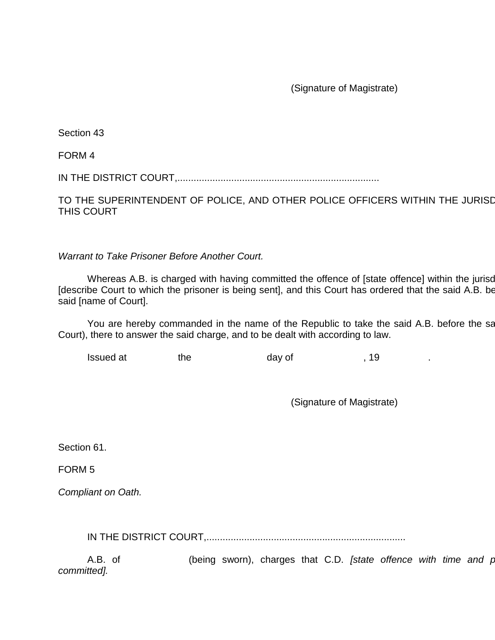(Signature of Magistrate)

Section 43

FORM 4

IN THE DISTRICT COURT,...........................................................................

TO THE SUPERINTENDENT OF POLICE, AND OTHER POLICE OFFICERS WITHIN THE JURISD THIS COURT

*Warrant to Take Prisoner Before Another Court.*

Whereas A.B. is charged with having committed the offence of [state offence] within the jurisd [describe Court to which the prisoner is being sent], and this Court has ordered that the said A.B. be said [name of Court].

You are hereby commanded in the name of the Republic to take the said A.B. before the said Court), there to answer the said charge, and to be dealt with according to law.

| Issued at | the | day of | 10. |  |
|-----------|-----|--------|-----|--|
|           |     |        |     |  |

(Signature of Magistrate)

Section 61.

FORM 5

*Compliant on Oath.*

IN THE DISTRICT COURT,..........................................................................

A.B. of **come that (being sworn)**, charges that C.D. *[state offence with time and place 8 committed].*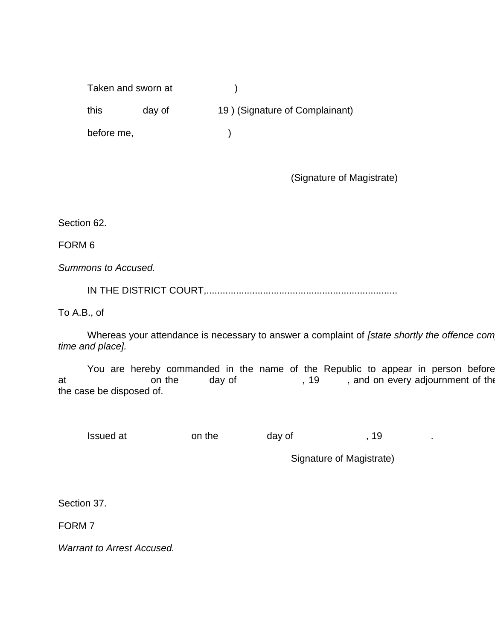Taken and sworn at (a) this day of 19 ) (Signature of Complainant) before me, and  $\qquad$  (

(Signature of Magistrate)

Section 62.

FORM 6

*Summons to Accused.*

IN THE DISTRICT COURT,.......................................................................

To A.B., of

Whereas your attendance is necessary to answer a complaint of *[state shortly the offence com time and place].*

You are hereby commanded in the name of the Republic to appear in person before<br>on the day of the this Court needs the this Court needs the this Court needs the this Court needs the the this at at the day of the court until and on every adjournment of the court until the Court until the Court until the the case be disposed of.

Issued at on the day of the state of the state of the day of the state of the state of the day of the state of the state of the state of the state of the state of the state of the state of the state of the state of the sta

Signature of Magistrate)

Section 37.

FORM 7

*Warrant to Arrest Accused.*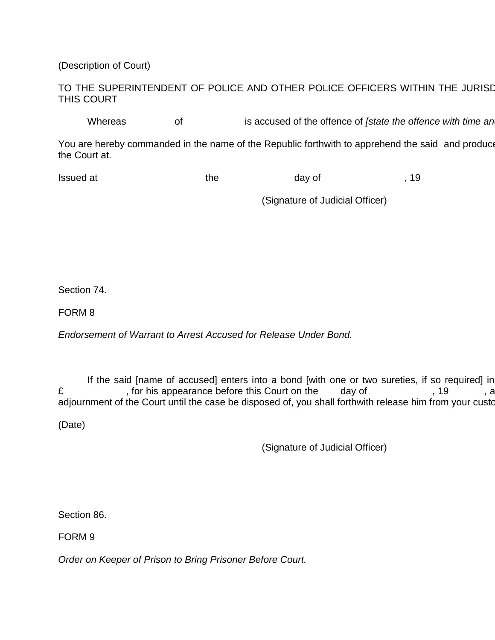(Description of Court)

# TO THE SUPERINTENDENT OF POLICE AND OTHER POLICE OFFICERS WITHIN THE JURISD THIS COURT

Whereas of is accused of the offence of *[state the offence with time and place.]* 

You are hereby commanded in the name of the Republic forthwith to apprehend the said and produce the Court at.

| Issued at | the | day of |  |
|-----------|-----|--------|--|
|           |     |        |  |

(Signature of Judicial Officer)

Section 74.

FORM 8

*Endorsement of Warrant to Arrest Accused for Release Under Bond.*

If the said [name of accused] enters into a bond [with one or two sureties, if so required] in £ , for his appearance before this Court on the day of , 19, and on every his appearance before this Court on the day of adjournment of the Court until the case be disposed of, you shall forthwith release him from your custody.

(Date)

(Signature of Judicial Officer)

Section 86.

FORM 9

*Order on Keeper of Prison to Bring Prisoner Before Court.*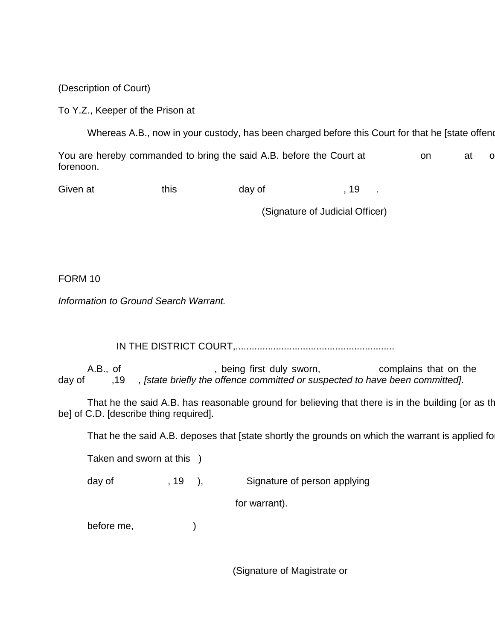(Description of Court)

To Y.Z., Keeper of the Prison at

Whereas A.B., now in your custody, has been charged before this Court for that he [state offend

You are hereby commanded to bring the said A.B. before the Court at on at o forenoon.

Given at this this day of the control of the set of the control of the control of the control of the control o

(Signature of Judicial Officer)

FORM 10

*Information to Ground Search Warrant.*

IN THE DISTRICT COURT,...........................................................

A.B., of  $\hspace{1.6cm}$ , being first duly sworn,  $\hspace{1.6cm}$  complains that on the day of ,19 *, [state briefly the offence committed or suspected to have been committed].*

That he the said A.B. has reasonable ground for believing that there is in the building [or as the be] of C.D. [describe thing required].

That he the said A.B. deposes that [state shortly the grounds on which the warrant is applied for

Taken and sworn at this )

day of figures of  $\frac{19}{19}$ ,  $\frac{19}{19}$  Signature of person applying

for warrant).

before me, and  $\qquad)$ 

(Signature of Magistrate or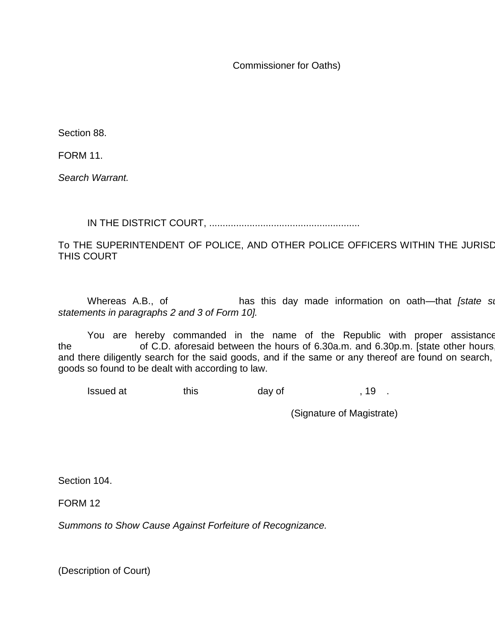Commissioner for Oaths)

Section 88.

FORM 11.

*Search Warrant.*

IN THE DISTRICT COURT, ........................................................

TO THE SUPERINTENDENT OF POLICE, AND OTHER POLICE OFFICERS WITHIN THE JURISD THIS COURT

Whereas A.B., of **has this day made information on oath—that** *[state sime***rior]** *statements in paragraphs 2 and 3 of Form 10].*

You are hereby commanded in the name of the Republic with proper assistance the  $\blacksquare$  of C.D. aforesaid between the hours of 6.30a.m. and 6.30p.m. [state other hours and there diligently search for the said goods, and if the same or any thereof are found on search, goods so found to be dealt with according to law.

Issued at this day of the set of the set of  $\sim$  19.

(Signature of Magistrate)

Section 104.

FORM 12

*Summons to Show Cause Against Forfeiture of Recognizance.*

(Description of Court)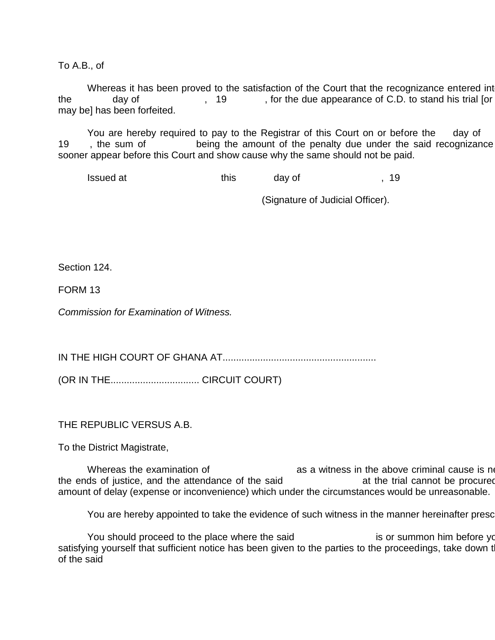To A.B., of

Whereas it has been proved to the satisfaction of the Court that the recognizance entered into the day of , 19 , for the due appearance of C.D. to stand his trial [or may be] has been forfeited.

You are hereby required to pay to the Registrar of this Court on or before the day of 19 , the sum of being the amount of the penalty due under the said recognizance sooner appear before this Court and show cause why the same should not be paid.

Issued at this day of the state of the state of  $\sim$  , 19

(Signature of Judicial Officer).

Section 124.

FORM 13

*Commission for Examination of Witness.*

IN THE HIGH COURT OF GHANA AT.........................................................

(OR IN THE................................. CIRCUIT COURT)

THE REPUBLIC VERSUS A.B.

To the District Magistrate,

Whereas the examination of  $\qquad \qquad \qquad$  as a witness in the above criminal cause is necessary for  $\qquad$ the ends of justice, and the attendance of the said at the trial cannot be procured amount of delay (expense or inconvenience) which under the circumstances would be unreasonable.

You are hereby appointed to take the evidence of such witness in the manner hereinafter prescribed.

You should proceed to the place where the said is or summon him before you, and after you, and after you, and after satisfying yourself that sufficient notice has been given to the parties to the proceedings, take down t of the said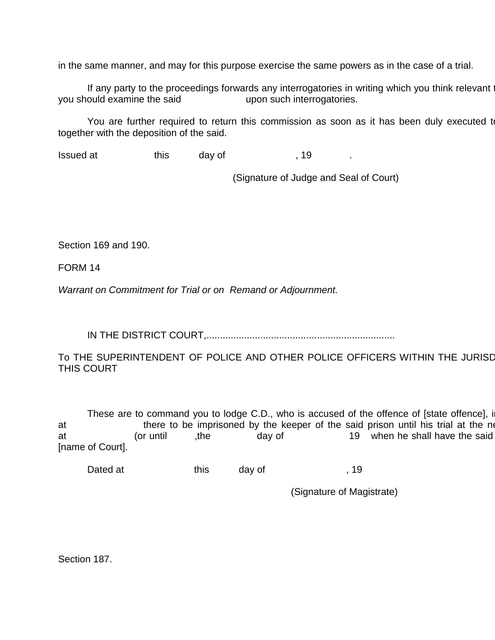in the same manner, and may for this purpose exercise the same powers as in the case of a trial.

If any party to the proceedings forwards any interrogatories in writing which you think relevant you should examine the said upon such interrogatories.

You are further required to return this commission as soon as it has been duly executed to together with the deposition of the said.

Issued at this day of the set of the set of the set of the set of the set of the set of the set of the set of t

(Signature of Judge and Seal of Court)

Section 169 and 190.

FORM 14

*Warrant on Commitment for Trial or on Remand or Adjournment.*

IN THE DISTRICT COURT,......................................................................

To THE SUPERINTENDENT OF POLICE AND OTHER POLICE OFFICERS WITHIN THE JURISD THIS COURT

These are to command you to lodge C.D., who is accused of the offence of [state offence], i at there to be imprisoned by the keeper of the said prison until his trial at the next at (or until the day of 19 when he shall have the said [name of Court].

Dated at this day of the new state of the new state of the state of the new state of the new state of the new s

(Signature of Magistrate)

Section 187.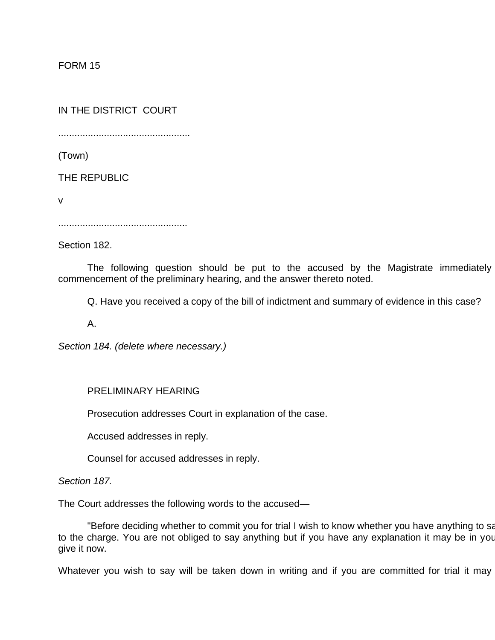FORM 15

IN THE DISTRICT COURT

.................................................

(Town)

THE REPUBLIC

v

................................................

Section 182.

The following question should be put to the accused by the Magistrate immediately commencement of the preliminary hearing, and the answer thereto noted.

Q. Have you received a copy of the bill of indictment and summary of evidence in this case?

A.

*Section 184. (delete where necessary.)*

## PRELIMINARY HEARING

Prosecution addresses Court in explanation of the case.

Accused addresses in reply.

Counsel for accused addresses in reply.

*Section 187.*

The Court addresses the following words to the accused—

"Before deciding whether to commit you for trial I wish to know whether you have anything to sa to the charge. You are not obliged to say anything but if you have any explanation it may be in you give it now.

Whatever you wish to say will be taken down in writing and if you are committed for trial it may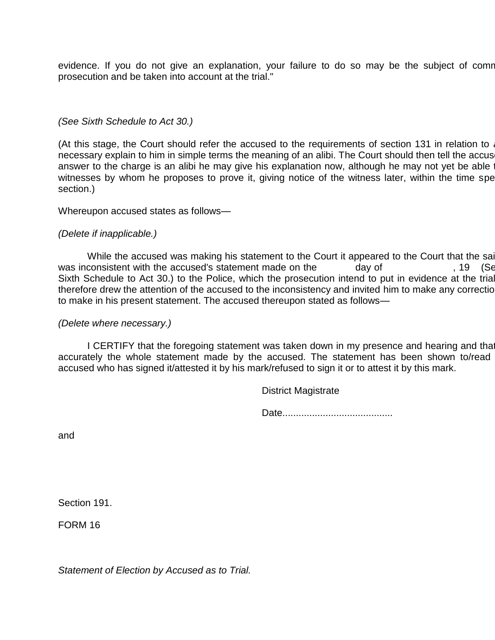evidence. If you do not give an explanation, your failure to do so may be the subject of comr prosecution and be taken into account at the trial."

#### *(See Sixth Schedule to Act 30.)*

(At this stage, the Court should refer the accused to the requirements of section 131 in relation to necessary explain to him in simple terms the meaning of an alibi. The Court should then tell the accus answer to the charge is an alibi he may give his explanation now, although he may not yet be able witnesses by whom he proposes to prove it, giving notice of the witness later, within the time spe section.)

#### Whereupon accused states as follows—

#### *(Delete if inapplicable.)*

While the accused was making his statement to the Court it appeared to the Court that the said while was inconsistent with the accused's statement made on the day of  $\qquad \qquad$ , 19 (Se Sixth Schedule to Act 30.) to the Police, which the prosecution intend to put in evidence at the trial. therefore drew the attention of the accused to the inconsistency and invited him to make any correction to make in his present statement. The accused thereupon stated as follows—

#### *(Delete where necessary.)*

I CERTIFY that the foregoing statement was taken down in my presence and hearing and that accurately the whole statement made by the accused. The statement has been shown to/read accused who has signed it/attested it by his mark/refused to sign it or to attest it by this mark.

District Magistrate

Date.........................................

and

Section 191.

FORM 16

*Statement of Election by Accused as to Trial.*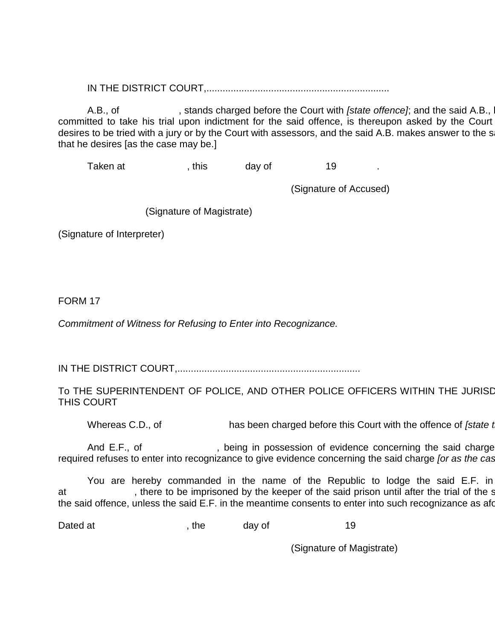IN THE DISTRICT COURT,....................................................................

A.B., of , stands charged before the Court with *[state offence]*; and the said A.B., having been committed to take his trial upon indictment for the said offence, is thereupon asked by the Court desires to be tried with a jury or by the Court with assessors, and the said A.B. makes answer to the s that he desires [as the case may be.]

Taken at Taken at , this day of the 19

(Signature of Accused)

(Signature of Magistrate)

(Signature of Interpreter)

FORM 17

*Commitment of Witness for Refusing to Enter into Recognizance.*

IN THE DISTRICT COURT,....................................................................

TO THE SUPERINTENDENT OF POLICE, AND OTHER POLICE OFFICERS WITHIN THE JURISD THIS COURT

Whereas C.D., of has been charged before this Court with the offence of *[state the offence]* 

And E.F., of , being in possession of evidence concerning the said charge required refuses to enter into recognizance to give evidence concerning the said charge *[or as the case]* 

You are hereby commanded in the name of the Republic to lodge the said E.F. in at external there to be imprisoned by the keeper of the said prison until after the trial of the said C.D. for the said offence, unless the said E.F. in the meantime consents to enter into such recognizance as aforther as

Dated at the the day of the 19

(Signature of Magistrate)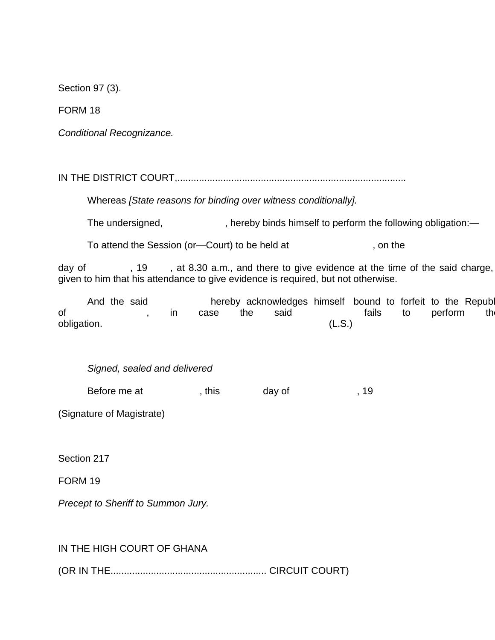Section 97 (3).

FORM 18

*Conditional Recognizance.*

IN THE DISTRICT COURT,.....................................................................................

Whereas *[State reasons for binding over witness conditionally].*

The undersigned,  $\qquad \qquad$ , hereby binds himself to perform the following obligation:

To attend the Session (or-Court) to be held at , on the

day of , 19 , at 8.30 a.m., and there to give evidence at the time of the said charge, given to him that his attendance to give evidence is required, but not otherwise.

And the said hereby acknowledges himself bound to forfeit to the Republic the summer summer than  $\mathbf{R}$ of , in case the said fails to perform th obligation. (L.S.)

*Signed, sealed and delivered*

| Before me at | , this | day of |  |
|--------------|--------|--------|--|
|              |        |        |  |

(Signature of Magistrate)

Section 217

FORM 19

*Precept to Sheriff to Summon Jury.*

IN THE HIGH COURT OF GHANA

(OR IN THE.......................................................... CIRCUIT COURT)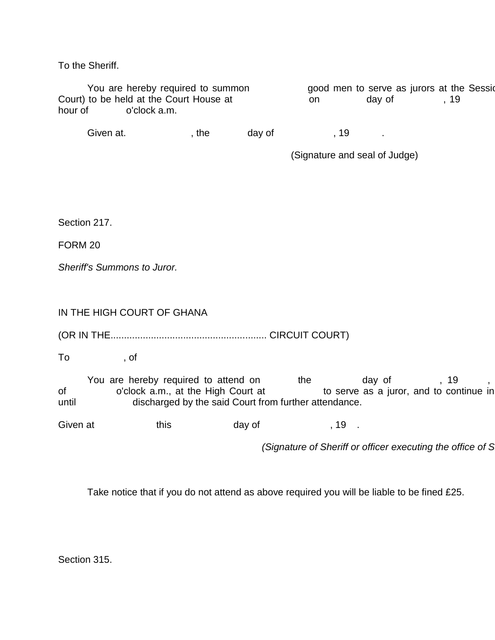To the Sheriff.

|         | You are hereby required to summon       |     | good men to serve as jurors at the Sessic |  |
|---------|-----------------------------------------|-----|-------------------------------------------|--|
|         | Court) to be held at the Court House at | on. | dav of                                    |  |
| hour of | o'clock a.m.                            |     |                                           |  |
|         |                                         |     |                                           |  |

Given at. The day of the state of the state of  $\sim$ , 19 .

(Signature and seal of Judge)

Section 217.

FORM 20

*Sheriff's Summons to Juror.*

IN THE HIGH COURT OF GHANA

(OR IN THE.......................................................... CIRCUIT COURT)

To , of

You are hereby required to attend on the day of , 19<br>o'clock a.m., at the High Court at the to serve as a juror, and to cor of o'clock a.m., at the High Court at the serve as a juror, and to continue in until discharged by the said Court from further attendance.

Given at this day of the set of the set of the set of the set of the set of the set of the set of the set of the set of the set of the set of the set of the set of the set of the set of the set of the set of the set of the

*(Signature of Sheriff or officer executing the office of Sheriff)*

Take notice that if you do not attend as above required you will be liable to be fined £25.

Section 315.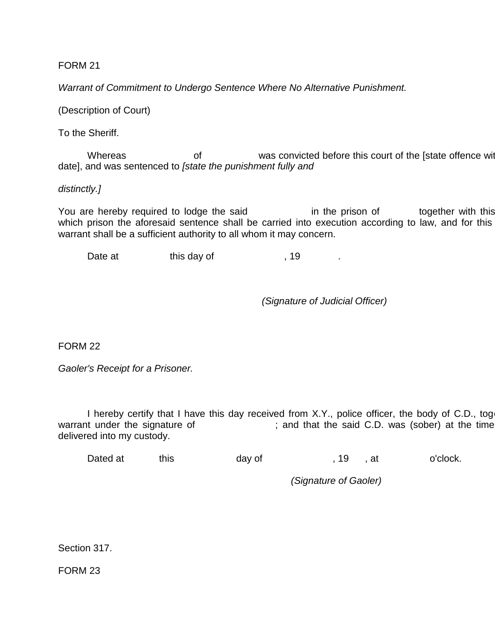FORM 21

*Warrant of Commitment to Undergo Sentence Where No Alternative Punishment.*

(Description of Court)

To the Sheriff.

Whereas of was convicted before this court of the [state offence with place and place and place and place and place and place and place and place and place and place and place and place and place and place and place with p date], and was sentenced to *[state the punishment fully and*

*distinctly.]*

You are hereby required to lodge the said in the prison of together with this which prison the aforesaid sentence shall be carried into execution according to law, and for this warrant shall be a sufficient authority to all whom it may concern.

Date at this day of the state of the state of the state of  $\sim$ , 19  $\sim$ 

*(Signature of Judicial Officer)*

FORM 22

*Gaoler's Receipt for a Prisoner.*

I hereby certify that I have this day received from X.Y., police officer, the body of C.D., tog warrant under the signature of : ; and that the said C.D. was (sober) at the time delivered into my custody.

Dated at this day of , 19, at o'clock.

*(Signature of Gaoler)*

Section 317.

FORM 23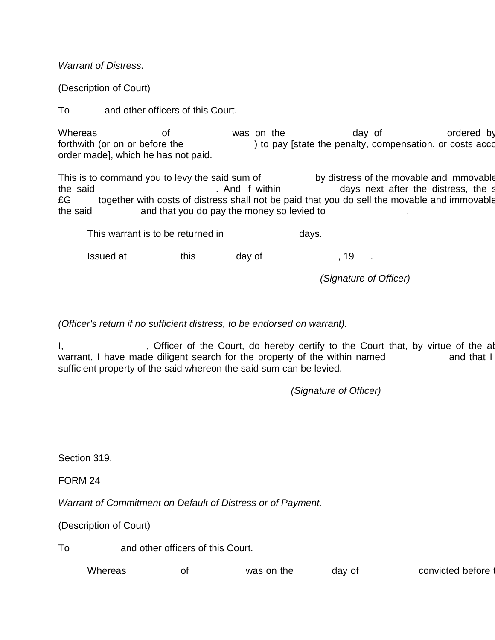*Warrant of Distress.*

(Description of Court)

To and other officers of this Court.

Whereas  $\log_2 n$  of was on the  $\log_2 n$  day of ordered by forthwith (or on or before the ) to pay [state the penalty, compensation, or costs according to the pay [state the penalty, compensation, or costs according to the tother order made], which he has not paid.

This is to command you to levy the said sum of by distress of the movable and immovable the said **Example 20** The Said **.** And if within the days next after the distress, the s £G together with costs of distress shall not be paid that you do sell the movable and immovable the said and that you do pay the money so levied to

This warrant is to be returned in days.

Issued at this day of the set of the set of the set of the set of the set of the set of the set of the set of t

*(Signature of Officer)*

*(Officer's return if no sufficient distress, to be endorsed on warrant).*

I, Sofficer of the Court, do hereby certify to the Court that, by virtue of the above written warrant, I have made diligent search for the property of the within named and that I sufficient property of the said whereon the said sum can be levied.

*(Signature of Officer)*

Section 319.

FORM 24

*Warrant of Commitment on Default of Distress or of Payment.*

(Description of Court)

To and other officers of this Court.

| Whereas<br>convicted before<br>was on the<br>dav of<br>O <sup>1</sup> |
|-----------------------------------------------------------------------|
|-----------------------------------------------------------------------|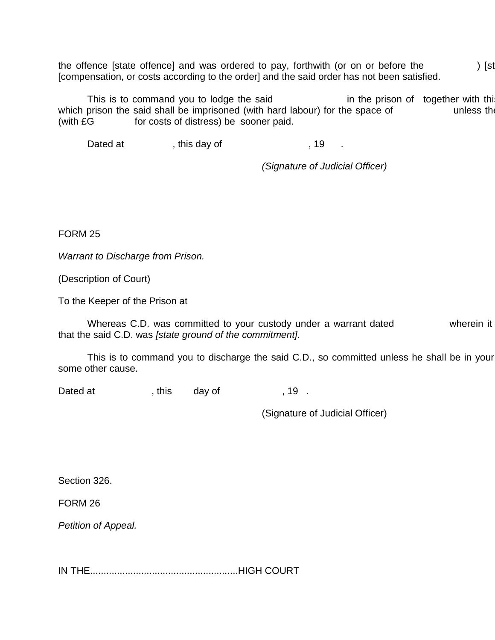the offence [state offence] and was ordered to pay, forthwith (or on or before the  $\hspace{1cm}$ ) [st [compensation, or costs according to the order] and the said order has not been satisfied.

This is to command you to lodge the said in the prison of together with this which prison the said shall be imprisoned (with hard labour) for the space of unless the (with £G for costs of distress) be sooner paid.

Dated at fit is day of the set of the set of the set of the set of the set of the set of the set of the set of t

*(Signature of Judicial Officer)*

FORM 25

*Warrant to Discharge from Prison.*

(Description of Court)

To the Keeper of the Prison at

Whereas C.D. was committed to your custody under a warrant dated wherein it that the said C.D. was *[state ground of the commitment].*

This is to command you to discharge the said C.D., so committed unless he shall be in your some other cause.

Dated at fits day of the set of the network of  $\sim$ , 19.

(Signature of Judicial Officer)

Section 326.

FORM 26

*Petition of Appeal.*

IN THE.......................................................HIGH COURT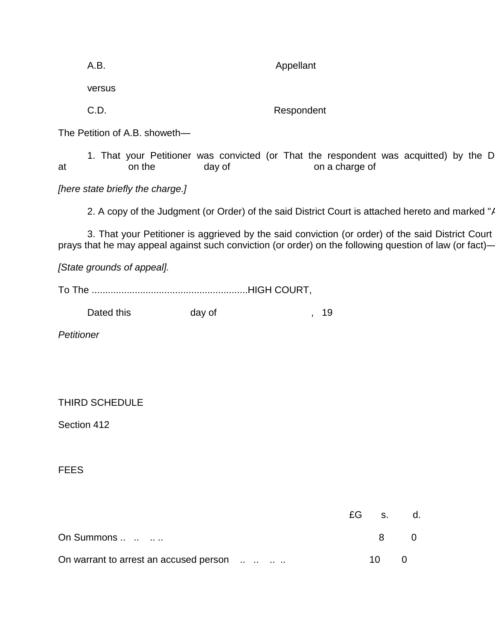|                                                                                                                                                                                                              | A.B.                                                                                             |                                  |                                                                                                 | Appellant  |                        |    |    |             |  |
|--------------------------------------------------------------------------------------------------------------------------------------------------------------------------------------------------------------|--------------------------------------------------------------------------------------------------|----------------------------------|-------------------------------------------------------------------------------------------------|------------|------------------------|----|----|-------------|--|
|                                                                                                                                                                                                              | versus                                                                                           |                                  |                                                                                                 |            |                        |    |    |             |  |
|                                                                                                                                                                                                              | C.D.                                                                                             |                                  |                                                                                                 | Respondent |                        |    |    |             |  |
|                                                                                                                                                                                                              |                                                                                                  | The Petition of A.B. showeth-    |                                                                                                 |            |                        |    |    |             |  |
| at                                                                                                                                                                                                           |                                                                                                  | on the                           | 1. That your Petitioner was convicted (or That the respondent was acquitted) by the D<br>day of |            | on a charge of         |    |    |             |  |
|                                                                                                                                                                                                              |                                                                                                  | [here state briefly the charge.] |                                                                                                 |            |                        |    |    |             |  |
|                                                                                                                                                                                                              | 2. A copy of the Judgment (or Order) of the said District Court is attached hereto and marked "A |                                  |                                                                                                 |            |                        |    |    |             |  |
| 3. That your Petitioner is aggrieved by the said conviction (or order) of the said District Court<br>prays that he may appeal against such conviction (or order) on the following question of law (or fact)- |                                                                                                  |                                  |                                                                                                 |            |                        |    |    |             |  |
| [State grounds of appeal].                                                                                                                                                                                   |                                                                                                  |                                  |                                                                                                 |            |                        |    |    |             |  |
|                                                                                                                                                                                                              |                                                                                                  |                                  |                                                                                                 |            |                        |    |    |             |  |
|                                                                                                                                                                                                              | Dated this                                                                                       |                                  | day of                                                                                          |            | 19<br>$\overline{ }$ , |    |    |             |  |
| Petitioner                                                                                                                                                                                                   |                                                                                                  |                                  |                                                                                                 |            |                        |    |    |             |  |
|                                                                                                                                                                                                              |                                                                                                  |                                  |                                                                                                 |            |                        |    |    |             |  |
|                                                                                                                                                                                                              |                                                                                                  |                                  |                                                                                                 |            |                        |    |    |             |  |
|                                                                                                                                                                                                              | <b>THIRD SCHEDULE</b>                                                                            |                                  |                                                                                                 |            |                        |    |    |             |  |
| Section 412                                                                                                                                                                                                  |                                                                                                  |                                  |                                                                                                 |            |                        |    |    |             |  |
|                                                                                                                                                                                                              |                                                                                                  |                                  |                                                                                                 |            |                        |    |    |             |  |
| <b>FEES</b>                                                                                                                                                                                                  |                                                                                                  |                                  |                                                                                                 |            |                        |    |    |             |  |
|                                                                                                                                                                                                              |                                                                                                  |                                  |                                                                                                 |            |                        |    |    |             |  |
|                                                                                                                                                                                                              |                                                                                                  |                                  |                                                                                                 |            |                        | £G | S. | d.          |  |
|                                                                                                                                                                                                              | On Summons                                                                                       |                                  |                                                                                                 |            |                        |    | 8  | $\mathbf 0$ |  |
|                                                                                                                                                                                                              |                                                                                                  |                                  | On warrant to arrest an accused person                                                          |            |                        |    | 10 | $\pmb{0}$   |  |
|                                                                                                                                                                                                              |                                                                                                  |                                  |                                                                                                 |            |                        |    |    |             |  |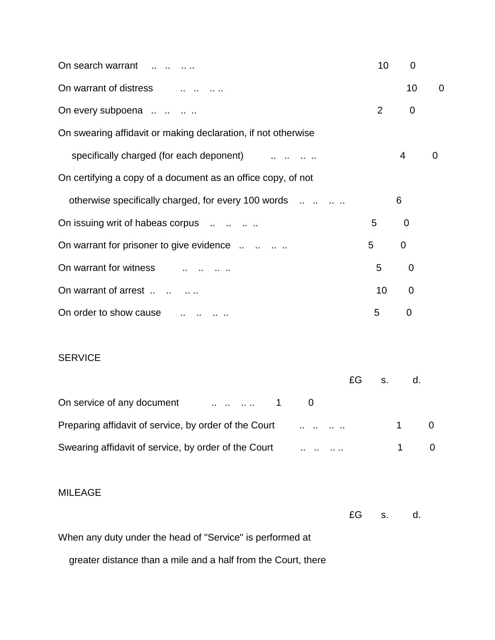| On search warrant                                             | 10 | $\overline{0}$ |                |  |  |
|---------------------------------------------------------------|----|----------------|----------------|--|--|
| On warrant of distress                                        |    | 10             | $\overline{0}$ |  |  |
| On every subpoena                                             | 2  | 0              |                |  |  |
| On swearing affidavit or making declaration, if not otherwise |    |                |                |  |  |
| specifically charged (for each deponent)                      |    | 4              | 0              |  |  |
| On certifying a copy of a document as an office copy, of not  |    |                |                |  |  |
| otherwise specifically charged, for every 100 words           |    | 6              |                |  |  |
| On issuing writ of habeas corpus                              | 5  | 0              |                |  |  |
| On warrant for prisoner to give evidence                      | 5  | $\mathbf 0$    |                |  |  |
| On warrant for witness                                        | 5  | $\mathbf 0$    |                |  |  |
| On warrant of arrest                                          | 10 | $\overline{0}$ |                |  |  |
| On order to show cause                                        | 5  | $\overline{0}$ |                |  |  |

# SERVICE

|                                                      | £G s. |  |  |
|------------------------------------------------------|-------|--|--|
|                                                      |       |  |  |
|                                                      |       |  |  |
| Swearing affidavit of service, by order of the Court |       |  |  |

#### MILEAGE

 $EG$  s. d.

When any duty under the head of "Service" is performed at

greater distance than a mile and a half from the Court, there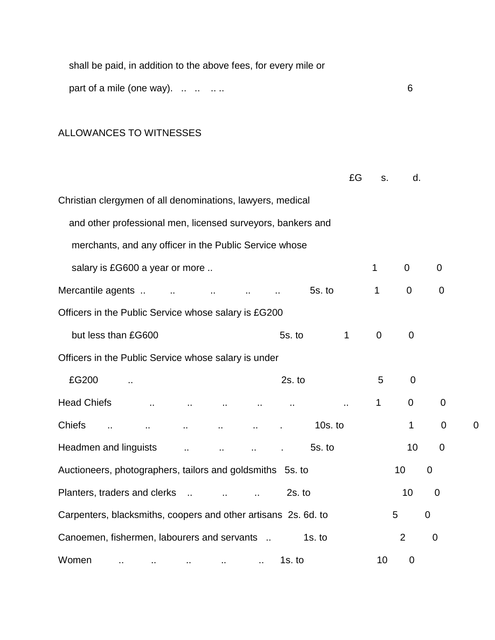| shall be paid, in addition to the above fees, for every mile or |  |
|-----------------------------------------------------------------|--|
| part of a mile (one way). $\ldots$ $\ldots$ $\ldots$            |  |

# ALLOWANCES TO WITNESSES

|                                                                                          | £G                   | S.          | d.             |                |                |
|------------------------------------------------------------------------------------------|----------------------|-------------|----------------|----------------|----------------|
| Christian clergymen of all denominations, lawyers, medical                               |                      |             |                |                |                |
| and other professional men, licensed surveyors, bankers and                              |                      |             |                |                |                |
| merchants, and any officer in the Public Service whose                                   |                      |             |                |                |                |
| salary is £G600 a year or more                                                           |                      | 1           | 0              | $\overline{0}$ |                |
| Mercantile agents<br>5s.to                                                               |                      | 1           | $\mathbf 0$    | $\mathbf 0$    |                |
| Officers in the Public Service whose salary is £G200                                     |                      |             |                |                |                |
| but less than £G600<br>5s. to                                                            | $\mathbf{1}$         | $\mathbf 0$ | $\mathbf 0$    |                |                |
| Officers in the Public Service whose salary is under                                     |                      |             |                |                |                |
| £G200<br>$2s.$ to                                                                        |                      | 5           | $\mathbf 0$    |                |                |
| <b>Head Chiefs</b>                                                                       | $\ddot{\phantom{1}}$ | 1           | $\mathbf 0$    | $\mathbf 0$    |                |
| <b>Chiefs</b><br>$10s.$ to<br>$\ddot{\phantom{1}}$<br>$\ddot{\phantom{a}}$               |                      |             | $\mathbf{1}$   | $\overline{0}$ | $\overline{0}$ |
| Headmen and linguists<br>5s.to                                                           |                      |             | 10             | 0              |                |
| Auctioneers, photographers, tailors and goldsmiths 5s. to                                |                      |             | 10             | $\mathbf 0$    |                |
| Planters, traders and clerks<br>$2s.$ to                                                 |                      |             | 10             | $\mathbf 0$    |                |
| Carpenters, blacksmiths, coopers and other artisans 2s. 6d. to                           |                      |             | 5              | $\mathbf 0$    |                |
| Canoemen, fishermen, labourers and servants<br>1s. to                                    |                      |             | $\overline{2}$ | $\mathbf 0$    |                |
| Women<br>$1s.$ to<br>$\sim$<br>$\sim$<br><b>CONTRACTOR</b><br><b>ARCHITECT</b><br>$\sim$ |                      | 10          | $\mathbf 0$    |                |                |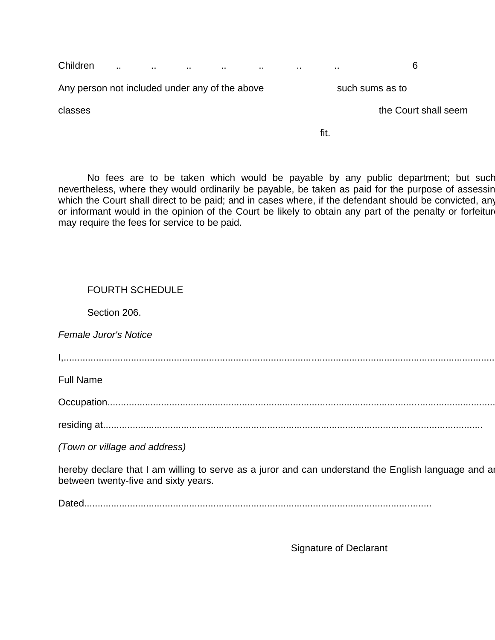Children .. .. .. .. .. .. .. 6

Any person not included under any of the above such sums as to

classes the Court shall seem

fit.

No fees are to be taken which would be payable by any public department; but such nevertheless, where they would ordinarily be payable, be taken as paid for the purpose of assessin which the Court shall direct to be paid; and in cases where, if the defendant should be convicted, any or informant would in the opinion of the Court be likely to obtain any part of the penalty or forfeiture may require the fees for service to be paid.

### FOURTH SCHEDULE

Section 206.

*Female Juror's Notice*

I,..................................................................................................................................................................................

Full Name

Occupation...................................................................................................................................................................

residing at.............................................................................................................................................

*(Town or village and address)*

hereby declare that I am willing to serve as a juror and can understand the English language and an between twenty-five and sixty years.

Dated.................................................................................................................................

Signature of Declarant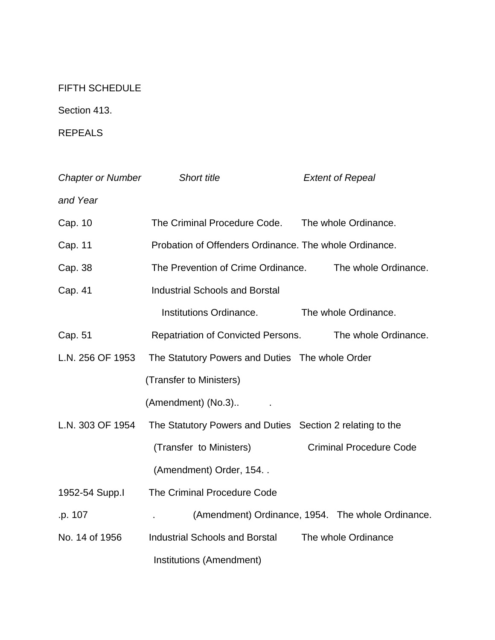# FIFTH SCHEDULE

Section 413.

REPEALS

| <b>Chapter or Number</b> | Short title                                                | <b>Extent of Repeal</b>                           |  |  |
|--------------------------|------------------------------------------------------------|---------------------------------------------------|--|--|
| and Year                 |                                                            |                                                   |  |  |
| Cap. 10                  | The Criminal Procedure Code.                               | The whole Ordinance.                              |  |  |
| Cap. 11                  | Probation of Offenders Ordinance. The whole Ordinance.     |                                                   |  |  |
| Cap. 38                  | The Prevention of Crime Ordinance.<br>The whole Ordinance. |                                                   |  |  |
| Cap. 41                  | <b>Industrial Schools and Borstal</b>                      |                                                   |  |  |
|                          | Institutions Ordinance.                                    | The whole Ordinance.                              |  |  |
| Cap. 51                  | <b>Repatriation of Convicted Persons.</b>                  | The whole Ordinance.                              |  |  |
| L.N. 256 OF 1953         | The Statutory Powers and Duties The whole Order            |                                                   |  |  |
|                          | (Transfer to Ministers)                                    |                                                   |  |  |
|                          | (Amendment) (No.3)                                         |                                                   |  |  |
| L.N. 303 OF 1954         | The Statutory Powers and Duties Section 2 relating to the  |                                                   |  |  |
|                          | (Transfer to Ministers)                                    | <b>Criminal Procedure Code</b>                    |  |  |
|                          | (Amendment) Order, 154                                     |                                                   |  |  |
| 1952-54 Supp.I           | <b>The Criminal Procedure Code</b>                         |                                                   |  |  |
| .p. 107                  |                                                            | (Amendment) Ordinance, 1954. The whole Ordinance. |  |  |
| No. 14 of 1956           | <b>Industrial Schools and Borstal</b>                      | The whole Ordinance                               |  |  |
|                          | Institutions (Amendment)                                   |                                                   |  |  |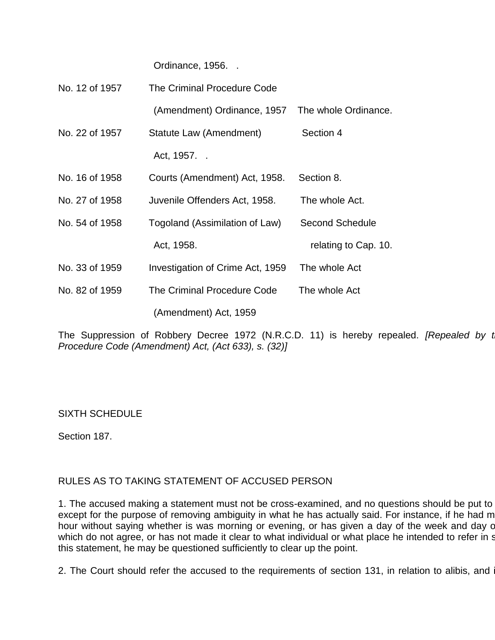Ordinance, 1956. .

| No. 12 of 1957 | The Criminal Procedure Code      |                        |  |  |  |
|----------------|----------------------------------|------------------------|--|--|--|
|                | (Amendment) Ordinance, 1957      | The whole Ordinance.   |  |  |  |
| No. 22 of 1957 | Statute Law (Amendment)          | Section 4              |  |  |  |
|                | Act, 1957. .                     |                        |  |  |  |
| No. 16 of 1958 | Courts (Amendment) Act, 1958.    | Section 8.             |  |  |  |
| No. 27 of 1958 | Juvenile Offenders Act, 1958.    | The whole Act.         |  |  |  |
| No. 54 of 1958 | Togoland (Assimilation of Law)   | <b>Second Schedule</b> |  |  |  |
|                | Act, 1958.                       | relating to Cap. 10.   |  |  |  |
| No. 33 of 1959 | Investigation of Crime Act, 1959 | The whole Act          |  |  |  |
| No. 82 of 1959 | The Criminal Procedure Code      | The whole Act          |  |  |  |
|                | (Amendment) Act, 1959            |                        |  |  |  |

The Suppression of Robbery Decree 1972 (N.R.C.D. 11) is hereby repealed. *[Repealed by the Criminal Arthural Arthural 2014 Procedure Code (Amendment) Act, (Act 633), s. (32)]*

SIXTH SCHEDULE

Section 187.

#### RULES AS TO TAKING STATEMENT OF ACCUSED PERSON

1. The accused making a statement must not be cross-examined, and no questions should be put to except for the purpose of removing ambiguity in what he has actually said. For instance, if he had m hour without saying whether is was morning or evening, or has given a day of the week and day c which do not agree, or has not made it clear to what individual or what place he intended to refer in s this statement, he may be questioned sufficiently to clear up the point.

2. The Court should refer the accused to the requirements of section 131, in relation to alibis, and